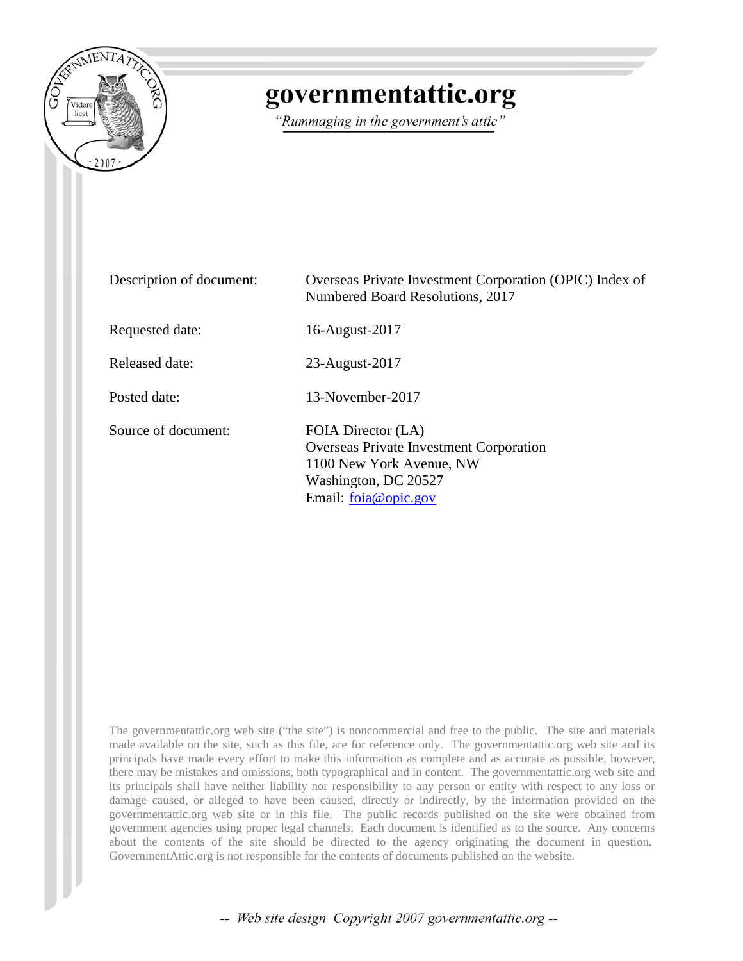

# governmentattic.org

"Rummaging in the government's attic"

| Description of document: | Overseas Private Investment Corporation (OPIC) Index of<br>Numbered Board Resolutions, 2017                                                      |
|--------------------------|--------------------------------------------------------------------------------------------------------------------------------------------------|
| Requested date:          | 16-August-2017                                                                                                                                   |
| Released date:           | 23-August-2017                                                                                                                                   |
| Posted date:             | 13-November-2017                                                                                                                                 |
| Source of document:      | FOIA Director (LA)<br><b>Overseas Private Investment Corporation</b><br>1100 New York Avenue, NW<br>Washington, DC 20527<br>Email: foia@opic.gov |

The governmentattic.org web site ("the site") is noncommercial and free to the public. The site and materials made available on the site, such as this file, are for reference only. The governmentattic.org web site and its principals have made every effort to make this information as complete and as accurate as possible, however, there may be mistakes and omissions, both typographical and in content. The governmentattic.org web site and its principals shall have neither liability nor responsibility to any person or entity with respect to any loss or damage caused, or alleged to have been caused, directly or indirectly, by the information provided on the governmentattic.org web site or in this file. The public records published on the site were obtained from government agencies using proper legal channels. Each document is identified as to the source. Any concerns about the contents of the site should be directed to the agency originating the document in question. GovernmentAttic.org is not responsible for the contents of documents published on the website.

-- Web site design Copyright 2007 governmentattic.org --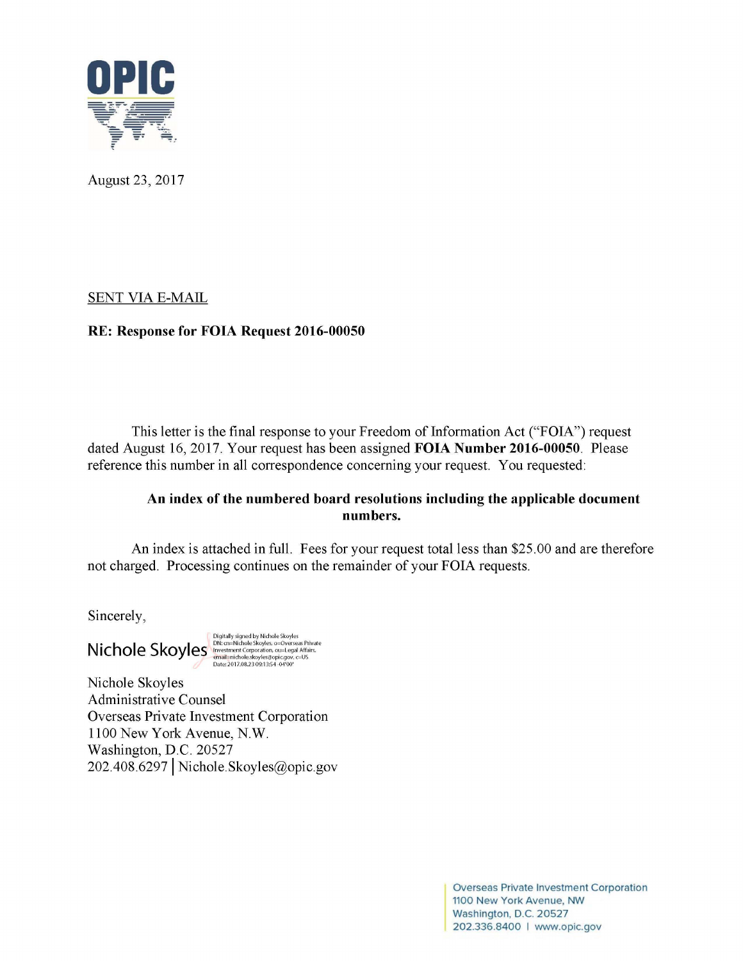

August 23, 2017

# SENT VIA E-MAIL

# **RE: Response for FOIA Request 2016-00050**

This letter is the final response to your Freedom of Information Act ("FOIA") request dated August 16, 2017. Your request has been assigned **FOIA Number 2016-00050.** Please reference this number in all correspondence concerning your request. You requested:

# **An index of the numbered board resolutions including the applicable document numbers.**

An index is attached in full. Fees for your request total less than \$25.00 and are therefore not charged. Processing continues on the remainder of your FOIA requests.

Sincerely,

Digitally signed by Nichole Skoyles N • **<sup>h</sup>**I **s <sup>k</sup>**I DN: cn=Nichole Skoyles, o=Overseas Private **IC o e oy es** lnve?~ntCorporation,o~=Legal Affairs, ema1l=rnchole.skoyles@op1c.gov, c=US Date: 2017.08.23 09:13:54-04'00'

Nichole Skoyles Administrative Counsel Overseas Private Investment Corporation 1100 New York Avenue, N.W. Washington, D.C. 20527 202.408.6297 I Nichole.Skoyles@opic.gov

> Overseas Private Investment Corporation 1100 New York Avenue, NW Washington, D.C. 20527 202.336.8400 I www.opic.gov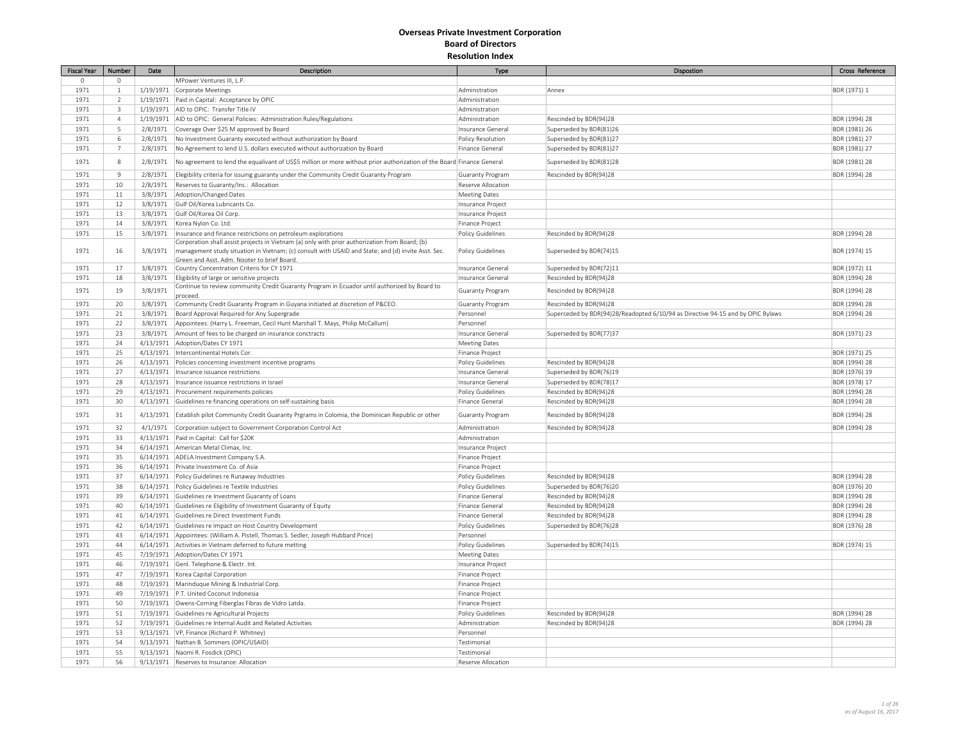| <b>Fiscal Year</b> | Number         | Date      | Description                                                                                                           | Type                     | <b>Dispostion</b>                                                               | Cross Reference |
|--------------------|----------------|-----------|-----------------------------------------------------------------------------------------------------------------------|--------------------------|---------------------------------------------------------------------------------|-----------------|
| $\Omega$           | $\Omega$       |           | MPower Ventures III, L.P.                                                                                             |                          |                                                                                 |                 |
| 1971               | $1\,$          |           | 1/19/1971 Corporate Meetings                                                                                          | Adminstration            | Annex                                                                           | BDR (1971) 1    |
| 1971               | $\overline{2}$ |           | 1/19/1971 Paid in Capital: Acceptance by OPIC                                                                         | Administration           |                                                                                 |                 |
| 1971               | 3              |           | 1/19/1971 AID to OPIC: Transfer Title IV                                                                              | Administration           |                                                                                 |                 |
| 1971               | $\overline{4}$ |           | 1/19/1971   AID to OPIC: General Policies: Administration Rules/Regulations                                           | Administration           | Rescinded by BDR(94)28                                                          | BDR (1994) 28   |
| 1971               | 5              |           | 2/8/1971 Coverage Over \$25 M approved by Board                                                                       | Insurance General        | Superseded by BDR(81)26                                                         | BDR (1981) 26   |
| 1971               | 6              |           | 2/8/1971 No Investment Guaranty executed without authorization by Board                                               | Policy Resolution        | Superseded by BDR(81)27                                                         | BDR (1981) 27   |
| 1971               | $\overline{7}$ | 2/8/1971  | No Agreement to lend U.S. dollars executed without authorization by Board                                             | Finance General          | Superseded by BDR(81)27                                                         | BDR (1981) 27   |
|                    |                |           |                                                                                                                       |                          |                                                                                 |                 |
| 1971               | 8              | 2/8/1971  | No agreement to lend the equalivant of US\$5 million or more without prior authorization of the Board Finance General |                          | Superseded by BDR(81)28                                                         | BDR (1981) 28   |
| 1971               | $\overline{9}$ |           | 2/8/1971   Elegibility criteria for issuing guaranty under the Community Credit Guaranty Program                      | Guaranty Program         | Rescinded by BDR(94)28                                                          | BDR (1994) 28   |
| 1971               | 10             | 2/8/1971  | Reserves to Guaranty/Ins.: Allocation                                                                                 | Reserve Allocation       |                                                                                 |                 |
| 1971               | 11             |           | 3/8/1971   Adoption/Changed Dates                                                                                     | <b>Meeting Dates</b>     |                                                                                 |                 |
| 1971               | 12             | 3/8/1971  | Gulf Oil/Korea Lubricants Co.                                                                                         | Insurance Project        |                                                                                 |                 |
| 1971               | 13             |           | 3/8/1971 Gulf Oil/Korea Oil Corp.                                                                                     | Insurance Project        |                                                                                 |                 |
| 1971               | $14$           | 3/8/1971  | Korea Nylon Co. Ltd.                                                                                                  | Finance Project          |                                                                                 |                 |
| 1971               | 15             | 3/8/1971  | Insurance and finance restrictions on petroleum explorations                                                          | Policy Guidelines        | Rescinded by BDR(94)28                                                          | BDR (1994) 28   |
|                    |                |           | Corporation shall assist projects in Vietnam (a) only with prior authorization from Board; (b)                        |                          |                                                                                 |                 |
| 1971               | 16             | 3/8/1971  | management study situation in Vietnam; (c) consult with USAID and State; and (d) invite Asst. Sec.                    | Policy Guidelines        | Superseded by BDR(74)15                                                         | BDR (1974) 15   |
|                    |                |           | Green and Asst. Adm. Nooter to brief Board.                                                                           |                          |                                                                                 |                 |
| 1971               | 17             | 3/8/1971  | Country Concentration Criteris for CY 1971                                                                            | Insurance General        | Superseded by BDR(72)11                                                         | BDR (1972) 11   |
| 1971               | 18             | 3/8/1971  | Eligibility of large or sensitive projects                                                                            | Insurance General        | Rescinded by BDR(94)28                                                          | BDR (1994) 28   |
| 1971               | 19             | 3/8/1971  | Continue to review community Credit Guaranty Program in Ecuador until authorized by Board to                          | <b>Guaranty Program</b>  | Rescinded by BDR(94)28                                                          | BDR (1994) 28   |
| 1971               | 20             | 3/8/1971  | proceed.<br>Community Credit Guaranty Program in Guyana initiated at discretion of P&CEO.                             | Guaranty Program         | Rescinded by BDR(94)28                                                          | BDR (1994) 28   |
| 1971               | 21             | 3/8/1971  | Board Approval Required for Any Supergrade                                                                            | Personnel                | Superceded by BDR(94)28/Readopted 6/10/94 as Directive 94-15 and by OPIC Bylaws | BDR (1994) 28   |
| 1971               | 22             |           | 3/8/1971   Appointees: (Harry L. Freeman, Cecil Hunt Marshall T. Mays, Philip McCallum)                               | Personnel                |                                                                                 |                 |
| 1971               | 23             |           |                                                                                                                       |                          |                                                                                 |                 |
|                    |                | 3/8/1971  | Amount of fees to be charged on insurance conctracts                                                                  | Insurance General        | Superseded by BDR(77)37                                                         | BDR (1971) 23   |
| 1971               | 24             |           | 4/13/1971 Adoption/Dates CY 1971                                                                                      | <b>Meeting Dates</b>     |                                                                                 |                 |
| 1971               | 25             |           | 4/13/1971   Intercontinental Hotels Cor                                                                               | Finance Project          |                                                                                 | BDR (1971) 25   |
| 1971               | 26             | 4/13/1971 | Policies concerning investment incentive programs                                                                     | <b>Policy Guidelines</b> | Rescinded by BDR(94)28                                                          | BDR (1994) 28   |
| 1971               | 27             |           | 4/13/1971   Insurance issuance restrictions                                                                           | Insurance General        | Superseded by BDR(76)19                                                         | BDR (1976) 19   |
| 1971               | 28             |           | 4/13/1971   Insurance issuance restrictions in Israel                                                                 | Insurance General        | Superseded by BDR(78)17                                                         | BDR (1978) 17   |
| 1971               | 29             |           | 4/13/1971 Procurement requirements policies                                                                           | <b>Policy Guidelines</b> | Rescinded by BDR(94)28                                                          | BDR (1994) 28   |
| 1971               | 30             | 4/13/1971 | Guidelines re financing operations on self-sustaining basis                                                           | Finance General          | Rescinded by BDR(94)28                                                          | BDR (1994) 28   |
| 1971               | 31             | 4/13/1971 | Establish pilot Community Credit Guaranty Prgrams in Colomia, the Dominican Republic or other                         | <b>Guaranty Program</b>  | Rescinded by BDR(94)28                                                          | BDR (1994) 28   |
| 1971               | 32             |           | 4/1/1971 Corporation subject to Government Corporation Control Act                                                    | Administration           | Rescinded by BDR(94)28                                                          | BDR (1994) 28   |
| 1971               | 33             |           | 4/13/1971 Paid in Capital: Call for \$20K                                                                             | Administration           |                                                                                 |                 |
| 1971               | 34             |           | 6/14/1971 American Metal Climax, Inc.                                                                                 | Insurance Project        |                                                                                 |                 |
| 1971               | 35             |           | 6/14/1971 ADELA Investment Company S.A.                                                                               | Finance Project          |                                                                                 |                 |
| 1971               | 36             |           | 6/14/1971 Private Investment Co. of Asia                                                                              | Finance Project          |                                                                                 |                 |
| 1971               | 37             |           | 6/14/1971 Policy Guidelines re Runaway Industries                                                                     | Policy Guidelines        | Rescinded by BDR(94)28                                                          | BDR (1994) 28   |
| 1971               | 38             |           | 6/14/1971 Policy Guidelines re Textile Industries                                                                     | Policy Guidelines        | Superseded by BDR(76)20                                                         | BDR (1976) 20   |
| 1971               | 39             |           | 6/14/1971 Guidelines re Investment Guaranty of Loans                                                                  | Finance General          | Rescinded by BDR(94)28                                                          | BDR (1994) 28   |
| 1971               | 40             |           | 6/14/1971 Guidelines re Eligibility of Investment Guaranty of Equity                                                  | Finance General          | Rescinded by BDR(94)28                                                          | BDR (1994) 28   |
| 1971               | 41             |           | 6/14/1971 Guidelines re Direct Investment Funds                                                                       | Finance General          | Rescinded by BDR(94)28                                                          | BDR (1994) 28   |
| 1971               | 42             |           | 6/14/1971 Guidelines re Impact on Host Country Development                                                            | Policy Guidelines        | Superseded by BDR(76)28                                                         | BDR (1976) 28   |
| 1971               | 43             |           | 6/14/1971 Appointees: (William A. Pistell, Thomas S. Sedler, Joseph Hubbard Price)                                    | Personnel                |                                                                                 |                 |
| 1971               | 44             |           | 6/14/1971 Activities in Vietnam deferred to future metting                                                            | <b>Policy Guidelines</b> | Superseded by BDR(74)15                                                         | BDR (1974) 15   |
| 1971               | 45             |           | 7/19/1971 Adoption/Dates CY 1971                                                                                      | <b>Meeting Dates</b>     |                                                                                 |                 |
| 1971               | 46             |           | 7/19/1971 Genl. Telephone & Electr. Int.                                                                              | Insurance Project        |                                                                                 |                 |
| 1971               | 47             |           | 7/19/1971 Korea Capital Corporation                                                                                   | Finance Project          |                                                                                 |                 |
| 1971               | 48             |           | 7/19/1971   Marinduque Mining & Industrial Corp.                                                                      | Finance Project          |                                                                                 |                 |
| 1971               | 49             |           | 7/19/1971 P.T. United Coconut Indonesia                                                                               | Finance Project          |                                                                                 |                 |
| 1971               | 50             |           | 7/19/1971 Owens-Corning Fiberglas Fibras de Vidro Latda.                                                              | Finance Project          |                                                                                 |                 |
| 1971               | 51             |           | 7/19/1971 Guidelines re Agricultural Projects                                                                         | Policy Guidelines        | Rescinded by BDR(94)28                                                          | BDR (1994) 28   |
| 1971               | 52             |           | 7/19/1971 Guidelines re Internal Audit and Related Activities                                                         | Administration           | Rescinded by BDR(94)28                                                          | BDR (1994) 28   |
| 1971               | 53             |           | 9/13/1971 VP, Finance (Richard P. Whitney)                                                                            | Personnel                |                                                                                 |                 |
| 1971               | 54             |           | 9/13/1971 Nathan B. Sommers (OPIC/USAID)                                                                              | Testimonial              |                                                                                 |                 |
| 1971               | 55             |           | 9/13/1971 Naomi R. Fosdick (OPIC)                                                                                     | Testimonial              |                                                                                 |                 |
| 1971               | 56             |           | 9/13/1971 Reserves to Insurance: Allocation                                                                           | Reserve Allocation       |                                                                                 |                 |
|                    |                |           |                                                                                                                       |                          |                                                                                 |                 |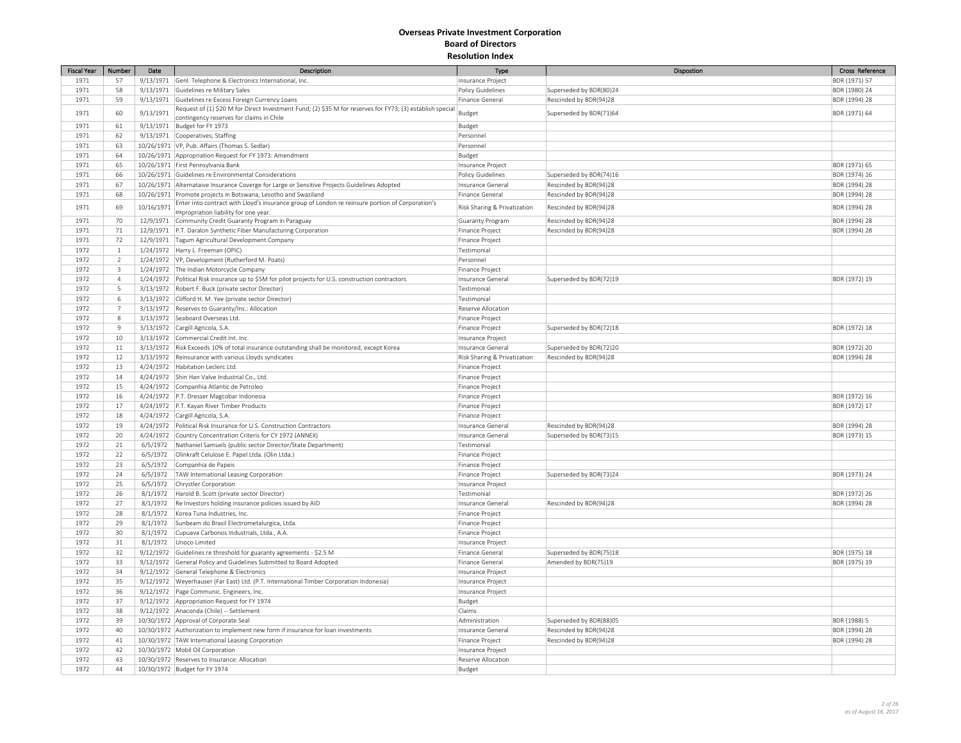| <b>Fiscal Year</b> | Number         | Date       | Description                                                                                               | Type                         | Dispostion              | Cross Reference |
|--------------------|----------------|------------|-----------------------------------------------------------------------------------------------------------|------------------------------|-------------------------|-----------------|
| 1971               | 57             |            | 9/13/1971 Genl. Telephone & Electronics International, Inc.                                               | Insurance Project            |                         | BDR (1971) 57   |
| 1971               | 58             |            | 9/13/1971 Guidelines re Military Sales                                                                    | Policy Guidelines            | Superseded by BDR(80)24 | BDR (1980) 24   |
| 1971               | 59             |            | 9/13/1971 Guidelines re Excess Foreign Currency Loans                                                     | Finance General              | Rescinded by BDR(94)28  | BDR (1994) 28   |
|                    |                |            | Request of (1) \$20 M for Direct Investment Fund; (2) \$35 M for reserves for FY73; (3) establish special |                              |                         |                 |
| 1971               | 60             | 9/13/1971  | contingency reserves for claims in Chile                                                                  | Budget                       | Superseded by BDR(71)64 | BDR (1971) 64   |
| 1971               | 61             |            | 9/13/1971 Budget for FY 1973                                                                              | Budget                       |                         |                 |
| 1971               | 62             |            | 9/13/1971 Cooperatives; Staffing                                                                          | Personnel                    |                         |                 |
| 1971               | 63             |            | 10/26/1971 VP, Pub. Affairs (Thomas S. Sedlar)                                                            | Personnel                    |                         |                 |
| 1971               | 64             |            | 10/26/1971 Appropriation Request for FY 1973: Amendment                                                   | Budget                       |                         |                 |
| 1971               | 65             |            | 10/26/1971 First Pennsylvania Bank                                                                        | Insurance Project            |                         | BDR (1971) 65   |
| 1971               | 66             |            | 10/26/1971 Guidelines re Environmental Considerations                                                     | Policy Guidelines            | Superseded by BDR(74)16 | BDR (1974) 16   |
| 1971               | 67             |            | 10/26/1971   Alternataive Insurance Coverge for Large or Sensitive Projects Guidelines Adopted            | Insurance Genera             | Rescinded by BDR(94)28  | BDR (1994) 28   |
| 1971               | 68             |            | 10/26/1971 Promote projects in Botswana, Lesotho and Swaziland                                            | Finance General              | Rescinded by BDR(94)28  | BDR (1994) 28   |
| 1971               | 69             | 10/16/1971 | Enter into contract with Lloyd's insurance group of London re reinsure portion of Corporation's           | Risk Sharing & Privatization | Rescinded by BDR(94)28  | BDR (1994) 28   |
|                    |                |            | expropriation liability for one year.                                                                     |                              |                         |                 |
| 1971               | 70             |            | 12/9/1971 Community Credit Guaranty Program in Paraguay                                                   | Guaranty Program             | Rescinded by BDR(94)28  | BDR (1994) 28   |
| 1971               | 71             |            | 12/9/1971 P.T. Daralon Synthetic Fiber Manufacturing Corporation                                          | Finance Project              | Rescinded by BDR(94)28  | BDR (1994) 28   |
| 1971               | 72             |            | 12/9/1971   Tagum Agricultural Development Company                                                        | Finance Project              |                         |                 |
| 1972               | $\,1\,$        |            | 1/24/1972   Harry L. Freeman (OPIC)                                                                       | Testimonial                  |                         |                 |
| 1972               | $\overline{2}$ |            | 1/24/1972   VP, Development (Rutherford M. Poats)                                                         | Personnel                    |                         |                 |
| 1972               | $\overline{3}$ |            | 1/24/1972 The Indian Motorcycle Company                                                                   | Finance Project              |                         |                 |
| 1972               | $\overline{4}$ |            | 1/24/1972 Political Risk insurance up to \$5M for pilot projects for U.S. construction contractors        | Insurance General            | Superseded by BDR(72)19 | BDR (1972) 19   |
| 1972               | 5              |            | 3/13/1972 Robert F. Buck (private sector Director)                                                        | Testimonial                  |                         |                 |
| 1972               | 6              |            | 3/13/1972 Clifford H. M. Yee (private sector Director)                                                    | Testimonial                  |                         |                 |
| 1972               | $\overline{7}$ |            | 3/13/1972 Reserves to Guaranty/Ins.: Allocation                                                           | Reserve Allocation           |                         |                 |
| 1972               | 8              |            | 3/13/1972 Seaboard Overseas Ltd.                                                                          | Finance Project              |                         |                 |
| 1972               | 9              |            | 3/13/1972 Cargill Agricola, S.A.                                                                          | Finance Project              | Superseded by BDR(72)18 | BDR (1972) 18   |
| 1972               | 10             |            | 3/13/1972 Commercial Credit Int. Inc.                                                                     | Insurance Project            |                         |                 |
| 1972               | $11\,$         |            | 3/13/1972   Risk Exceeds 10% of total insurance outstanding shall be monitored, except Korea              | Insurance General            | Superseded by BDR(72)20 | BDR (1972) 20   |
| 1972               | 12             |            | 3/13/1972 Reinsurance with various Lloyds syndicates                                                      | Risk Sharing & Privatization | Rescinded by BDR(94)28  | BDR (1994) 28   |
| 1972               | 13             |            | 4/24/1972 Habitation Leclerc Ltd.                                                                         | Finance Project              |                         |                 |
| 1972               | 14             |            | 4/24/1972 Shin Han Valve Industrial Co., Ltd.                                                             | Finance Project              |                         |                 |
| 1972               | 15             |            | 4/24/1972 Companhia Atlantic de Petroleo                                                                  | Finance Project              |                         |                 |
| 1972               | 16             |            | 4/24/1972 P.T. Dresser Magcobar Indonesia                                                                 | Finance Project              |                         | BDR (1972) 16   |
| 1972               | 17             |            | 4/24/1972   P.T. Kayan River Timber Products                                                              | Finance Project              |                         | BDR (1972) 17   |
| 1972               | 18             |            | 4/24/1972 Cargill Agricola, S.A.                                                                          | Finance Project              |                         |                 |
| 1972               | 19             |            | 4/24/1972 Political Risk Insurance for U.S. Construction Contractors                                      | Insurance Genera             | Rescinded by BDR(94)28  | BDR (1994) 28   |
| 1972               | 20             |            | 4/24/1972 Country Concentration Criteris for CY 1972 (ANNEX)                                              | Insurance General            | Superseded by BDR(73)15 | BDR (1973) 15   |
| 1972               | 21             | 6/5/1972   | Nathaniel Samuels (public sector Director/State Department)                                               | Testimonial                  |                         |                 |
| 1972               | 22             | 6/5/1972   | Olinkraft Celulose E. Papel Ltda. (Olin Ltda.)                                                            | Finance Project              |                         |                 |
| 1972               | 23             |            | 6/5/1972 Companhia de Papeis                                                                              | Finance Project              |                         |                 |
| 1972               | 24             | 6/5/1972   | TAW International Leasing Corporation                                                                     | Finance Project              | Superseded by BDR(73)24 | BDR (1973) 24   |
| 1972               | 25             | 6/5/1972   | Chrystler Corporation                                                                                     | Insurance Project            |                         |                 |
| 1972               | 26             | 8/1/1972   | Harold B. Scott (private sector Director)                                                                 | Testimonial                  |                         | BDR (1972) 26   |
| 1972               | 27             | 8/1/1972   | Re Investors holding insurance policies issued by AID                                                     | Insurance General            | Rescinded by BDR(94)28  | BDR (1994) 28   |
| 1972               | 28             |            | 8/1/1972 Korea Tuna Industries, Inc.                                                                      | Finance Project              |                         |                 |
| 1972               | 29             | 8/1/1972   | Sunbeam do Brasil Electrometalurgica, Ltda.                                                               | Finance Project              |                         |                 |
| 1972               | 30             | 8/1/1972   | Cupuava Carbonos Industrials, Ltda., A.A.                                                                 | Finance Project              |                         |                 |
| 1972               | 31             | 8/1/1972   | Unoco Limited                                                                                             | Insurance Project            |                         |                 |
| 1972               | 32             | 9/12/1972  | Guidelines re threshold for guaranty agreements - \$2.5 M                                                 | Finance General              | Superseded by BDR(75)18 | BDR (1975) 18   |
| 1972               | 33             |            | 9/12/1972 General Policy and Guidelines Submitted to Board Adopted                                        | Finance General              | Amended by BDR(75)19    | BDR (1975) 19   |
| 1972               | 34             |            | 9/12/1972 General Telephone & Electronics                                                                 | Insurance Project            |                         |                 |
| 1972               | 35             |            | 9/12/1972   Weyerhauser (Far East) Ltd. (P.T. International Timber Corporation Indonesia)                 | Insurance Project            |                         |                 |
| 1972               | 36             |            | 9/12/1972 Page Communic. Engineers, Inc.                                                                  | Insurance Project            |                         |                 |
| 1972               | 37             |            | 9/12/1972 Appropriation Request for FY 1974                                                               | Budget                       |                         |                 |
| 1972               | 38             |            | 9/12/1972 Anaconda (Chile) -- Settlement                                                                  | Claims                       |                         |                 |
| 1972               | 39             |            | 10/30/1972 Approval of Corporate Seal                                                                     | Administration               | Superseded by BDR(88)05 | BDR (1988) 5    |
| 1972               | 40             |            | 10/30/1972 Authorization to implement new form if insurance for loan investments                          | Insurance General            | Rescinded by BDR(94)28  | BDR (1994) 28   |
| 1972               | 41             |            | 10/30/1972 TAW International Leasing Corporation                                                          | Finance Project              | Rescinded by BDR(94)28  | BDR (1994) 28   |
| 1972               | 42             |            | 10/30/1972 Mobil Oil Corporation                                                                          | Insurance Project            |                         |                 |
| 1972               | 43             |            | 10/30/1972 Reserves to Insurance: Allocation                                                              | Reserve Allocation           |                         |                 |
| 1972               | 44             |            | 10/30/1972 Budget for FY 1974                                                                             | Budget                       |                         |                 |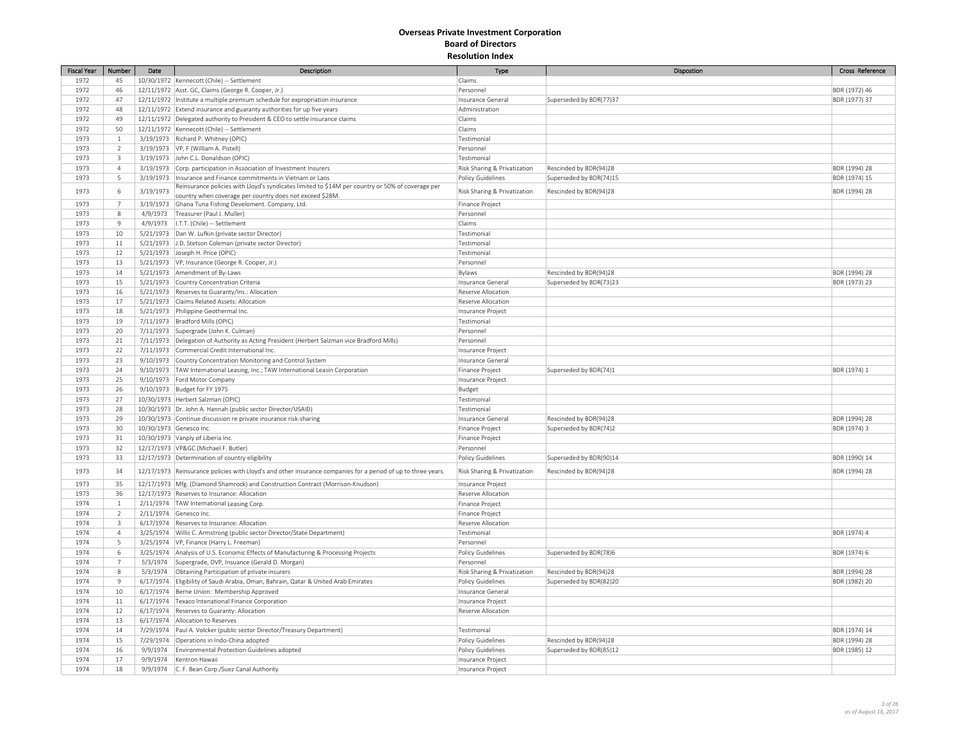| <b>Fiscal Year</b> | Number                  | Date      | Description                                                                                                   | Type                                        | Dispostion                                       | Cross Reference               |
|--------------------|-------------------------|-----------|---------------------------------------------------------------------------------------------------------------|---------------------------------------------|--------------------------------------------------|-------------------------------|
| 1972               | 45                      |           | 10/30/1972   Kennecott (Chile) -- Settlement                                                                  | Claims                                      |                                                  |                               |
| 1972               | 46                      |           | 12/11/1972 Asst. GC, Claims (George R. Cooper, Jr.)                                                           | Personnel                                   |                                                  | BDR (1972) 46                 |
| 1972               | 47                      |           | 12/11/1972  Institute a multiple premium schedule for expropriation insurance                                 | Insurance General                           | Superseded by BDR(77)37                          | BDR (1977) 37                 |
| 1972               | 48                      |           | 12/11/1972 Extend insurance and guaranty authorities for up five years                                        | Administration                              |                                                  |                               |
| 1972               | 49                      |           | 12/11/1972 Delegated authority to President & CEO to settle insurance claims                                  | Claims                                      |                                                  |                               |
| 1972               | 50                      |           | 12/11/1972   Kennecott (Chile) -- Settlement                                                                  | Claims                                      |                                                  |                               |
| 1973               | $\mathbf{1}$            |           | 3/19/1973 Richard P. Whitney (OPIC)                                                                           | Testimonial                                 |                                                  |                               |
| 1973               | $\overline{2}$          |           | 3/19/1973   VP, F (William A. Pistell)                                                                        | Personnel                                   |                                                  |                               |
| 1973               | $\overline{3}$          |           | 3/19/1973 John C.L. Donaldson (OPIC)                                                                          | Testimonial                                 |                                                  |                               |
| 1973               | $\overline{4}$          |           | 3/19/1973 Corp. participation in Association of Investment Insurers                                           | Risk Sharing & Privatization                | Rescinded by BDR(94)28                           | BDR (1994) 28                 |
| 1973               | $\mathsf S$             |           | 3/19/1973   Insurance and Finance commitments in Vietnam or Laos                                              | <b>Policy Guidelines</b>                    | Superseded by BDR(74)15                          | BDR (1974) 15                 |
|                    |                         |           | Reinsurance policies with Lloyd's syndicates limited to \$14M per country or 50% of coverage per              |                                             |                                                  |                               |
| 1973               | $\,6\,$                 | 3/19/1973 | country when coverage per country does not exceed \$28M.                                                      | Risk Sharing & Privatization                | Rescinded by BDR(94)28                           | BDR (1994) 28                 |
| 1973               | $\overline{7}$          |           | 3/19/1973 Ghana Tuna Fishing Develoment. Company, Ltd.                                                        | Finance Project                             |                                                  |                               |
| 1973               | $\,$ 8                  |           | 4/9/1973   Treasurer (Paul J. Muller)                                                                         | Personnel                                   |                                                  |                               |
| 1973               | $\overline{9}$          |           | 4/9/1973   I.T.T. (Chile) -- Settlement                                                                       | Claims                                      |                                                  |                               |
| 1973               | 10                      |           | 5/21/1973   Dan W. Lufkin (private sector Director)                                                           | Testimonial                                 |                                                  |                               |
| 1973               | $11\,$                  |           | 5/21/1973 J.D. Stetson Coleman (private sector Director)                                                      | Testimonial                                 |                                                  |                               |
| 1973               | $12\,$                  |           | 5/21/1973 Joseph H. Price (OPIC)                                                                              | Testimonial                                 |                                                  |                               |
| 1973               | 13                      |           | 5/21/1973   VP, Insurance (George R. Cooper, Jr.)                                                             | Personnel                                   |                                                  |                               |
| 1973               | 14                      |           | 5/21/1973 Amendment of By-Laws                                                                                | Bylaws                                      | Rescinded by BDR(94)28                           | BDR (1994) 28                 |
| 1973               | 15                      |           | 5/21/1973 Country Concentration Criteria                                                                      | Insurance General                           | Superseded by BDR(73)23                          | BDR (1973) 23                 |
| 1973               | 16                      |           | 5/21/1973 Reserves to Guaranty/Ins.: Allocation                                                               | Reserve Allocation                          |                                                  |                               |
| 1973               | 17                      |           | 5/21/1973 Claims Related Assets: Allocation                                                                   | Reserve Allocation                          |                                                  |                               |
| 1973               | 18                      |           | 5/21/1973 Philippine Geothermal Inc.                                                                          | Insurance Project                           |                                                  |                               |
| 1973               | 19                      |           | 7/11/1973   Bradford Mills (OPIC)                                                                             | Testimonial                                 |                                                  |                               |
| 1973               | 20                      |           | 7/11/1973 Supergrade (John K. Culman)                                                                         | Personnel                                   |                                                  |                               |
| 1973               | $21\,$                  |           | 7/11/1973 Delegation of Authority as Acting President (Herbert Salzman vice Bradford Mills)                   | Personnel                                   |                                                  |                               |
| 1973               | 22                      |           | 7/11/1973 Commercial Credit International Inc.                                                                | Insurance Project                           |                                                  |                               |
| 1973               | 23                      |           | 9/10/1973 Country Concentration Monitoring and Control System                                                 | Insurance General                           |                                                  |                               |
| 1973               | 24                      |           | 9/10/1973   TAW International Leasing, Inc.; TAW International Leasin Corporation                             | Finance Project                             | Superseded by BDR(74)1                           | BDR (1974) 1                  |
| 1973               | 25                      |           | 9/10/1973 Ford Motor Company                                                                                  | Insurance Project                           |                                                  |                               |
| 1973               | 26                      |           | 9/10/1973 Budget for FY 1975                                                                                  | Budget                                      |                                                  |                               |
| 1973               | 27                      |           | 10/30/1973 Herbert Salzman (OPIC)                                                                             | Testimonial                                 |                                                  |                               |
| 1973               | 28                      |           | 10/30/1973 Dr. John A. Hannah (public sector Director/USAID)                                                  | Testimonial                                 |                                                  |                               |
| 1973               | 29                      |           |                                                                                                               |                                             |                                                  |                               |
| 1973               | 30                      |           | 10/30/1973 Continue discussion re private insurance risk-sharing<br>10/30/1973 Genesco Inc.                   | Insurance General<br><b>Finance Project</b> | Rescinded by BDR(94)28<br>Superseded by BDR(74)2 | BDR (1994) 28<br>BDR (1974) 3 |
| 1973               | 31                      |           |                                                                                                               |                                             |                                                  |                               |
|                    |                         |           | 10/30/1973 Vanply of Liberia Inc.                                                                             | Finance Project                             |                                                  |                               |
| 1973               | 32                      |           | 12/17/1973   VP&GC (Michael F. Butler)                                                                        | Personnel                                   |                                                  |                               |
| 1973               | 33                      |           | 12/17/1973 Determination of country eligibility                                                               | Policy Guidelines                           | Superseded by BDR(90)14                          | BDR (1990) 14                 |
| 1973               | 34                      |           | 12/17/1973 Reinsurance policies with Lloyd's and other insurance companies for a period of up to three years. | Risk Sharing & Privatization                | Rescinded by BDR(94)28                           | BDR (1994) 28                 |
| 1973               | 35                      |           | 12/17/1973 Mfg. (Diamond Shamrock) and Construction Contract (Morrison-Knudson)                               | Insurance Project                           |                                                  |                               |
| 1973               | 36                      |           | 12/17/1973 Reserves to Insurance: Allocation                                                                  | Reserve Allocation                          |                                                  |                               |
| 1974               | $\mathbf{1}$            |           | 2/11/1974 TAW International Leasing Corp.                                                                     | Finance Project                             |                                                  |                               |
| 1974               | $\overline{2}$          |           | 2/11/1974 Genesco Inc.                                                                                        | Finance Project                             |                                                  |                               |
| 1974               | $\overline{\mathbf{3}}$ |           | 6/17/1974 Reserves to Insurance: Allocation                                                                   | Reserve Allocation                          |                                                  |                               |
| 1974               | $\overline{4}$          |           | 3/25/1974   Willis C. Armstrong (public sector Director/State Department)                                     | Testimonial                                 |                                                  | BDR (1974) 4                  |
| 1974               | 5                       |           | 3/25/1974   VP, Finance (Harry L. Freeman)                                                                    | Personnel                                   |                                                  |                               |
| 1974               | 6                       |           | 3/25/1974 Analysis of U.S. Economic Effects of Manufacturing & Processing Projects                            | Policy Guidelines                           | Superseded by BDR(78)6                           | BDR (1974) 6                  |
| 1974               | $\overline{7}$          |           | 5/3/1974 Supergrade, DVP, Insuance (Gerald D. Morgan)                                                         | Personnel                                   |                                                  |                               |
| 1974               | $\,$ 8                  |           | 5/3/1974 <b>Obtaining Participation of private insurers</b>                                                   | Risk Sharing & Privatization                | Rescinded by BDR(94)28                           | BDR (1994) 28                 |
| 1974               | $\overline{9}$          |           | 6/17/1974 Eligibility of Saudi Arabia, Oman, Bahrain, Qatar & United Arab Emirates                            | <b>Policy Guidelines</b>                    | Superseded by BDR(82)20                          | BDR (1982) 20                 |
| 1974               | $10\,$                  |           | 6/17/1974 Berne Union: Membership Approved                                                                    | Insurance General                           |                                                  |                               |
| 1974               | $11\,$                  |           | 6/17/1974 Texaco Intenational Finance Corporation                                                             | Insurance Project                           |                                                  |                               |
| 1974               | 12                      |           | 6/17/1974 Reserves to Guaranty: Allocation                                                                    | Reserve Allocation                          |                                                  |                               |
| 1974               | 13                      |           | 6/17/1974 Allocation to Reserves                                                                              |                                             |                                                  |                               |
| 1974               | 14                      |           | 7/29/1974 Paul A. Volcker (public sector Director/Treasury Department)                                        | Testimonial                                 |                                                  | BDR (1974) 14                 |
| 1974               | 15                      |           | 7/29/1974 Operations in Indo-China adopted                                                                    | Policy Guidelines                           | Rescinded by BDR(94)28                           | BDR (1994) 28                 |
| 1974               | 16                      |           | 9/9/1974 Environmental Protection Guidelines adopted                                                          | <b>Policy Guidelines</b>                    | Superseded by BDR(85)12                          | BDR (1985) 12                 |
| 1974               | 17                      |           | 9/9/1974 Kentron Hawaii                                                                                       | Insurance Project                           |                                                  |                               |
| 1974               | 18                      |           | 9/9/1974 C. F. Bean Corp./Suez Canal Authority                                                                | Insurance Project                           |                                                  |                               |
|                    |                         |           |                                                                                                               |                                             |                                                  |                               |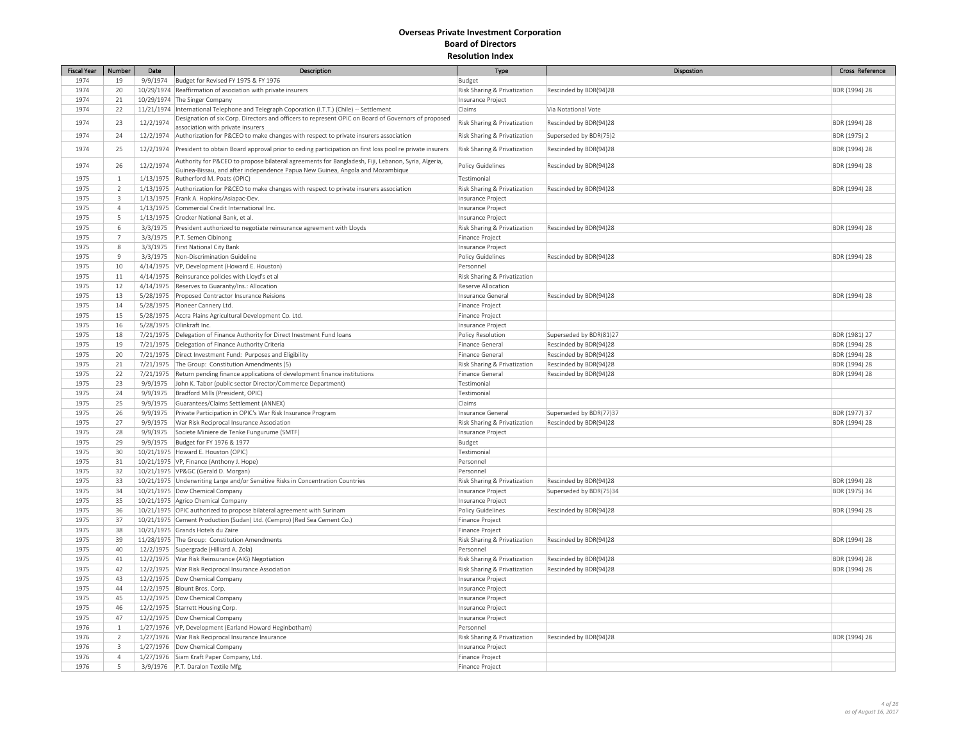| <b>Fiscal Year</b> | Number                  | Date      | Description                                                                                                                                                                         | Type                                              | Dispostion                                        | Cross Reference                |
|--------------------|-------------------------|-----------|-------------------------------------------------------------------------------------------------------------------------------------------------------------------------------------|---------------------------------------------------|---------------------------------------------------|--------------------------------|
| 1974               | 19                      |           | 9/9/1974 Budget for Revised FY 1975 & FY 1976                                                                                                                                       | Budget                                            |                                                   |                                |
| 1974               | 20                      |           | 10/29/1974 Reaffirmation of asociation with private insurers                                                                                                                        | Risk Sharing & Privatization                      | Rescinded by BDR(94)28                            | BDR (1994) 28                  |
| 1974               | $21\,$                  |           | 10/29/1974 The Singer Company                                                                                                                                                       | Insurance Project                                 |                                                   |                                |
| 1974               | 22                      |           | 11/21/1974  International Telephone and Telegraph Coporation (I.T.T.) (Chile) -- Settlement                                                                                         | Claims                                            | Via Notational Vote                               |                                |
| 1974               | 23                      | 12/2/1974 | Designation of six Corp. Directors and officers to represent OPIC on Board of Governors of proposed<br>association with private insurers                                            | Risk Sharing & Privatization                      | Rescinded by BDR(94)28                            | BDR (1994) 28                  |
| 1974               | 24                      |           | 12/2/1974 Authorization for P&CEO to make changes with respect to private insurers association                                                                                      | Risk Sharing & Privatization                      | Superseded by BDR(75)2                            | BDR (1975) 2                   |
| 1974               | 25                      |           | 12/2/1974 President to obtain Board approval prior to ceding participation on first loss pool re private insurers                                                                   | Risk Sharing & Privatization                      | Rescinded by BDR(94)28                            | BDR (1994) 28                  |
| 1974               | 26                      | 12/2/1974 | Authority for P&CEO to propose bilateral agreements for Bangladesh, Fiji, Lebanon, Syria, Algeria,<br>Guinea-Bissau, and after independence Papua New Guinea, Angola and Mozambique | <b>Policy Guidelines</b>                          | Rescinded by BDR(94)28                            | BDR (1994) 28                  |
| 1975               | $\mathbf{1}$            |           | 1/13/1975 Rutherford M. Poats (OPIC)                                                                                                                                                | Testimonial                                       |                                                   |                                |
| 1975               | $\overline{2}$          |           | 1/13/1975 Authorization for P&CEO to make changes with respect to private insurers association                                                                                      | Risk Sharing & Privatization                      | Rescinded by BDR(94)28                            | BDR (1994) 28                  |
| 1975               | $\overline{\mathbf{3}}$ |           | 1/13/1975 Frank A. Hopkins/Asiapac-Dev.                                                                                                                                             | Insurance Project                                 |                                                   |                                |
| 1975               | $\overline{4}$          |           | 1/13/1975 Commercial Credit International Inc.                                                                                                                                      | Insurance Project                                 |                                                   |                                |
| 1975               | 5                       |           | 1/13/1975 Crocker National Bank, et al                                                                                                                                              | Insurance Project                                 |                                                   |                                |
| 1975               | 6                       |           | 3/3/1975 President authorized to negotiate reinsurance agreement with Lloyds                                                                                                        | Risk Sharing & Privatization                      | Rescinded by BDR(94)28                            | BDR (1994) 28                  |
| 1975               | $\overline{7}$          |           | 3/3/1975   P.T. Semen Cibinong                                                                                                                                                      | Finance Project                                   |                                                   |                                |
| 1975               | $\,$ 8                  |           | 3/3/1975   First National City Bank                                                                                                                                                 | Insurance Project                                 |                                                   |                                |
| 1975               | 9                       | 3/3/1975  | Non-Discrimination Guideline                                                                                                                                                        | Policy Guidelines                                 | Rescinded by BDR(94)28                            | BDR (1994) 28                  |
| 1975               | 10                      |           | 4/14/1975   VP, Development (Howard E. Houston)                                                                                                                                     | Personnel                                         |                                                   |                                |
| 1975               | 11                      |           | 4/14/1975 Reinsurance policies with Lloyd's et al                                                                                                                                   | Risk Sharing & Privatization                      |                                                   |                                |
| 1975               | 12                      |           | 4/14/1975 Reserves to Guaranty/Ins.: Allocation                                                                                                                                     | Reserve Allocation                                |                                                   |                                |
| 1975               | 13                      |           | 5/28/1975 Proposed Contractor Insurance Reisions                                                                                                                                    | Insurance General                                 | Rescinded by BDR(94)28                            | BDR (1994) 28                  |
| 1975               | 14                      |           | 5/28/1975 Pioneer Cannery Ltd.                                                                                                                                                      | Finance Project                                   |                                                   |                                |
| 1975               | 15                      |           | 5/28/1975 Accra Plains Agricultural Development Co. Ltd.                                                                                                                            | Finance Project                                   |                                                   |                                |
| 1975               | 16                      |           | 5/28/1975 Olinkraft Inc.                                                                                                                                                            | Insurance Project                                 |                                                   |                                |
| 1975               | 18                      |           | 7/21/1975 Delegation of Finance Authority for Direct Inestment Fund loans                                                                                                           | Policy Resolution                                 | Superseded by BDR(81)27                           | BDR (1981) 27                  |
| 1975               | 19                      |           | 7/21/1975   Delegation of Finance Authority Criteria                                                                                                                                | Finance General                                   | Rescinded by BDR(94)28                            | BDR (1994) 28                  |
| 1975               | 20                      |           | 7/21/1975 Direct Investment Fund: Purposes and Eligibility                                                                                                                          | Finance General                                   | Rescinded by BDR(94)28                            | BDR (1994) 28                  |
| 1975               | $21\,$                  |           | 7/21/1975 The Group: Constitution Amendments (5)                                                                                                                                    | Risk Sharing & Privatization                      | Rescinded by BDR(94)28                            | BDR (1994) 28                  |
| 1975               | 22                      |           | 7/21/1975 Return pending finance applications of development finance institutions                                                                                                   | Finance General                                   | Rescinded by BDR(94)28                            | BDR (1994) 28                  |
| 1975               | 23                      | 9/9/1975  | John K. Tabor (public sector Director/Commerce Department)                                                                                                                          | Testimonial                                       |                                                   |                                |
| 1975               | 24                      |           | 9/9/1975   Bradford Mills (President, OPIC)                                                                                                                                         | Testimonial                                       |                                                   |                                |
| 1975               | 25                      | 9/9/1975  | Guarantees/Claims Settlement (ANNEX)                                                                                                                                                | Claims                                            |                                                   |                                |
|                    |                         |           |                                                                                                                                                                                     |                                                   |                                                   |                                |
| 1975<br>1975       | 26<br>27                | 9/9/1975  | Private Participation in OPIC's War Risk Insurance Program<br>9/9/1975   War Risk Reciprocal Insurance Association                                                                  | Insurance General<br>Risk Sharing & Privatization | Superseded by BDR(77)37<br>Rescinded by BDR(94)28 | BDR (1977) 37<br>BDR (1994) 28 |
|                    |                         |           |                                                                                                                                                                                     |                                                   |                                                   |                                |
| 1975               | 28                      |           | 9/9/1975 Societe Miniere de Tenke Fungurume (SMTF)                                                                                                                                  | Insurance Project                                 |                                                   |                                |
| 1975               | 29                      |           | 9/9/1975   Budget for FY 1976 & 1977                                                                                                                                                | Budget                                            |                                                   |                                |
| 1975               | 30                      |           | 10/21/1975   Howard E. Houston (OPIC)                                                                                                                                               | Testimonial                                       |                                                   |                                |
| 1975               | 31                      |           | 10/21/1975   VP, Finance (Anthony J. Hope)                                                                                                                                          | Personnel                                         |                                                   |                                |
| 1975               | 32                      |           | 10/21/1975 VP&GC (Gerald D. Morgan)                                                                                                                                                 | Personnel                                         |                                                   |                                |
| 1975               | 33                      |           | 10/21/1975 Underwriting Large and/or Sensitive Risks in Concentration Countries                                                                                                     | Risk Sharing & Privatization                      | Rescinded by BDR(94)28                            | BDR (1994) 28                  |
| 1975               | 34                      |           | 10/21/1975 Dow Chemical Company                                                                                                                                                     | Insurance Project                                 | Superseded by BDR(75)34                           | BDR (1975) 34                  |
| 1975               | 35                      |           | 10/21/1975 Agrico Chemical Company                                                                                                                                                  | Insurance Project                                 |                                                   |                                |
| 1975               | 36                      |           | 10/21/1975 OPIC authorized to propose bilateral agreement with Surinam                                                                                                              | Policy Guidelines                                 | Rescinded by BDR(94)28                            | BDR (1994) 28                  |
| 1975               | 37                      |           | 10/21/1975 Cement Production (Sudan) Ltd. (Cempro) (Red Sea Cement Co.)                                                                                                             | Finance Project                                   |                                                   |                                |
| 1975               | 38                      |           | 10/21/1975 Grands Hotels du Zaire                                                                                                                                                   | Finance Project                                   |                                                   |                                |
| 1975               | 39                      |           | 11/28/1975 The Group: Constitution Amendments                                                                                                                                       | Risk Sharing & Privatization                      | Rescinded by BDR(94)28                            | BDR (1994) 28                  |
| 1975               | 40                      |           | 12/2/1975 Supergrade (Hilliard A. Zola)                                                                                                                                             | Personnel                                         |                                                   |                                |
| 1975               | $41\,$                  |           | 12/2/1975   War Risk Reinsurance (AIG) Negotiation                                                                                                                                  | Risk Sharing & Privatization                      | Rescinded by BDR(94)28                            | BDR (1994) 28                  |
| 1975               | 42                      |           | 12/2/1975 War Risk Reciprocal Insurance Association                                                                                                                                 | Risk Sharing & Privatization                      | Rescinded by BDR(94)28                            | BDR (1994) 28                  |
| 1975               | 43                      |           | 12/2/1975   Dow Chemical Company                                                                                                                                                    | Insurance Project                                 |                                                   |                                |
| 1975               | 44                      |           | 12/2/1975 Blount Bros. Corp.                                                                                                                                                        | Insurance Project                                 |                                                   |                                |
| 1975               | 45                      |           | 12/2/1975   Dow Chemical Company                                                                                                                                                    | Insurance Project                                 |                                                   |                                |
| 1975               | 46                      |           | 12/2/1975 Starrett Housing Corp.                                                                                                                                                    | Insurance Project                                 |                                                   |                                |
| 1975               | 47                      |           | 12/2/1975   Dow Chemical Company                                                                                                                                                    | Insurance Project                                 |                                                   |                                |
| 1976               | $\mathbf{1}$            |           | 1/27/1976   VP, Development (Earland Howard Heginbotham)                                                                                                                            | Personnel                                         |                                                   |                                |
| 1976               | $\overline{2}$          |           | 1/27/1976   War Risk Reciprocal Insurance Insurance                                                                                                                                 | Risk Sharing & Privatization                      | Rescinded by BDR(94)28                            | BDR (1994) 28                  |
| 1976               | $\overline{\mathbf{3}}$ |           | 1/27/1976   Dow Chemical Company                                                                                                                                                    | Insurance Project                                 |                                                   |                                |
| 1976               | $\overline{4}$          |           | 1/27/1976 Siam Kraft Paper Company, Ltd.                                                                                                                                            | Finance Project                                   |                                                   |                                |
| 1976               | 5                       |           | 3/9/1976   P.T. Daralon Textile Mfg                                                                                                                                                 | Finance Project                                   |                                                   |                                |
|                    |                         |           |                                                                                                                                                                                     |                                                   |                                                   |                                |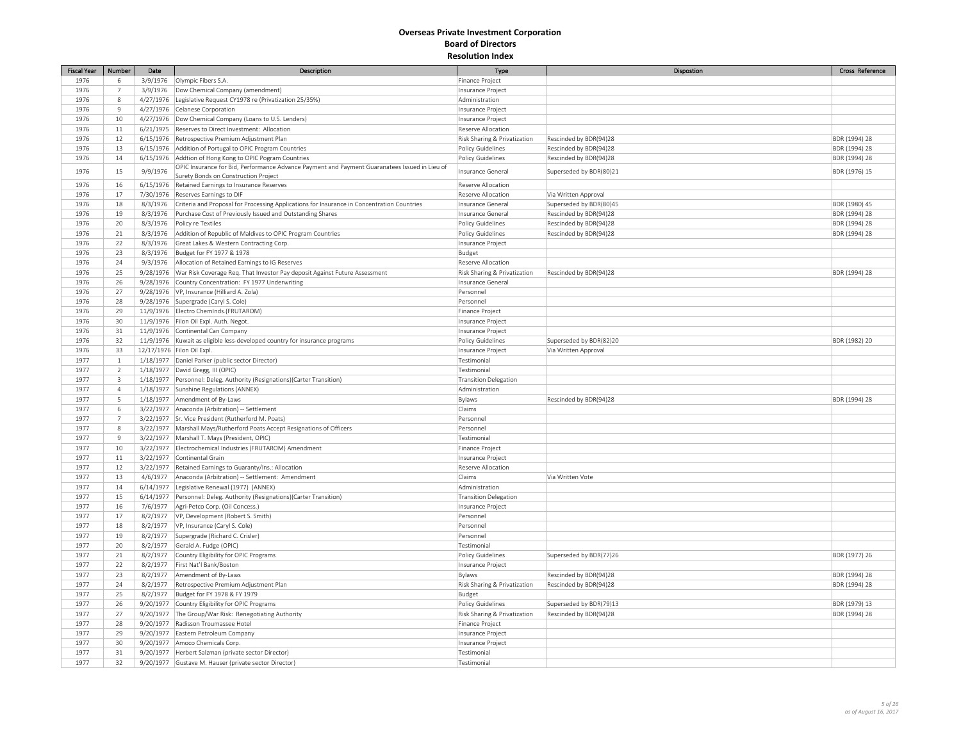| <b>Fiscal Year</b> | Number              | Date     | Description                                                                                         | Type                         | Dispostion              | Cross Reference |
|--------------------|---------------------|----------|-----------------------------------------------------------------------------------------------------|------------------------------|-------------------------|-----------------|
| 1976               | 6                   |          | 3/9/1976 Olympic Fibers S.A.                                                                        | Finance Project              |                         |                 |
| 1976               | $7\phantom{.}$      |          | 3/9/1976   Dow Chemical Company (amendment)                                                         | Insurance Project            |                         |                 |
| 1976               | 8                   |          | 4/27/1976 Legislative Request CY1978 re (Privatization 25/35%)                                      | Administration               |                         |                 |
| 1976               | 9                   |          | 4/27/1976 Celanese Corporation                                                                      | Insurance Project            |                         |                 |
| 1976               | 10                  |          | 4/27/1976   Dow Chemical Company (Loans to U.S. Lenders)                                            | Insurance Project            |                         |                 |
| 1976               | 11                  |          | 6/21/1975 Reserves to Direct Investment: Allocation                                                 | Reserve Allocation           |                         |                 |
| 1976               | 12                  |          | 6/15/1976 Retrospective Premium Adjustment Plan                                                     | Risk Sharing & Privatization | Rescinded by BDR(94)28  | BDR (1994) 28   |
| 1976               | 13                  |          | 6/15/1976 Addition of Portugal to OPIC Program Countries                                            | Policy Guidelines            | Rescinded by BDR(94)28  | BDR (1994) 28   |
| 1976               | $14\,$              |          | 6/15/1976 Addtion of Hong Kong to OPIC Pogram Countries                                             | Policy Guidelines            | Rescinded by BDR(94)28  | BDR (1994) 28   |
|                    |                     |          | OPIC Insurance for Bid, Performance Advance Payment and Payment Guaranatees Issued in Lieu of       |                              |                         |                 |
| 1976               | 15                  | 9/9/1976 | Surety Bonds on Construction Project                                                                | Insurance General            | Superseded by BDR(80)21 | BDR (1976) 15   |
| 1976               | 16                  |          | 6/15/1976 Retained Earnings to Insurance Reserves                                                   | Reserve Allocation           |                         |                 |
| 1976               | 17                  |          | 7/30/1976 Reserves Earnings to DIF                                                                  | Reserve Allocation           | Via Written Approval    |                 |
| 1976               | 18                  |          | 8/3/1976 Criteria and Proposal for Processing Applications for Insurance in Concentration Countries | Insurance General            | Superseded by BDR(80)45 | BDR (1980) 45   |
| 1976               | 19                  |          | 8/3/1976 Purchase Cost of Previously Issued and Outstanding Shares                                  | Insurance General            | Rescinded by BDR(94)28  | BDR (1994) 28   |
| 1976               | 20                  | 8/3/1976 | Policy re Textiles                                                                                  | Policy Guidelines            | Rescinded by BDR(94)28  | BDR (1994) 28   |
| 1976               | 21                  |          | 8/3/1976 Addition of Republic of Maldives to OPIC Program Countries                                 | Policy Guidelines            | Rescinded by BDR(94)28  | BDR (1994) 28   |
| 1976               | 22                  |          | 8/3/1976 Great Lakes & Western Contracting Corp.                                                    | Insurance Project            |                         |                 |
| 1976               | 23                  |          | 8/3/1976 Budget for FY 1977 & 1978                                                                  | Budget                       |                         |                 |
| 1976               | 24                  |          | 9/3/1976 Allocation of Retained Earnings to IG Reserves                                             | Reserve Allocation           |                         |                 |
| 1976               | 25                  |          | 9/28/1976   War Risk Coverage Req. That Investor Pay deposit Against Future Assessment              | Risk Sharing & Privatization | Rescinded by BDR(94)28  | BDR (1994) 28   |
| 1976               | 26                  |          | 9/28/1976 Country Concentration: FY 1977 Underwriting                                               | Insurance General            |                         |                 |
| 1976               | 27                  |          | 9/28/1976   VP, Insurance (Hilliard A. Zola)                                                        | Personnel                    |                         |                 |
| 1976               | 28                  |          | 9/28/1976 Supergrade (Caryl S. Cole)                                                                | Personnel                    |                         |                 |
| 1976               | 29                  |          | 11/9/1976 Electro Cheminds.(FRUTAROM)                                                               | Finance Project              |                         |                 |
| 1976               | 30                  |          | 11/9/1976 Filon Oil Expl. Auth. Negot.                                                              | Insurance Project            |                         |                 |
| 1976               | 31                  |          | 11/9/1976 Continental Can Company                                                                   | Insurance Project            |                         |                 |
| 1976               | 32                  |          | 11/9/1976   Kuwait as eligible less-developed country for insurance programs                        | Policy Guidelines            | Superseded by BDR(82)20 | BDR (1982) 20   |
| 1976               | 33                  |          | 12/17/1976 Filon Oil Expl.                                                                          | Insurance Project            | Via Written Approval    |                 |
| 1977               | $\mathbf{1}$        |          | 1/18/1977 Daniel Parker (public sector Director)                                                    | Testimonial                  |                         |                 |
| 1977               | $\overline{2}$      |          | 1/18/1977 David Gregg, III (OPIC)                                                                   | Testimonial                  |                         |                 |
| 1977               | $\overline{3}$      |          | 1/18/1977 Personnel: Deleg. Authority (Resignations) (Carter Transition)                            | <b>Transition Delegation</b> |                         |                 |
| 1977               | $\overline{4}$      |          | 1/18/1977 Sunshine Regulations (ANNEX)                                                              | Administration               |                         |                 |
| 1977               |                     |          |                                                                                                     |                              |                         |                 |
| 1977               | 5                   |          | 1/18/1977 Amendment of By-Laws                                                                      | Bylaws<br>Claims             | Rescinded by BDR(94)28  | BDR (1994) 28   |
| 1977               | 6<br>$\overline{7}$ |          | 3/22/1977   Anaconda (Arbitration) -- Settlement                                                    |                              |                         |                 |
|                    |                     |          | 3/22/1977 Sr. Vice President (Rutherford M. Poats)                                                  | Personnel<br>Personnel       |                         |                 |
| 1977               | 8                   |          | 3/22/1977   Marshall Mays/Rutherford Poats Accept Resignations of Officers                          |                              |                         |                 |
| 1977               | $\mathbf{q}$        |          | 3/22/1977   Marshall T. Mays (President, OPIC)                                                      | Testimonial                  |                         |                 |
| 1977               | 10                  |          | 3/22/1977 Electrochemical Industries (FRUTAROM) Amendment                                           | Finance Project              |                         |                 |
| 1977               | 11                  |          | 3/22/1977 Continental Grain                                                                         | Insurance Project            |                         |                 |
| 1977               | $12\,$              |          | 3/22/1977 Retained Earnings to Guaranty/Ins.: Allocation                                            | Reserve Allocation           |                         |                 |
| 1977               | 13                  |          | 4/6/1977   Anaconda (Arbitration) -- Settlement: Amendment                                          | Claims                       | Via Written Vote        |                 |
| 1977               | $14\,$              |          | 6/14/1977 Legislative Renewal (1977) (ANNEX)                                                        | Administration               |                         |                 |
| 1977               | 15                  |          | 6/14/1977 Personnel: Deleg. Authority (Resignations)(Carter Transition)                             | <b>Transition Delegation</b> |                         |                 |
| 1977               | 16                  |          | 7/6/1977   Agri-Petco Corp. (Oil Concess.)                                                          | Insurance Project            |                         |                 |
| 1977               | 17                  | 8/2/1977 | VP, Development (Robert S. Smith)                                                                   | Personnel                    |                         |                 |
| 1977               | 18                  |          | 8/2/1977   VP, Insurance (Caryl S. Cole)                                                            | Personnel                    |                         |                 |
| 1977               | 19                  | 8/2/1977 | Supergrade (Richard C. Crisler)                                                                     | Personnel                    |                         |                 |
| 1977               | 20                  |          | 8/2/1977 Gerald A. Fudge (OPIC)                                                                     | Testimonial                  |                         |                 |
| 1977               | 21                  | 8/2/1977 | Country Eligibility for OPIC Programs                                                               | Policy Guidelines            | Superseded by BDR(77)26 | BDR (1977) 26   |
| 1977               | 22                  | 8/2/1977 | First Nat'l Bank/Boston                                                                             | Insurance Project            |                         |                 |
| 1977               | 23                  | 8/2/1977 | Amendment of By-Laws                                                                                | Bylaws                       | Rescinded by BDR(94)28  | BDR (1994) 28   |
| 1977               | 24                  | 8/2/1977 | Retrospective Premium Adjustment Plan                                                               | Risk Sharing & Privatization | Rescinded by BDR(94)28  | BDR (1994) 28   |
| 1977               | 25                  |          | 8/2/1977   Budget for FY 1978 & FY 1979                                                             | Budget                       |                         |                 |
| 1977               | 26                  |          | 9/20/1977 Country Eligibility for OPIC Programs                                                     | Policy Guidelines            | Superseded by BDR(79)13 | BDR (1979) 13   |
| 1977               | 27                  |          | 9/20/1977 The Group/War Risk: Renegotiating Authority                                               | Risk Sharing & Privatization | Rescinded by BDR(94)28  | BDR (1994) 28   |
| 1977               | 28                  |          | 9/20/1977 Radisson Troumassee Hotel                                                                 | Finance Project              |                         |                 |
| 1977               | 29                  |          | 9/20/1977 Eastern Petroleum Company                                                                 | Insurance Project            |                         |                 |
| 1977               | 30                  |          | 9/20/1977 Amoco Chemicals Corp.                                                                     | Insurance Project            |                         |                 |
| 1977               | 31                  |          | 9/20/1977 Herbert Salzman (private sector Director)                                                 | Testimonial                  |                         |                 |
| 1977               | 32                  |          | 9/20/1977 Gustave M. Hauser (private sector Director)                                               | Testimonial                  |                         |                 |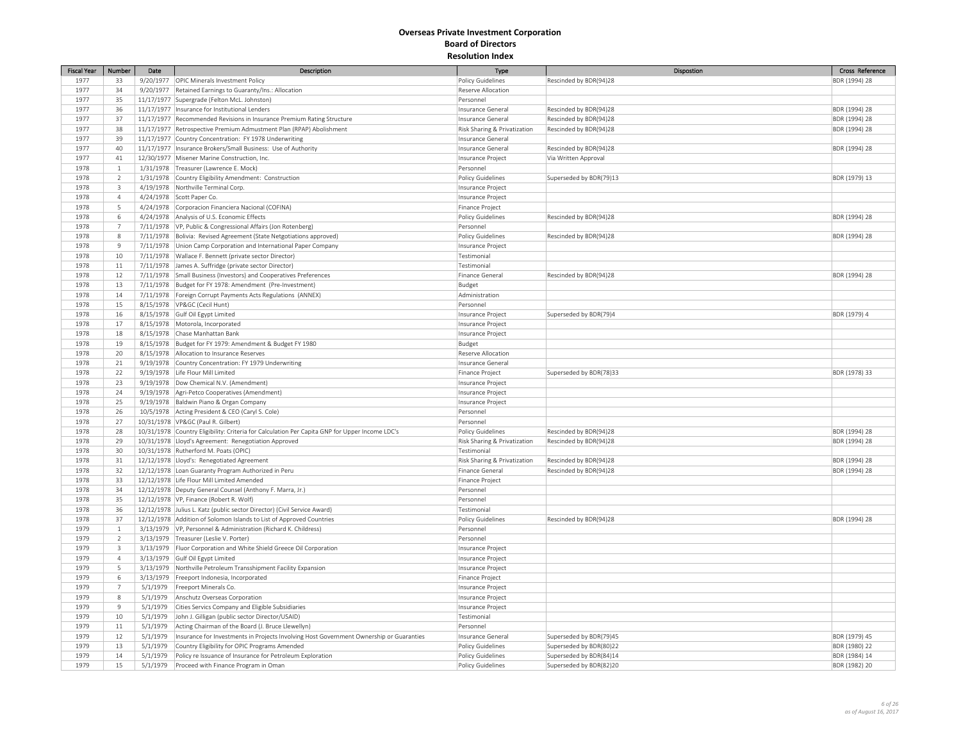| <b>Fiscal Year</b> | Number         | Date     | Description                                                                                    | <b>Type</b>                  | Dispostion              | Cross Reference |
|--------------------|----------------|----------|------------------------------------------------------------------------------------------------|------------------------------|-------------------------|-----------------|
| 1977               | 33             |          | 9/20/1977 OPIC Minerals Investment Policy                                                      | <b>Policy Guidelines</b>     | Rescinded by BDR(94)28  | BDR (1994) 28   |
| 1977               | 34             |          | 9/20/1977 Retained Earnings to Guaranty/Ins.: Allocation                                       | Reserve Allocation           |                         |                 |
| 1977               | 35             |          | 11/17/1977 Supergrade (Felton McL. Johnston)                                                   | Personnel                    |                         |                 |
| 1977               |                |          |                                                                                                |                              |                         |                 |
|                    | 36             |          | 11/17/1977   Insurance for Institutional Lenders                                               | Insurance General            | Rescinded by BDR(94)28  | BDR (1994) 28   |
| 1977               | 37             |          | 11/17/1977 Recommended Revisions in Insurance Premium Rating Structure                         | Insurance General            | Rescinded by BDR(94)28  | BDR (1994) 28   |
| 1977               | 38             |          | 11/17/1977 Retrospective Premium Admustment Plan (RPAP) Abolishment                            | Risk Sharing & Privatization | Rescinded by BDR(94)28  | BDR (1994) 28   |
| 1977               | 39             |          | 11/17/1977 Country Concentration: FY 1978 Underwriting                                         | Insurance General            |                         |                 |
| 1977               | 40             |          | 11/17/1977   Insurance Brokers/Small Business: Use of Authority                                | Insurance General            | Rescinded by BDR(94)28  | BDR (1994) 28   |
| 1977               | 41             |          | 12/30/1977 Misener Marine Construction, Inc.                                                   | Insurance Project            | Via Written Approval    |                 |
| 1978               | $\,1\,$        |          | 1/31/1978 Treasurer (Lawrence E. Mock)                                                         | Personnel                    |                         |                 |
| 1978               | $\overline{2}$ |          | 1/31/1978 Country Eligibility Amendment: Construction                                          | <b>Policy Guidelines</b>     | Superseded by BDR(79)13 | BDR (1979) 13   |
| 1978               | $\overline{3}$ |          | 4/19/1978 Northville Terminal Corp.                                                            | Insurance Project            |                         |                 |
| 1978               | $\overline{4}$ |          | 4/24/1978 Scott Paper Co.                                                                      | Insurance Project            |                         |                 |
| 1978               | 5              |          | 4/24/1978 Corporacion Financiera Nacional (COFINA)                                             | Finance Project              |                         |                 |
| 1978               | $\,$ 6         |          | 4/24/1978 Analysis of U.S. Economic Effects                                                    | Policy Guidelines            | Rescinded by BDR(94)28  | BDR (1994) 28   |
| 1978               | $\overline{7}$ |          | 7/11/1978   VP, Public & Congressional Affairs (Jon Rotenberg)                                 | Personnel                    |                         |                 |
| 1978               | 8              |          |                                                                                                |                              | Rescinded by BDR(94)28  |                 |
|                    |                |          | 7/11/1978 Bolivia: Revised Agreement (State Netgotiations approved)                            | Policy Guidelines            |                         | BDR (1994) 28   |
| 1978               | 9              |          | 7/11/1978 Union Camp Corporation and International Paper Company                               | Insurance Project            |                         |                 |
| 1978               | 10             |          | 7/11/1978 Wallace F. Bennett (private sector Director)                                         | Testimonial                  |                         |                 |
| 1978               | $11\,$         |          | 7/11/1978 James A. Suffridge (private sector Director)                                         | Testimonial                  |                         |                 |
| 1978               | 12             |          | 7/11/1978 Small Business (Investors) and Cooperatives Preferences                              | Finance General              | Rescinded by BDR(94)28  | BDR (1994) 28   |
| 1978               | 13             |          | 7/11/1978 Budget for FY 1978: Amendment (Pre-Investment)                                       | Budget                       |                         |                 |
| 1978               | 14             |          | 7/11/1978 Foreign Corrupt Payments Acts Regulations (ANNEX)                                    | Administration               |                         |                 |
| 1978               | 15             |          | 8/15/1978   VP&GC (Cecil Hunt)                                                                 | Personnel                    |                         |                 |
| 1978               | 16             |          | 8/15/1978 Gulf Oil Egypt Limited                                                               | Insurance Project            | Superseded by BDR(79)4  | BDR (1979) 4    |
| 1978               | 17             |          | 8/15/1978 Motorola, Incorporated                                                               | Insurance Project            |                         |                 |
| 1978               | 18             |          | 8/15/1978 Chase Manhattan Bank                                                                 | Insurance Project            |                         |                 |
| 1978               | 19             |          | 8/15/1978 Budget for FY 1979: Amendment & Budget FY 1980                                       | Budget                       |                         |                 |
|                    |                |          |                                                                                                |                              |                         |                 |
| 1978               | 20             |          | 8/15/1978   Allocation to Insurance Reserves                                                   | Reserve Allocation           |                         |                 |
| 1978               | 21             |          | 9/19/1978 Country Concentration: FY 1979 Underwriting                                          | Insurance General            |                         |                 |
| 1978               | 22             |          | 9/19/1978 Life Flour Mill Limited                                                              | Finance Project              | Superseded by BDR(78)33 | BDR (1978) 33   |
| 1978               | 23             |          | 9/19/1978   Dow Chemical N.V. (Amendment)                                                      | Insurance Project            |                         |                 |
| 1978               | 24             |          | 9/19/1978   Agri-Petco Cooperatives (Amendment)                                                | Insurance Project            |                         |                 |
| 1978               | 25             |          | 9/19/1978   Baldwin Piano & Organ Company                                                      | Insurance Project            |                         |                 |
| 1978               | 26             |          | 10/5/1978 Acting President & CEO (Caryl S. Cole)                                               | Personnel                    |                         |                 |
| 1978               | 27             |          | 10/31/1978   VP&GC (Paul R. Gilbert)                                                           | Personnel                    |                         |                 |
| 1978               | 28             |          | 10/31/1978 Country Eligibility: Criteria for Calculation Per Capita GNP for Upper Income LDC's | Policy Guidelines            | Rescinded by BDR(94)28  | BDR (1994) 28   |
| 1978               | 29             |          | 10/31/1978 Lloyd's Agreement: Renegotiation Approved                                           | Risk Sharing & Privatization | Rescinded by BDR(94)28  | BDR (1994) 28   |
| 1978               | 30             |          | 10/31/1978   Rutherford M. Poats (OPIC)                                                        | Testimonial                  |                         |                 |
| 1978               | 31             |          | 12/12/1978 Lloyd's: Renegotiated Agreement                                                     | Risk Sharing & Privatization | Rescinded by BDR(94)28  | BDR (1994) 28   |
| 1978               | 32             |          | 12/12/1978 Loan Guaranty Program Authorized in Peru                                            | Finance General              | Rescinded by BDR(94)28  | BDR (1994) 28   |
|                    |                |          |                                                                                                |                              |                         |                 |
| 1978               | 33             |          | 12/12/1978 Life Flour Mill Limited Amended                                                     | Finance Project              |                         |                 |
| 1978               | 34             |          | 12/12/1978 Deputy General Counsel (Anthony F. Marra, Jr.)                                      | Personnel                    |                         |                 |
| 1978               | 35             |          | 12/12/1978 VP, Finance (Robert R. Wolf)                                                        | Personnel                    |                         |                 |
| 1978               | 36             |          | 12/12/1978 Julius L. Katz (public sector Director) (Civil Service Award)                       | Testimonial                  |                         |                 |
| 1978               | 37             |          | 12/12/1978 Addition of Solomon Islands to List of Approved Countries                           | Policy Guidelines            | Rescinded by BDR(94)28  | BDR (1994) 28   |
| 1979               | $\mathbf{1}$   |          | 3/13/1979   VP, Personnel & Administration (Richard K. Childress)                              | Personnel                    |                         |                 |
| 1979               | $\overline{2}$ |          | 3/13/1979 Treasurer (Leslie V. Porter)                                                         | Personnel                    |                         |                 |
| 1979               | $\overline{3}$ |          | 3/13/1979 Fluor Corporation and White Shield Greece Oil Corporation                            | Insurance Project            |                         |                 |
| 1979               | $\overline{4}$ |          | 3/13/1979 Gulf Oil Egypt Limited                                                               | Insurance Project            |                         |                 |
| 1979               | 5              |          | 3/13/1979 Northville Petroleum Transshipment Facility Expansion                                | Insurance Project            |                         |                 |
| 1979               | 6              |          | 3/13/1979 Freeport Indonesia, Incorporated                                                     | Finance Project              |                         |                 |
| 1979               | $\overline{7}$ | 5/1/1979 | Freeport Minerals Co.                                                                          | Insurance Project            |                         |                 |
|                    |                |          |                                                                                                |                              |                         |                 |
| 1979               | 8              | 5/1/1979 | Anschutz Overseas Corporation                                                                  | Insurance Project            |                         |                 |
| 1979               | 9              | 5/1/1979 | Cities Servics Company and Eligible Subsidiaries                                               | Insurance Project            |                         |                 |
| 1979               | 10             | 5/1/1979 | John J. Gilligan (public sector Director/USAID)                                                | Testimonial                  |                         |                 |
| 1979               | $11\,$         | 5/1/1979 | Acting Chairman of the Board (J. Bruce Llewellyn)                                              | Personnel                    |                         |                 |
| 1979               | 12             | 5/1/1979 | Insurance for Investments in Projects Involving Host Government Ownership or Guaranties        | Insurance General            | Superseded by BDR(79)45 | BDR (1979) 45   |
| 1979               | 13             | 5/1/1979 | Country Eligibility for OPIC Programs Amended                                                  | <b>Policy Guidelines</b>     | Superseded by BDR(80)22 | BDR (1980) 22   |
| 1979               | 14             | 5/1/1979 | Policy re Issuance of Insurance for Petroleum Exploration                                      | <b>Policy Guidelines</b>     | Superseded by BDR(84)14 | BDR (1984) 14   |
| 1979               | 15             |          | 5/1/1979 Proceed with Finance Program in Oman                                                  | Policy Guidelines            | Superseded by BDR(82)20 | BDR (1982) 20   |
|                    |                |          |                                                                                                |                              |                         |                 |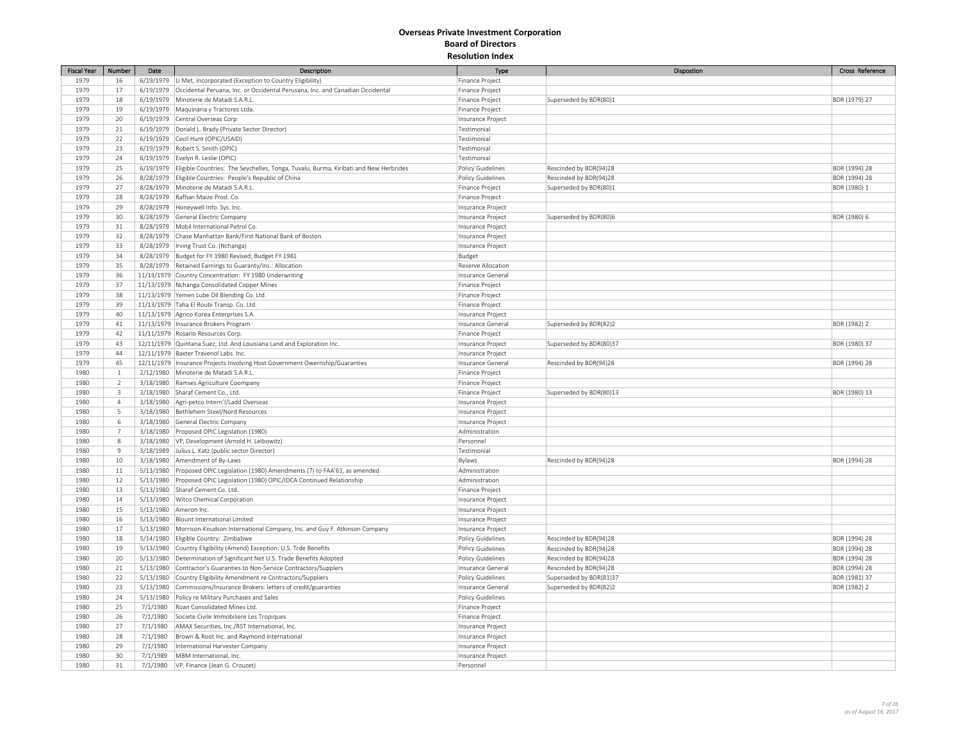| <b>Fiscal Year</b> | Number                  | Date                  | Description                                                                                                           | Type                     | Dispostion                                        | Cross Reference               |
|--------------------|-------------------------|-----------------------|-----------------------------------------------------------------------------------------------------------------------|--------------------------|---------------------------------------------------|-------------------------------|
| 1979               | 16                      |                       | 6/19/1979 Li Met, Incorporated (Exception to Country Eligibility)                                                     | Finance Project          |                                                   |                               |
| 1979               | 17                      |                       | 6/19/1979   Occidental Peruana, Inc. or Occidental Perusana, Inc. and Canadian Occidental                             | Finance Project          |                                                   |                               |
| 1979               | 18                      |                       | 6/19/1979 Minoterie de Matadi S.A.R.L                                                                                 | Finance Project          | Superseded by BDR(80)1                            | BDR (1979) 27                 |
| 1979               | 19                      |                       | 6/19/1979 Maquinaria y Tractores Ltda.                                                                                | Finance Project          |                                                   |                               |
| 1979               | 20                      |                       | 6/19/1979 Central Overseas Corp.                                                                                      | Insurance Project        |                                                   |                               |
| 1979               | 21                      |                       | 6/19/1979   Donald L. Brady (Private Sector Director)                                                                 | Testimonial              |                                                   |                               |
| 1979               | 22                      |                       | 6/19/1979 Cecil Hunt (OPIC/USAID)                                                                                     | Testimonial              |                                                   |                               |
| 1979               | 23                      |                       | 6/19/1979 Robert S. Smith (OPIC)                                                                                      | Testimonial              |                                                   |                               |
| 1979               | 24                      |                       | 6/19/1979 Evelyn R. Leslie (OPIC)                                                                                     | Testimonial              |                                                   |                               |
| 1979               | 25                      |                       | 6/19/1979 Eligible Countries: The Seychelles, Tonga, Tuvalu, Burma, Kiribati and New Herbrides                        | Policy Guidelines        | Rescinded by BDR(94)28                            | BDR (1994) 28                 |
| 1979               | 26                      |                       | 8/28/1979 Eligible Countries: People's Republic of China                                                              | Policy Guidelines        | Rescinded by BDR(94)28                            | BDR (1994) 28                 |
| 1979               | 27                      |                       | 8/28/1979 Minoterie de Matadi S.A.R.L.                                                                                | Finance Project          | Superseded by BDR(80)1                            | BDR (1980) 1                  |
| 1979               | 28                      |                       | 8/28/1979 Rafhan Maize Prod. Co.                                                                                      | Finance Project          |                                                   |                               |
| 1979               | 29                      |                       | 8/28/1979 Honeywell Info. Sys. Inc.                                                                                   | Insurance Project        |                                                   |                               |
| 1979               | 30                      |                       |                                                                                                                       |                          |                                                   |                               |
|                    |                         |                       | 8/28/1979 General Electric Company                                                                                    | Insurance Project        | Superseded by BDR(80)6                            | BDR (1980) 6                  |
| 1979               | 31                      |                       | 8/28/1979 Mobil International Petrol Co.                                                                              | Insurance Project        |                                                   |                               |
| 1979               | 32                      |                       | 8/28/1979 Chase Manhattan Bank/First National Bank of Boston                                                          | Insurance Project        |                                                   |                               |
| 1979               | 33                      |                       | 8/28/1979   Irving Trust Co. (Nchanga)                                                                                | Insurance Project        |                                                   |                               |
| 1979               | 34                      |                       | 8/28/1979 Budget for FY 1980 Revised; Budget FY 1981                                                                  | Budget                   |                                                   |                               |
| 1979               | 35                      |                       | 8/28/1979 Retained Earnings to Guaranty/Ins.: Allocation                                                              | Reserve Allocation       |                                                   |                               |
| 1979               | 36                      |                       | 11/13/1979 Country Concentration: FY 1980 Underwriting                                                                | Insurance General        |                                                   |                               |
| 1979               | 37                      |                       | 11/13/1979 Nchanga Consolidated Copper Mines                                                                          | Finance Project          |                                                   |                               |
| 1979               | 38                      |                       | 11/13/1979 Yemen Lube Oil Blending Co. Ltd.                                                                           | Finance Project          |                                                   |                               |
| 1979               | 39                      |                       | 11/13/1979 Taha El Roubi Transp. Co. Ltd.                                                                             | Finance Project          |                                                   |                               |
| 1979               | 40                      |                       | 11/13/1979 Agrico Korea Enterprises S.A.                                                                              | Insurance Project        |                                                   |                               |
| 1979               | 41                      |                       | 11/13/1979   Insurance Brokers Program                                                                                | Insurance General        | Superseded by BDR(82)2                            | BDR (1982) 2                  |
| 1979               | 42                      |                       | 11/11/1979 Rosario Resources Corp.                                                                                    | Finance Project          |                                                   |                               |
| 1979               | 43                      |                       | 12/11/1979 Quintana Suez, Ltd. And Louisiana Land and Exploration Inc.                                                | Insurance Project        | Superseded by BDR(80)37                           | BDR (1980) 37                 |
| 1979               | 44                      |                       | 12/11/1979 Baxter Travenol Labs. Inc.                                                                                 | Insurance Project        |                                                   |                               |
| 1979               | 45                      |                       | 12/11/1979   Insurance Projects Involving Host Government Owernship/Guaranties                                        | Insurance Genera         | Rescinded by BDR(94)28                            | BDR (1994) 28                 |
| 1980               | $\mathbf{1}$            |                       | 2/12/1980 Minoterie de Matadi S.A.R.L.                                                                                | Finance Project          |                                                   |                               |
| 1980               | $\overline{2}$          |                       | 3/18/1980 Ramses Agriculture Coompany                                                                                 | Finance Project          |                                                   |                               |
| 1980               | $\overline{\mathbf{3}}$ |                       | 3/18/1980 Sharaf Cement Co., Ltd.                                                                                     | Finance Project          | Superseded by BDR(80)13                           | BDR (1980) 13                 |
| 1980               | $\overline{4}$          |                       | 3/18/1980   Agri-petco Intern'l/Ladd Overseas                                                                         | Insurance Project        |                                                   |                               |
| 1980               | 5                       |                       | 3/18/1980 Bethlehem Steel/Nord Resources                                                                              | Insurance Project        |                                                   |                               |
| 1980               | 6                       |                       | 3/18/1980 General Electric Company                                                                                    | Insurance Project        |                                                   |                               |
| 1980               | $\overline{7}$          |                       | 3/18/1980 Proposed OPIC Legislation (1980)                                                                            | Administration           |                                                   |                               |
| 1980               | $\,$ 8                  |                       | 3/18/1980 VP, Development (Arnold H. Leibowitz)                                                                       | Personnel                |                                                   |                               |
| 1980               | $\overline{9}$          |                       | 3/18/1989 Julius L. Katz (public sector Director)                                                                     | Testimonial              |                                                   |                               |
| 1980               | 10                      |                       | 3/18/1980 Amendment of By-Laws                                                                                        | Bylaws                   | Rescinded by BDR(94)28                            | BDR (1994) 28                 |
| 1980               | $11\,$                  |                       | 5/13/1980 Proposed OPIC Legislation (1980) Amendments (7) to FAA'61, as amended                                       | Administration           |                                                   |                               |
| 1980               | 12                      |                       | 5/13/1980 Proposed OPIC Legislation (1980) OPIC/IDCA Continued Relationship                                           | Administration           |                                                   |                               |
| 1980               | 13                      |                       | 5/13/1980 Sharaf Cement Co. Ltd.                                                                                      | Finance Project          |                                                   |                               |
| 1980               | 14                      |                       | 5/13/1980 Witco Chemical Corporation                                                                                  | Insurance Project        |                                                   |                               |
| 1980               | 15                      | 5/13/1980 Ameron Inc. |                                                                                                                       | Insurance Project        |                                                   |                               |
| 1980               | 16                      |                       | 5/13/1980 Blount International Limited                                                                                | Insurance Project        |                                                   |                               |
| 1980               | 17                      |                       | 5/13/1980   Morrison-Knudson International Company, Inc. and Guy F. Atkinson Company                                  | Insurance Project        |                                                   |                               |
| 1980               | 18                      |                       | 5/14/1980 Eligible Country: Zimbabwe                                                                                  | Policy Guidelines        | Rescinded by BDR(94)28                            | BDR (1994) 28                 |
| 1980               | 19                      | 5/13/1980             | Country Eligibility (Amend) Exception: U.S. Trde Benefits                                                             | Policy Guidelines        | Rescinded by BDR(94)28                            | BDR (1994) 28                 |
| 1980               | 20                      | 5/13/1980             | Determination of Significant Net U.S. Trade Benefits Adopted                                                          | Policy Guidelines        | Rescinded by BDR(94)28                            | BDR (1994) 28                 |
| 1980               | $21\,$                  |                       | 5/13/1980 Contractor's Guaranties to Non-Service Contractors/Supplers                                                 | Insurance General        | Rescinded by BDR(94)28                            | BDR (1994) 28                 |
| 1980               |                         |                       |                                                                                                                       |                          |                                                   |                               |
| 1980               | 22<br>23                | 5/13/1980             | Country Eligibility Amendment re Contractors/Suppliers<br>Commissions/Insurance Brokers: letters of credit/guaranties | <b>Policy Guidelines</b> | Superseded by BDR(81)37<br>Superseded by BDR(82)2 | BDR (1981) 37<br>BDR (1982) 2 |
| 1980               | 24                      | 5/13/1980             |                                                                                                                       | Insurance General        |                                                   |                               |
|                    |                         |                       | 5/13/1980 Policy re Military Purchases and Sales                                                                      | Policy Guidelines        |                                                   |                               |
| 1980               | 25                      | 7/1/1980              | Roan Consolidated Mines Ltd.                                                                                          | Finance Project          |                                                   |                               |
| 1980               | 26                      | 7/1/1980              | Societe Civile Immobiliere Les Tropiques                                                                              | Finance Project          |                                                   |                               |
| 1980               | 27                      | 7/1/1980              | AMAX Securities, Inc./RST International, Inc.                                                                         | Insurance Project        |                                                   |                               |
| 1980               | 28                      | 7/1/1980              | Brown & Root Inc. and Raymond International                                                                           | Insurance Project        |                                                   |                               |
| 1980               | 29                      | 7/1/1980              | International Harvester Company                                                                                       | Insurance Project        |                                                   |                               |
| 1980               | 30                      | 7/1/1989              | MBM International, Inc.                                                                                               | Insurance Project        |                                                   |                               |
| 1980               | 31                      | 7/1/1980              | VP, Finance (Jean G. Crouzet)                                                                                         | Personnel                |                                                   |                               |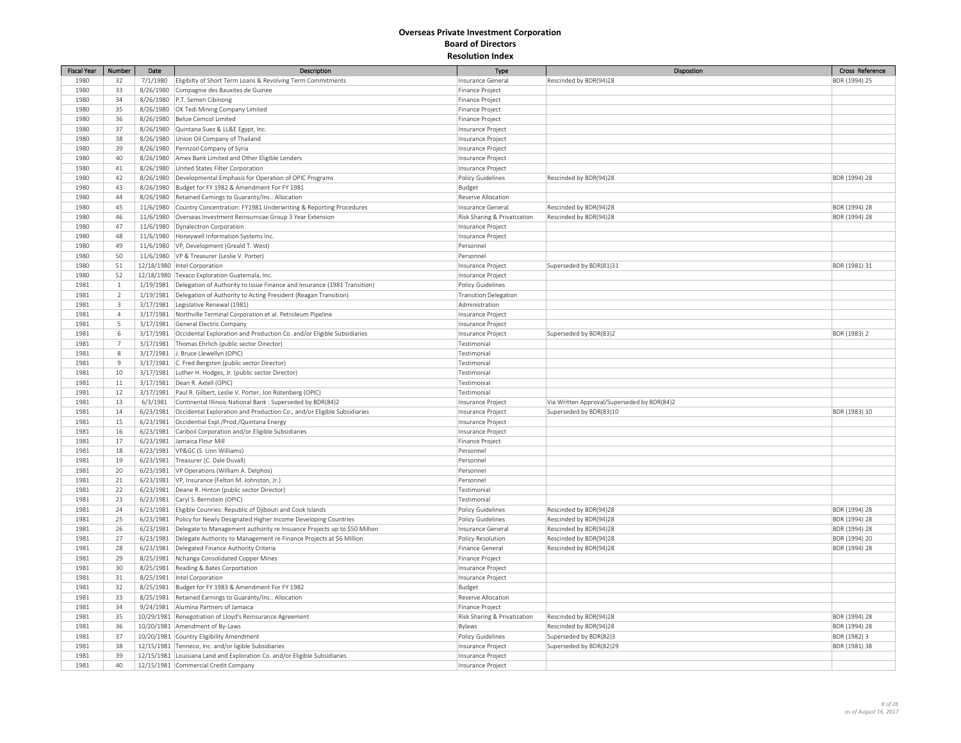| <b>Fiscal Year</b> | Number                  | Date     | Description                                                                          | Type                         | Dispostion                                  | Cross Reference |
|--------------------|-------------------------|----------|--------------------------------------------------------------------------------------|------------------------------|---------------------------------------------|-----------------|
| 1980               | 32                      | 7/1/1980 | Eligibilty of Short Term Loans & Revolving Term Commitments                          | Insurance General            | Rescinded by BDR(94)28                      | BDR (1994) 25   |
| 1980               | 33                      |          | 8/26/1980 Compagnie des Bauxites de Guinee                                           | Finance Project              |                                             |                 |
| 1980               | 34                      |          | 8/26/1980 P.T. Semen Cibinong                                                        | Finance Project              |                                             |                 |
| 1980               | 35                      |          | 8/26/1980   OK Tedi Mining Company Limited                                           | Finance Project              |                                             |                 |
| 1980               | 36                      |          | 8/26/1980 Belize Cemcol Limited                                                      | Finance Project              |                                             |                 |
| 1980               | 37                      |          | 8/26/1980 Quintana Suez & LL&E Egypt, Inc.                                           | Insurance Project            |                                             |                 |
| 1980               | 38                      |          | 8/26/1980 Union Oil Company of Thailand                                              | Insurance Project            |                                             |                 |
| 1980               | 39                      |          | 8/26/1980 Pennzoil Company of Syria                                                  | Insurance Project            |                                             |                 |
| 1980               | 40                      |          | 8/26/1980 Amex Bank Limited and Other Eligible Lenders                               | Insurance Project            |                                             |                 |
| 1980               | 41                      |          | 8/26/1980 United States Filter Corporation                                           | Insurance Project            |                                             |                 |
| 1980               | 42                      |          | 8/26/1980   Developmental Emphasis for Operation of OPIC Programs                    | Policy Guidelines            | Rescinded by BDR(94)28                      | BDR (1994) 28   |
| 1980               | 43                      |          | 8/26/1980 Budget for FY 1982 & Amendment For FY 1981                                 | Budget                       |                                             |                 |
| 1980               | 44                      |          | 8/26/1980 Retained Earnings to Guaranty/Ins.: Allocation                             | Reserve Allocation           |                                             |                 |
| 1980               | 45                      |          | 11/6/1980 Country Concentration: FY1981 Underwriting & Reporting Procedures          | Insurance General            | Rescinded by BDR(94)28                      | BDR (1994) 28   |
| 1980               | 46                      |          | 11/6/1980 Overseas Investment Reinsurncae Group 3 Year Extension                     | Risk Sharing & Privatization | Rescinded by BDR(94)28                      | BDR (1994) 28   |
| 1980               | 47                      |          | 11/6/1980   Dynalectron Corporation                                                  | Insurance Project            |                                             |                 |
| 1980               | 48                      |          | 11/6/1980 Honeywell Information Systems Inc.                                         | Insurance Project            |                                             |                 |
| 1980               | 49                      |          | 11/6/1980 VP, Development (Greald T. West)                                           | Personnel                    |                                             |                 |
| 1980               | 50                      |          | 11/6/1980 VP & Treasurer (Leslie V. Porter)                                          | Personnel                    |                                             |                 |
| 1980               | 51                      |          | 12/18/1980 Intel Corporation                                                         | Insurance Project            | Superseded by BDR(81)31                     | BDR (1981) 31   |
| 1980               | 52                      |          | 12/18/1980 Texaco Exploration Guatemala, Inc.                                        | Insurance Project            |                                             |                 |
| 1981               | $\,$ 1                  |          | 1/19/1981   Delegation of Authority to Issue Finance and Insurance (1981 Transition) | Policy Guidelines            |                                             |                 |
| 1981               | $\overline{2}$          |          | 1/19/1981 Delegation of Authority to Acting President (Reagan Transition)            | Transition Delegation        |                                             |                 |
| 1981               | $\overline{\mathbf{3}}$ |          | 3/17/1981 Legislative Renewal (1981)                                                 | Administration               |                                             |                 |
| 1981               | $\overline{4}$          |          | 3/17/1981 Northville Terminal Corporation et al. Petroleum Pipeline                  | Insurance Project            |                                             |                 |
| 1981               | 5                       |          | 3/17/1981 General Electric Company                                                   | Insurance Project            |                                             |                 |
| 1981               | $\,$ 6                  |          | 3/17/1981 Occidental Exploration and Production Co. and/or Eligible Subsidiaries     | Insurance Project            | Superseded by BDR(83)2                      | BDR (1983) 2    |
| 1981               | $\overline{7}$          |          | 3/17/1981 Thomas Ehrlich (public sector Director)                                    | Testimonial                  |                                             |                 |
| 1981               | $8\phantom{.0}$         |          | 3/17/1981 J. Bruce Llewellyn (OPIC)                                                  | Testimonial                  |                                             |                 |
| 1981               | $\overline{9}$          |          | 3/17/1981 C. Fred Bergsten (public sector Director)                                  | Testimonial                  |                                             |                 |
| 1981               | 10                      |          | 3/17/1981 Luther H. Hodges, Jr. (public sector Director)                             | Testimonial                  |                                             |                 |
| 1981               | $11\,$                  |          | 3/17/1981 Dean R. Axtell (OPIC)                                                      | Testimonial                  |                                             |                 |
| 1981               | 12                      |          | 3/17/1981   Paul R. Gilbert, Leslie V. Porter, Jon Rotenberg (OPIC)                  | Testimonial                  |                                             |                 |
| 1981               | 13                      | 6/3/1981 | Continental Illinois National Bank : Superseded by BDR(84)2                          | Insurance Project            | Via Written Approval/Superseded by BDR(84)2 |                 |
| 1981               | 14                      |          | 6/23/1981 Occidental Exploration and Production Co., and/or Eligible Subsidiaries    | Insurance Project            | Superseded by BDR(83)10                     | BDR (1983) 10   |
| 1981               | 15                      |          | 6/23/1981 Occidential Expl./Prod./Quintana Energy                                    | Insurance Project            |                                             |                 |
| 1981               | 16                      |          | 6/23/1981 Cariboil Corporation and/or Eligible Subsidiaries                          | Insurance Project            |                                             |                 |
| 1981               | 17                      |          | 6/23/1981 Jamaica Flour Mill                                                         | Finance Project              |                                             |                 |
| 1981               | 18                      |          | 6/23/1981   VP&GC (S. Linn Williams)                                                 | Personnel                    |                                             |                 |
| 1981               | 19                      |          | 6/23/1981   Treasurer (C. Dale Duvall)                                               | Personnel                    |                                             |                 |
| 1981               | 20                      |          | 6/23/1981   VP Operations (William A. Delphos)                                       | Personnel                    |                                             |                 |
| 1981               | 21                      |          | 6/23/1981   VP, Insurance (Felton M. Johnston, Jr.)                                  | Personnel                    |                                             |                 |
| 1981               | 22                      |          | 6/23/1981   Deane R. Hinton (public sector Director)                                 | Testimonial                  |                                             |                 |
| 1981               | 23                      |          | 6/23/1981 Caryl S. Bernstein (OPIC)                                                  | Testimonial                  |                                             |                 |
| 1981               | 24                      |          | 6/23/1981 Eligible Counries: Republic of Djibouti and Cook Islands                   | <b>Policy Guidelines</b>     | Rescinded by BDR(94)28                      | BDR (1994) 28   |
| 1981               | 25                      |          | 6/23/1981 Policy for Newly Designated Higher Income Developing Countries             | Policy Guidelines            | Rescinded by BDR(94)28                      | BDR (1994) 28   |
| 1981               | 26                      |          | 6/23/1981 Delegate to Management authority re Insuance Projects up to \$50 Million   | Insurance Genera             | Rescinded by BDR(94)28                      | BDR (1994) 28   |
| 1981               | 27                      |          | 6/23/1981 Delegate Authority to Management re Finance Projects at \$6 Million        | Policy Resolution            | Rescinded by BDR(94)28                      | BDR (1994) 20   |
| 1981               | 28                      |          | 6/23/1981 Delegated Finance Authority Criteria                                       | Finance General              | Rescinded by BDR(94)28                      | BDR (1994) 28   |
| 1981               | 29                      |          | 8/25/1981 Nchanga Consolidated Copper Mines                                          | Finance Project              |                                             |                 |
| 1981               | 30                      |          | 8/25/1981 Reading & Bates Corportation                                               | Insurance Project            |                                             |                 |
| 1981               | 31                      |          | 8/25/1981  Intel Corporation                                                         | Insurance Project            |                                             |                 |
| 1981               | 32                      |          | 8/25/1981 Budget for FY 1983 & Amendment For FY 1982                                 | Budget                       |                                             |                 |
| 1981               | 33                      |          | 8/25/1981 Retained Earnings to Guaranty/Ins.: Allocation                             | Reserve Allocation           |                                             |                 |
| 1981               | 34                      |          | 9/24/1981 Alumina Partners of Jamaica                                                | Finance Project              |                                             |                 |
| 1981               | 35                      |          | 10/29/1981 Renegotiation of Lloyd's Reinsurance Agreement                            | Risk Sharing & Privatization | Rescinded by BDR(94)28                      | BDR (1994) 28   |
| 1981               | 36                      |          | 10/20/1981 Amendment of By-Laws                                                      | Bylaws                       | Rescinded by BDR(94)28                      | BDR (1994) 28   |
| 1981               | 37                      |          | 10/20/1981 Country Eligibility Amendment                                             | Policy Guidelines            | Superseded by BDR(82)3                      | BDR (1982) 3    |
| 1981               | 38                      |          | 12/15/1981 Tenneco, Inc. and/or ligible Subsidiaries                                 | Insurance Project            | Superseded by BDR(82)29                     | BDR (1981) 38   |
| 1981               | 39                      |          | 12/15/1981 Louisiana Land and Exploration Co. and/or Eligible Subsidiaries           | Insurance Project            |                                             |                 |
| 1981               | 40                      |          | 12/15/1981 Commercial Credit Company                                                 | Insurance Project            |                                             |                 |
|                    |                         |          |                                                                                      |                              |                                             |                 |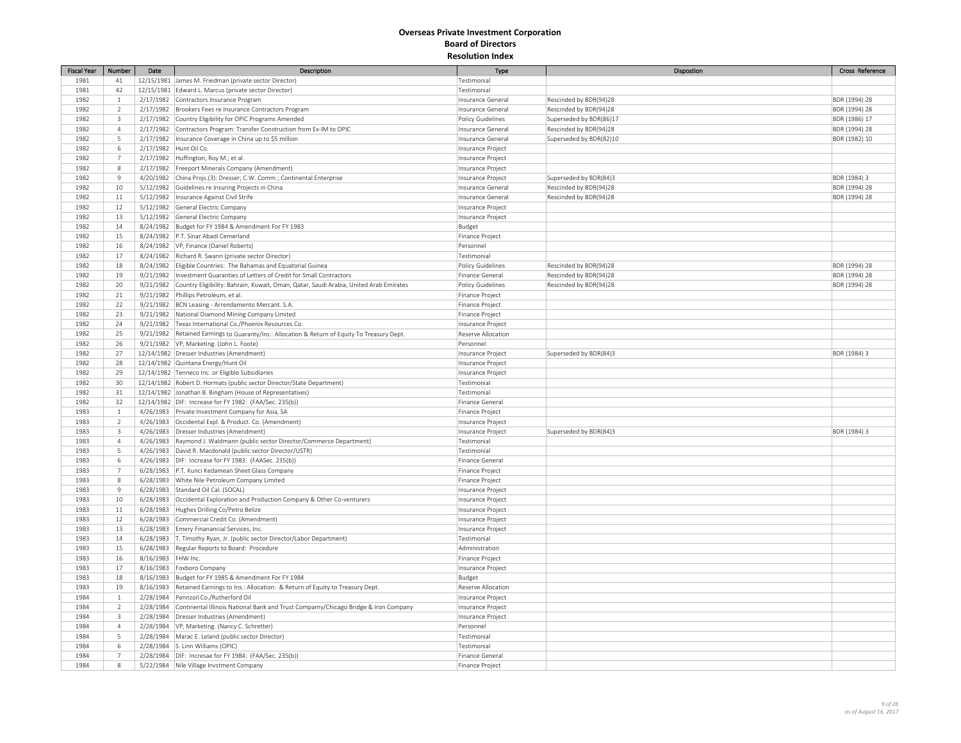| <b>Fiscal Year</b> | Number                  | Date               | Description                                                                                   | Type               | Dispostion              | Cross Reference |
|--------------------|-------------------------|--------------------|-----------------------------------------------------------------------------------------------|--------------------|-------------------------|-----------------|
| 1981               | 41                      |                    | 12/15/1981 James M. Friedman (private sector Director)                                        | Testimonial        |                         |                 |
| 1981               | 42                      |                    | 12/15/1981 Edward L. Marcus (private sector Director)                                         | Testimonial        |                         |                 |
| 1982               | $\mathbf{1}$            |                    | 2/17/1982 Contractors Insurance Program                                                       | Insurance General  | Rescinded by BDR(94)28  | BDR (1994) 28   |
| 1982               | $\overline{2}$          |                    | 2/17/1982 Brookers Fees re Insurance Contractors Program                                      | Insurance General  | Rescinded by BDR(94)28  | BDR (1994) 28   |
| 1982               | $\overline{\mathbf{3}}$ |                    | 2/17/1982 Country Eligibility for OPIC Programs Amended                                       | Policy Guidelines  | Superseded by BDR(86)17 | BDR (1986) 17   |
| 1982               | $\overline{4}$          |                    | 2/17/1982 Contractors Program: Transfer Construction from Ex-IM to OPIC                       | Insurance General  | Rescinded by BDR(94)28  | BDR (1994) 28   |
| 1982               | 5                       |                    | 2/17/1982   Insurance Coverage in China up to \$5 million                                     | Insurance Genera   | Superseded by BDR(82)10 | BDR (1982) 10   |
| 1982               | 6                       | 2/17/1982          | Hunt Oil Co.                                                                                  | Insurance Project  |                         |                 |
| 1982               | $\overline{7}$          |                    | 2/17/1982 Huffington, Roy M.; et al.                                                          | Insurance Project  |                         |                 |
| 1982               | $\,$ 8                  |                    | 2/17/1982 Freeport Minerals Company (Amendment)                                               | Insurance Project  |                         |                 |
| 1982               | $\overline{9}$          |                    | 4/20/1982 China Projs.(3): Dresser; C.W. Comm.; Continental Enterprise                        | Insurance Project  | Superseded by BDR(84)3  | BDR (1984) 3    |
| 1982               | 10                      |                    | 5/12/1982 Guidelines re Insuring Projects in China                                            | Insurance Genera   | Rescinded by BDR(94)28  | BDR (1994) 28   |
| 1982               | $11\,$                  |                    | 5/12/1982  Insurance Against Civil Strife                                                     | Insurance General  | Rescinded by BDR(94)28  | BDR (1994) 28   |
| 1982               | 12                      |                    | 5/12/1982 General Electric Company                                                            | Insurance Project  |                         |                 |
| 1982               | 13                      | 5/12/1982          | General Electric Company                                                                      | Insurance Project  |                         |                 |
| 1982               | 14                      |                    | 8/24/1982 Budget for FY 1984 & Amendment For FY 1983                                          | Budget             |                         |                 |
| 1982               | 15                      |                    | 8/24/1982   P.T. Sinar Abadi Cemerland                                                        | Finance Project    |                         |                 |
| 1982               | 16                      |                    | 8/24/1982 VP, Finance (Daniel Roberts)                                                        | Personnel          |                         |                 |
| 1982               | 17                      |                    | 8/24/1982 Richard R. Swann (private sector Director)                                          | Testimonial        |                         |                 |
| 1982               | 18                      |                    | 8/24/1982 Eligible Countries: The Bahamas and Equatorial Guinea                               | Policy Guidelines  | Rescinded by BDR(94)28  | BDR (1994) 28   |
|                    |                         |                    |                                                                                               |                    |                         |                 |
| 1982               | 19                      |                    | 9/21/1982  Investment Guaranties of Letters of Credit for Small Contractors                   | Finance General    | Rescinded by BDR(94)28  | BDR (1994) 28   |
| 1982               | 20                      | 9/21/1982          | Country Eligibility: Bahrain, Kuwait, Oman, Qatar, Saudi Arabia, United Arab Emirates         | Policy Guidelines  | Rescinded by BDR(94)28  | BDR (1994) 28   |
| 1982               | 21                      |                    | 9/21/1982 Phillips Petroleum, et al.                                                          | Finance Project    |                         |                 |
| 1982               | 22                      |                    | 9/21/1982 BCN Leasing - Arrendamento Mercant. S.A.                                            | Finance Project    |                         |                 |
| 1982               | 23                      | 9/21/1982          | National Diamond Mining Company Limited                                                       | Finance Project    |                         |                 |
| 1982               | 24                      |                    | 9/21/1982 Texas International Co./Phoenix Resources Co.                                       | Insurance Project  |                         |                 |
| 1982               | 25                      |                    | 9/21/1982 Retained Earnings to Guaranty/Ins.: Allocation & Return of Equity To Treasury Dept. | Reserve Allocation |                         |                 |
| 1982               | 26                      |                    | 9/21/1982  VP, Marketing. (John L. Foote)                                                     | Personnel          |                         |                 |
| 1982               | 27                      |                    | 12/14/1982 Dresser Industries (Amendment)                                                     | Insurance Project  | Superseded by BDR(84)3  | BDR (1984) 3    |
| 1982               | 28                      |                    | 12/14/1982 Quintana Energy/Hunt Oil                                                           | Insurance Project  |                         |                 |
| 1982               | 29                      |                    | 12/14/1982 Tenneco Inc. or Eligible Subsidiaries                                              | Insurance Project  |                         |                 |
| 1982               | 30                      |                    | 12/14/1982 Robert D. Hormats (public sector Director/State Department)                        | Testimonial        |                         |                 |
| 1982               | 31                      |                    | 12/14/1982 Jonathan B. Bingham (House of Representatives)                                     | Testimonial        |                         |                 |
| 1982               | 32                      |                    | 12/14/1982 DIF: Increase for FY 1982: (FAA/Sec. 235(b))                                       | Finance General    |                         |                 |
| 1983               | $\,$ 1                  |                    | 4/26/1983 Private Investment Company for Asia, SA                                             | Finance Project    |                         |                 |
| 1983               | $\overline{2}$          |                    | 4/26/1983 Occidental Expl. & Product. Co. (Amendment)                                         | Insurance Project  |                         |                 |
| 1983               | $\overline{\mathbf{3}}$ |                    | 4/26/1983   Dresser Industries (Amendment)                                                    | Insurance Project  | Superseded by BDR(84)3  | BDR (1984) 3    |
| 1983               | $\overline{4}$          |                    | 4/26/1983 Raymond J. Waldmann (public sector Director/Commerce Department)                    | Testimonial        |                         |                 |
| 1983               | 5                       |                    | 4/26/1983 David R. Macdonald (public sector Director/USTR)                                    | Testimonial        |                         |                 |
| 1983               | 6                       |                    | 4/26/1983 DIF: Increase for FY 1983: (FAASec. 235(b))                                         | Finance General    |                         |                 |
| 1983               | $\overline{7}$          |                    | 6/28/1983 P.T. Kunci Kedamean Sheet Glass Company                                             | Finance Project    |                         |                 |
| 1983               | $\,$ 8                  |                    | 6/28/1983 White Nile Petroleum Company Limited                                                | Finance Project    |                         |                 |
| 1983               | $\overline{9}$          |                    | 6/28/1983 Standard Oil Cal. (SOCAL)                                                           | Insurance Project  |                         |                 |
| 1983               | 10                      |                    | 6/28/1983 Occidental Exploration and Production Company & Other Co-venturers                  | Insurance Project  |                         |                 |
| 1983               | $11\,$                  |                    | 6/28/1983 Hughes Drilling Co/Petro Belize                                                     | Insurance Project  |                         |                 |
| 1983               | 12                      |                    | 6/28/1983 Commercial Credit Co. (Amendment)                                                   | Insurance Project  |                         |                 |
| 1983               | 13                      |                    | 6/28/1983 Emery Finanancial Services, Inc.                                                    | Insurance Project  |                         |                 |
| 1983               | 14                      |                    | 6/28/1983 T. Timothy Ryan, Jr. (public sector Director/Labor Department)                      | Testimonial        |                         |                 |
| 1983               | 15                      |                    | 6/28/1983 Regular Reports to Board: Procedure                                                 | Administration     |                         |                 |
| 1983               | 16                      | 8/16/1983 FHW Inc. |                                                                                               | Finance Project    |                         |                 |
| 1983               | 17                      |                    | 8/16/1983 Foxboro Company                                                                     | Insurance Project  |                         |                 |
| 1983               | 18                      |                    | 8/16/1983  Budget for FY 1985 & Amendment For FY 1984                                         | Budget             |                         |                 |
| 1983               | 19                      |                    | 8/16/1983 Retained Earnings to Ins.: Allocation: & Return of Equity to Treasury Dept.         | Reserve Allocation |                         |                 |
| 1984               | $\mathbf{1}$            |                    | 2/28/1984 Pennzoil Co./Rutherford Oil                                                         | Insurance Project  |                         |                 |
| 1984               | $\overline{2}$          |                    | 2/28/1984 Continental Illinois National Bank and Trust Compamy/Chicago Bridge & Iron Company  | Insurance Project  |                         |                 |
| 1984               | $\overline{\mathbf{3}}$ |                    | 2/28/1984   Dresser Industries (Amendment)                                                    | Insurance Project  |                         |                 |
| 1984               | $\overline{4}$          |                    | 2/28/1984   VP, Marketing. (Nancy C. Schretter)                                               | Personnel          |                         |                 |
| 1984               | 5                       |                    | 2/28/1984   Marac E. Leland (public sector Director)                                          | Testimonial        |                         |                 |
| 1984               | 6                       |                    | 2/28/1984 S. Linn Williams (OPIC)                                                             | Testimonial        |                         |                 |
| 1984               | $\overline{7}$          |                    | 2/28/1984   DIF: Incresae for FY 1984: (FAA/Sec. 235(b))                                      | Finance General    |                         |                 |
| 1984               | $\,$ 8                  |                    | 5/22/1984 Nile Village Invstment Company                                                      | Finance Project    |                         |                 |
|                    |                         |                    |                                                                                               |                    |                         |                 |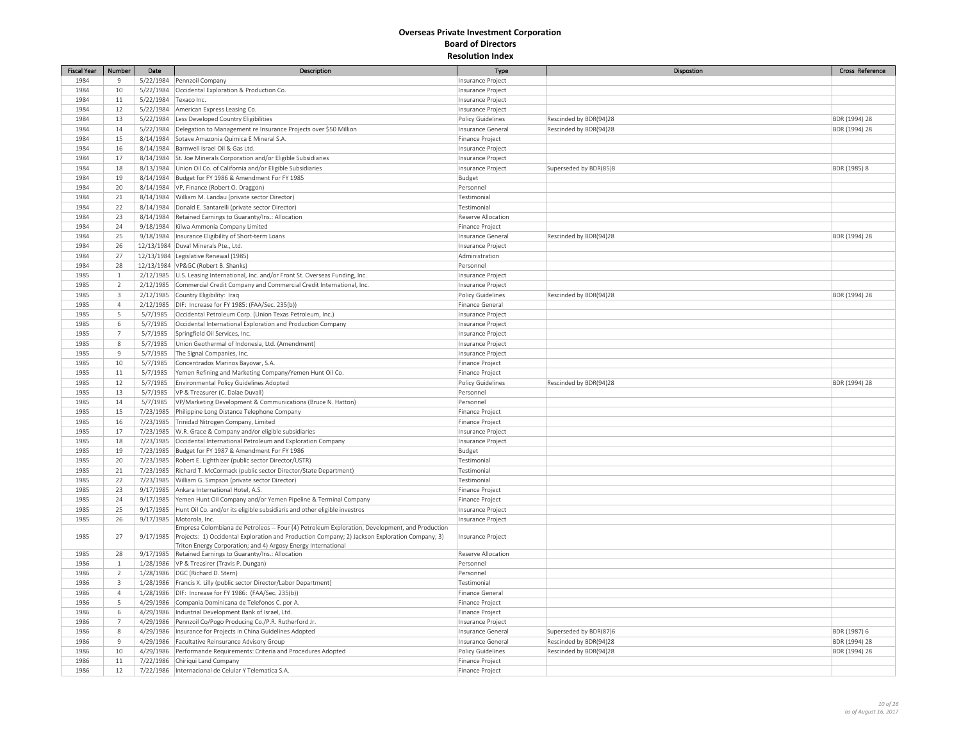| <b>Fiscal Year</b> | Number                  | Date                  | Description                                                                                                                                                                                                | Type                     | Dispostion             | Cross Reference |
|--------------------|-------------------------|-----------------------|------------------------------------------------------------------------------------------------------------------------------------------------------------------------------------------------------------|--------------------------|------------------------|-----------------|
| 1984               | $\overline{9}$          |                       | 5/22/1984 Pennzoil Company                                                                                                                                                                                 | Insurance Project        |                        |                 |
| 1984               | 10                      |                       | 5/22/1984 Occidental Exploration & Production Co.                                                                                                                                                          | Insurance Project        |                        |                 |
| 1984               | 11                      | 5/22/1984 Texaco Inc. |                                                                                                                                                                                                            | Insurance Project        |                        |                 |
| 1984               | 12                      |                       | 5/22/1984 American Express Leasing Co.                                                                                                                                                                     | Insurance Project        |                        |                 |
| 1984               | 13                      |                       | 5/22/1984 Less Developed Country Eligibilities                                                                                                                                                             | Policy Guidelines        | Rescinded by BDR(94)28 | BDR (1994) 28   |
| 1984               | 14                      |                       | 5/22/1984 Delegation to Management re Insurance Projects over \$50 Million                                                                                                                                 | Insurance Genera         | Rescinded by BDR(94)28 | BDR (1994) 28   |
| 1984               | 15                      |                       | 8/14/1984 Sotave Amazonia Quimica E Mineral S.A.                                                                                                                                                           | Finance Project          |                        |                 |
| 1984               | 16                      |                       | 8/14/1984 Barnwell Israel Oil & Gas Ltd.                                                                                                                                                                   | Insurance Project        |                        |                 |
| 1984               | 17                      |                       | 8/14/1984 St. Joe Minerals Corporation and/or Eligible Subsidiaries                                                                                                                                        | Insurance Project        |                        |                 |
| 1984               | 18                      |                       | 8/13/1984 Union Oil Co. of California and/or Eligible Subsidiaries                                                                                                                                         | Insurance Project        | Superseded by BDR(85)8 | BDR (1985) 8    |
| 1984               | 19                      |                       | 8/14/1984   Budget for FY 1986 & Amendment For FY 1985                                                                                                                                                     | Budget                   |                        |                 |
| 1984               | 20                      |                       | 8/14/1984   VP, Finance (Robert O. Draggon)                                                                                                                                                                | Personnel                |                        |                 |
| 1984               | 21                      |                       | 8/14/1984 William M. Landau (private sector Director)                                                                                                                                                      | Testimonial              |                        |                 |
| 1984               | 22                      |                       | 8/14/1984 Donald E. Santarelli (private sector Director)                                                                                                                                                   | Testimonial              |                        |                 |
| 1984               | 23                      |                       | 8/14/1984 Retained Earnings to Guaranty/Ins.: Allocation                                                                                                                                                   | Reserve Allocation       |                        |                 |
| 1984               | 24                      |                       | 9/18/1984 Kilwa Ammonia Company Limited                                                                                                                                                                    | Finance Project          |                        |                 |
| 1984               | 25                      |                       | 9/18/1984   Insurance Eligibility of Short-term Loans                                                                                                                                                      | Insurance General        | Rescinded by BDR(94)28 | BDR (1994) 28   |
| 1984               | 26                      |                       | 12/13/1984 Duval Minerals Pte., Ltd.                                                                                                                                                                       | Insurance Project        |                        |                 |
| 1984               | 27                      |                       | 12/13/1984 Legislative Renewal (1985)                                                                                                                                                                      | Administration           |                        |                 |
| 1984               | 28                      |                       | 12/13/1984 VP&GC (Robert B. Shanks)                                                                                                                                                                        | Personnel                |                        |                 |
| 1985               | $\mathbf{1}$            |                       | 2/12/1985 U.S. Leasing International, Inc. and/or Front St. Overseas Funding, Inc.                                                                                                                         | Insurance Project        |                        |                 |
| 1985               | $\overline{2}$          |                       | 2/12/1985 Commercial Credit Company and Commercial Credit International, Inc.                                                                                                                              | Insurance Project        |                        |                 |
| 1985               | $\overline{\mathbf{3}}$ |                       | 2/12/1985 Country Eligibility: Iraq                                                                                                                                                                        | Policy Guidelines        | Rescinded by BDR(94)28 | BDR (1994) 28   |
| 1985               | $\overline{4}$          |                       | 2/12/1985   DIF: Increase for FY 1985: (FAA/Sec. 235(b))                                                                                                                                                   | Finance General          |                        |                 |
| 1985               | 5                       | 5/7/1985              | Occidental Petroleum Corp. (Union Texas Petroleum, Inc.)                                                                                                                                                   | Insurance Project        |                        |                 |
| 1985               |                         |                       | Occidental International Exploration and Production Company                                                                                                                                                |                          |                        |                 |
|                    | 6<br>$\overline{7}$     | 5/7/1985              | Springfield Oil Services, Inc.                                                                                                                                                                             | Insurance Project        |                        |                 |
| 1985               |                         | 5/7/1985              |                                                                                                                                                                                                            | Insurance Project        |                        |                 |
| 1985<br>1985       | $\,$ 8<br>$9$           | 5/7/1985              | Union Geothermal of Indonesia, Ltd. (Amendment)                                                                                                                                                            | Insurance Project        |                        |                 |
|                    |                         | 5/7/1985              | The Signal Companies, Inc.                                                                                                                                                                                 | Insurance Project        |                        |                 |
| 1985               | 10                      | 5/7/1985              | Concentrados Marinos Bayovar, S.A.                                                                                                                                                                         | Finance Project          |                        |                 |
| 1985               | $11\,$                  | 5/7/1985              | Yemen Refining and Marketing Company/Yemen Hunt Oil Co.                                                                                                                                                    | Finance Project          |                        |                 |
| 1985               | $12\,$                  | 5/7/1985              | Environmental Policy Guidelines Adopted                                                                                                                                                                    | Policy Guidelines        | Rescinded by BDR(94)28 | BDR (1994) 28   |
| 1985               | 13                      | 5/7/1985              | VP & Treasurer (C. Dalae Duvall)                                                                                                                                                                           | Personnel                |                        |                 |
| 1985               | 14                      | 5/7/1985              | VP/Marketing Development & Communications (Bruce N. Hatton)                                                                                                                                                | Personnel                |                        |                 |
| 1985               | 15                      |                       | 7/23/1985 Philippine Long Distance Telephone Company                                                                                                                                                       | Finance Project          |                        |                 |
| 1985               | 16                      |                       | 7/23/1985 Trinidad Nitrogen Company, Limited                                                                                                                                                               | Finance Project          |                        |                 |
| 1985               | 17                      |                       | 7/23/1985 W.R. Grace & Company and/or eligible subsidiaries                                                                                                                                                | Insurance Project        |                        |                 |
| 1985               | 18                      |                       | 7/23/1985 Occidental International Petroleum and Exploration Company                                                                                                                                       | Insurance Project        |                        |                 |
| 1985               | 19                      |                       | 7/23/1985 Budget for FY 1987 & Amendment For FY 1986                                                                                                                                                       | Budget                   |                        |                 |
| 1985               | 20                      |                       | 7/23/1985 Robert E. Lighthizer (public sector Director/USTR)                                                                                                                                               | Testimonial              |                        |                 |
| 1985               | 21                      |                       | 7/23/1985 Richard T. McCormack (public sector Director/State Department)                                                                                                                                   | Testimonial              |                        |                 |
| 1985               | 22                      |                       | 7/23/1985   William G. Simpson (private sector Director)                                                                                                                                                   | Testimonial              |                        |                 |
| 1985               | 23                      |                       | 9/17/1985 Ankara International Hotel, A.S.                                                                                                                                                                 | Finance Project          |                        |                 |
| 1985               | 24                      |                       | 9/17/1985 Yemen Hunt Oil Company and/or Yemen Pipeline & Terminal Company                                                                                                                                  | Finance Project          |                        |                 |
| 1985               | 25                      |                       | 9/17/1985 Hunt Oil Co. and/or its eligible subsidiaris and other eligible investros                                                                                                                        | Insurance Project        |                        |                 |
| 1985               | 26                      |                       | 9/17/1985 Motorola, Inc.                                                                                                                                                                                   | Insurance Project        |                        |                 |
| 1985               | 27                      |                       | Empresa Colombiana de Petroleos -- Four (4) Petroleum Exploration, Development, and Production<br>9/17/1985 Projects: 1) Occidental Exploration and Production Company; 2) Jackson Exploration Company; 3) | Insurance Project        |                        |                 |
|                    |                         |                       | Triton Energy Corporation; and 4) Argosy Energy International                                                                                                                                              |                          |                        |                 |
| 1985               | 28                      |                       | 9/17/1985 Retained Earnings to Guaranty/Ins.: Allocation                                                                                                                                                   | Reserve Allocation       |                        |                 |
| 1986               | $\mathbf{1}$            |                       | 1/28/1986   VP & Treasirer (Travis P. Dungan)                                                                                                                                                              | Personnel                |                        |                 |
| 1986               | $\overline{2}$          |                       | 1/28/1986   DGC (Richard D. Stern)                                                                                                                                                                         | Personnel                |                        |                 |
| 1986               | $\overline{3}$          |                       | 1/28/1986   Francis X. Lilly (public sector Director/Labor Department)                                                                                                                                     | Testimonial              |                        |                 |
| 1986               | $\overline{4}$          |                       | 1/28/1986 DIF: Increase for FY 1986: (FAA/Sec. 235(b))                                                                                                                                                     | Finance General          |                        |                 |
| 1986               | 5                       |                       | 4/29/1986 Compania Dominicana de Telefonos C. por A.                                                                                                                                                       | Finance Project          |                        |                 |
| 1986               | 6                       |                       | 4/29/1986  Industrial Development Bank of Israel, Ltd.                                                                                                                                                     | Finance Project          |                        |                 |
| 1986               | $\overline{7}$          |                       | 4/29/1986 Pennzoil Co/Pogo Producing Co./P.R. Rutherford Jr.                                                                                                                                               | Insurance Project        |                        |                 |
| 1986               | $\,$ 8                  |                       | 4/29/1986   Insurance for Projects in China Guidelines Adopted                                                                                                                                             | Insurance Genera         | Superseded by BDR(87)6 | BDR (1987) 6    |
| 1986               | $\overline{9}$          |                       | 4/29/1986 Facultative Reinsurance Advisory Group                                                                                                                                                           | Insurance General        | Rescinded by BDR(94)28 | BDR (1994) 28   |
| 1986               | 10                      |                       | 4/29/1986 Performande Requirements: Criteria and Procedures Adopted                                                                                                                                        | <b>Policy Guidelines</b> | Rescinded by BDR(94)28 | BDR (1994) 28   |
| 1986               | 11                      |                       | 7/22/1986 Chiriqui Land Company                                                                                                                                                                            | Finance Project          |                        |                 |
| 1986               | $12\,$                  |                       | 7/22/1986   Internacional de Celular Y Telematica S.A.                                                                                                                                                     | Finance Project          |                        |                 |
|                    |                         |                       |                                                                                                                                                                                                            |                          |                        |                 |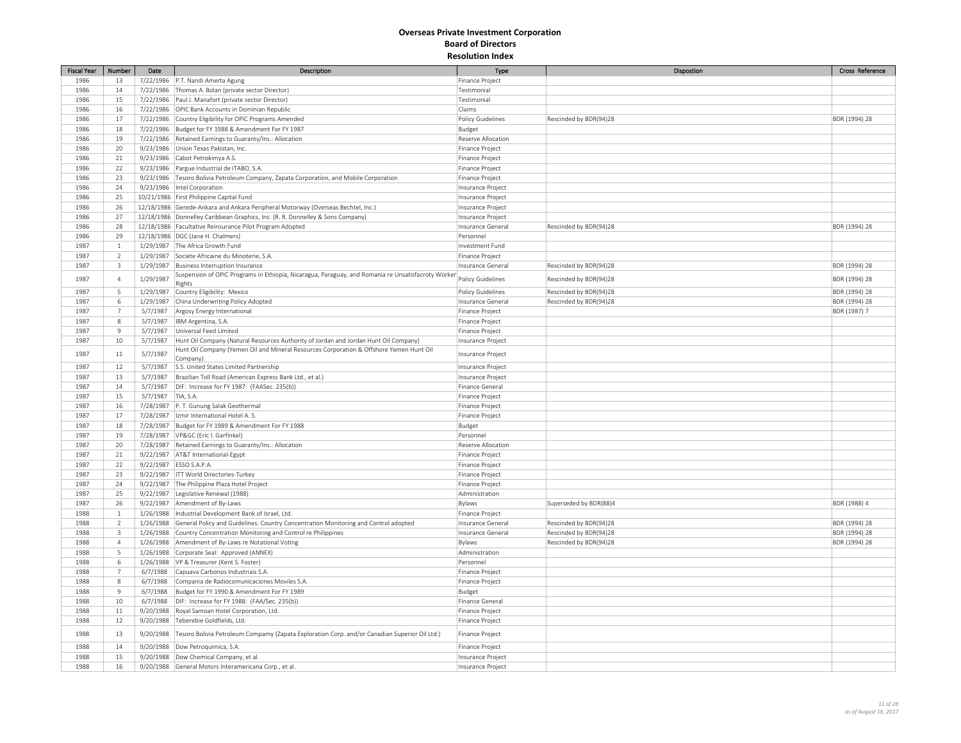| <b>Fiscal Year</b> | Number         | Date      | Description                                                                                                                                                                     | Type                               | Dispostion             | Cross Reference |
|--------------------|----------------|-----------|---------------------------------------------------------------------------------------------------------------------------------------------------------------------------------|------------------------------------|------------------------|-----------------|
| 1986               | 13             |           | 7/22/1986 P.T. Nandi Amerta Agung                                                                                                                                               | Finance Project                    |                        |                 |
| 1986               | 14             | 7/22/1986 | Thomas A. Bolan (private sector Director)                                                                                                                                       | Testimonial                        |                        |                 |
| 1986               | 15             |           | 7/22/1986 Paul J. Manafort (private sector Director)                                                                                                                            | Testimonial                        |                        |                 |
| 1986               | 16             |           | 7/22/1986 OPIC Bank Accounts in Dominian Republic                                                                                                                               | Claims                             |                        |                 |
| 1986               | 17             |           | 7/22/1986 Country Eligibility for OPIC Programs Amended                                                                                                                         | Policy Guidelines                  | Rescinded by BDR(94)28 | BDR (1994) 28   |
| 1986               | 18             |           | 7/22/1986 Budget for FY 1988 & Amendment For FY 1987                                                                                                                            | Budget                             |                        |                 |
| 1986               | 19             | 7/22/1986 | Retained Earnings to Guaranty/Ins.: Allocation                                                                                                                                  | Reserve Allocation                 |                        |                 |
| 1986               | 20             | 9/23/1986 | Union Texas Pakistan, Inc.                                                                                                                                                      | Finance Project                    |                        |                 |
| 1986               | 21             |           | 9/23/1986 Cabot Petrokimya A.S.                                                                                                                                                 | Finance Project                    |                        |                 |
| 1986               | 22             |           | 9/23/1986 Pargue Industrial de ITABO, S.A.                                                                                                                                      |                                    |                        |                 |
| 1986               | 23             |           | 9/23/1986 Tesoro Bolivia Petroleum Company, Zapata Corporation, and Mobile Corporation                                                                                          | Finance Project<br>Finance Project |                        |                 |
| 1986               |                |           |                                                                                                                                                                                 |                                    |                        |                 |
|                    | 24             |           | 9/23/1986  Intel Corporation                                                                                                                                                    | Insurance Project                  |                        |                 |
| 1986<br>1986       | 25             |           | 10/21/1986 First Philippine Capital Fund                                                                                                                                        | Insurance Project                  |                        |                 |
|                    | 26             |           | 12/18/1986 Gerede-Ankara and Ankara Peripheral Motorway (Overseas Bechtel, Inc.)                                                                                                | Insurance Project                  |                        |                 |
| 1986               | 27             |           | 12/18/1986 Donnelley Caribbean Graphics, Inc. (R. R. Donnelley & Sons Company)                                                                                                  | Insurance Project                  |                        |                 |
| 1986               | 28             |           | 12/18/1986 Facultative Reinsurance Pilot Program Adopted                                                                                                                        | Insurance General                  | Rescinded by BDR(94)28 | BDR (1994) 28   |
| 1986               | 29             |           | 12/18/1986   DGC (Jane H. Chalmers)                                                                                                                                             | Personnel                          |                        |                 |
| 1987               | $\mathbf{1}$   |           | 1/29/1987 The Africa Growth Fund                                                                                                                                                | Investment Fund                    |                        |                 |
| 1987               | $\overline{2}$ |           | 1/29/1987 Societe Africaine du Minoterie, S.A.                                                                                                                                  | Finance Project                    |                        |                 |
| 1987               | $\overline{3}$ | 1/29/1987 | Business Interruption Insurance                                                                                                                                                 | Insurance General                  | Rescinded by BDR(94)28 | BDR (1994) 28   |
| 1987               | $\overline{4}$ | 1/29/1987 | Suspension of OPIC Programs in Ethiopia, Nicaragua, Paraguay, and Romania re Unsatisfacroty Worker                                                                              | <b>Policy Guidelines</b>           | Rescinded by BDR(94)28 | BDR (1994) 28   |
| 1987               | 5              |           | Rights<br>1/29/1987 Country Eligibility: Mexico                                                                                                                                 | Policy Guidelines                  | Rescinded by BDR(94)28 | BDR (1994) 28   |
| 1987               | 6              |           | 1/29/1987 China Underwriting Policy Adopted                                                                                                                                     | Insurance Genera                   | Rescinded by BDR(94)28 | BDR (1994) 28   |
|                    | $\overline{7}$ |           |                                                                                                                                                                                 |                                    |                        |                 |
| 1987<br>1987       | 8              | 5/7/1987  | Argosy Energy International                                                                                                                                                     | Finance Project                    |                        | BDR (1987) 7    |
|                    | $\overline{9}$ | 5/7/1987  | IBM Argentina, S.A.                                                                                                                                                             | Finance Project                    |                        |                 |
| 1987               |                | 5/7/1987  | Universal Feed Limited                                                                                                                                                          | Finance Project                    |                        |                 |
| 1987               | 10             | 5/7/1987  | Hunt Oil Company (Natural Resources Authority of Jordan and Jordan Hunt Oil Company)<br>Hunt Oil Company (Yemen Oil and Mineral Resources Corporation & Offshore Yemen Hunt Oil | Insurance Project                  |                        |                 |
| 1987               | $11\,$         | 5/7/1987  | Company)                                                                                                                                                                        | Insurance Project                  |                        |                 |
| 1987               | 12             | 5/7/1987  | S.S. United States Limited Partnership                                                                                                                                          | Insurance Project                  |                        |                 |
| 1987               | 13             | 5/7/1987  | Brazilian Toll Road (American Express Bank Ltd., et al.)                                                                                                                        | Insurance Project                  |                        |                 |
| 1987               | 14             | 5/7/1987  | DIF: Increase for FY 1987: (FAASec. 235(b))                                                                                                                                     | Finance General                    |                        |                 |
| 1987               | 15             | 5/7/1987  | TIA, S.A.                                                                                                                                                                       | Finance Project                    |                        |                 |
| 1987               | 16             |           | 7/28/1987 P. T. Gunung Salak Geothermal                                                                                                                                         | Finance Project                    |                        |                 |
| 1987               | 17             |           | 7/28/1987  Izmir International Hotel A. S.                                                                                                                                      | Finance Project                    |                        |                 |
| 1987               | 18             |           | 7/28/1987 Budget for FY 1989 & Amendment For FY 1988                                                                                                                            | Budget                             |                        |                 |
| 1987               | 19             |           | 7/28/1987   VP&GC (Eric I. Garfinkel)                                                                                                                                           | Personnel                          |                        |                 |
| 1987               | 20             | 7/28/1987 | Retained Earnings to Guaranty/Ins.: Allocation                                                                                                                                  | Reserve Allocation                 |                        |                 |
| 1987               | 21             |           | 9/22/1987   AT&T International-Egypt                                                                                                                                            | Finance Project                    |                        |                 |
| 1987               | 22             | 9/22/1987 | ESSO S.A.P.A.                                                                                                                                                                   | Finance Project                    |                        |                 |
| 1987               | 23             |           | 9/22/1987   ITT World Directories-Turkey                                                                                                                                        | <b>Finance Project</b>             |                        |                 |
| 1987               | 24             | 9/22/1987 | The Philippine Plaza Hotel Project                                                                                                                                              | Finance Project                    |                        |                 |
|                    |                |           |                                                                                                                                                                                 |                                    |                        |                 |
| 1987<br>1987       | 25             | 9/22/1987 | Legislative Renewal (1988)                                                                                                                                                      | Administration                     |                        |                 |
|                    | 26             |           | 9/22/1987 Amendment of By-Laws                                                                                                                                                  | Bylaws                             | Superseded by BDR(88)4 | BDR (1988) 4    |
| 1988               | $\mathbf{1}$   | 1/26/1988 | Industrial Development Bank of Israel, Ltd.                                                                                                                                     | Finance Project                    |                        |                 |
| 1988               | $\overline{2}$ |           | 1/26/1988 General Policy and Guidelines: Country Concentration Monitoring and Control adopted                                                                                   | Insurance Genera                   | Rescinded by BDR(94)28 | BDR (1994) 28   |
| 1988               | 3              |           | 1/26/1988 Country Concentration Monitoring and Control re Philippines                                                                                                           | Insurance Genera                   | Rescinded by BDR(94)28 | BDR (1994) 28   |
| 1988               | $\overline{4}$ |           | 1/26/1988 Amendment of By-Laws re Notational Voting                                                                                                                             | Bylaws                             | Rescinded by BDR(94)28 | BDR (1994) 28   |
| 1988               | 5              |           | 1/26/1988 Corporate Seal: Approved (ANNEX)                                                                                                                                      | Administration                     |                        |                 |
| 1988               | 6              |           | 1/26/1988   VP & Treasurer (Kent S. Foster)                                                                                                                                     | Personnel                          |                        |                 |
| 1988               | $\overline{7}$ | 6/7/1988  | Capuava Carbonos Industriais S.A.                                                                                                                                               | Finance Project                    |                        |                 |
| 1988               | 8              | 6/7/1988  | Compania de Radiocomunicaciones Moviles S.A.                                                                                                                                    | Finance Project                    |                        |                 |
| 1988               | $\overline{9}$ | 6/7/1988  | Budget for FY 1990 & Amendment For FY 1989                                                                                                                                      | Budget                             |                        |                 |
| 1988               | 10             | 6/7/1988  | DIF: Increase for FY 1988: (FAA/Sec. 235(b))                                                                                                                                    | Finance General                    |                        |                 |
| 1988               | 11             |           | 9/20/1988 Royal Samoan Hotel Corporation, Ltd.                                                                                                                                  | Finance Project                    |                        |                 |
| 1988               | 12             |           | 9/20/1988 Teberebie Goldfields, Ltd.                                                                                                                                            | Finance Project                    |                        |                 |
| 1988               | 13             | 9/20/1988 | Tesoro Bolivia Petroleum Compamy (Zapata Exploration Corp. and/or Canadian Superior Oil Ltd.)                                                                                   | Finance Project                    |                        |                 |
| 1988               | 14             |           | 9/20/1988   Dow Petroquimica, S.A.                                                                                                                                              | Finance Project                    |                        |                 |
| 1988               | 15             |           | 9/20/1988   Dow Chemical Company, et al.                                                                                                                                        | Insurance Project                  |                        |                 |
| 1988               | 16             |           | 9/20/1988 General Motors Interamericana Corp., et al.                                                                                                                           | Insurance Project                  |                        |                 |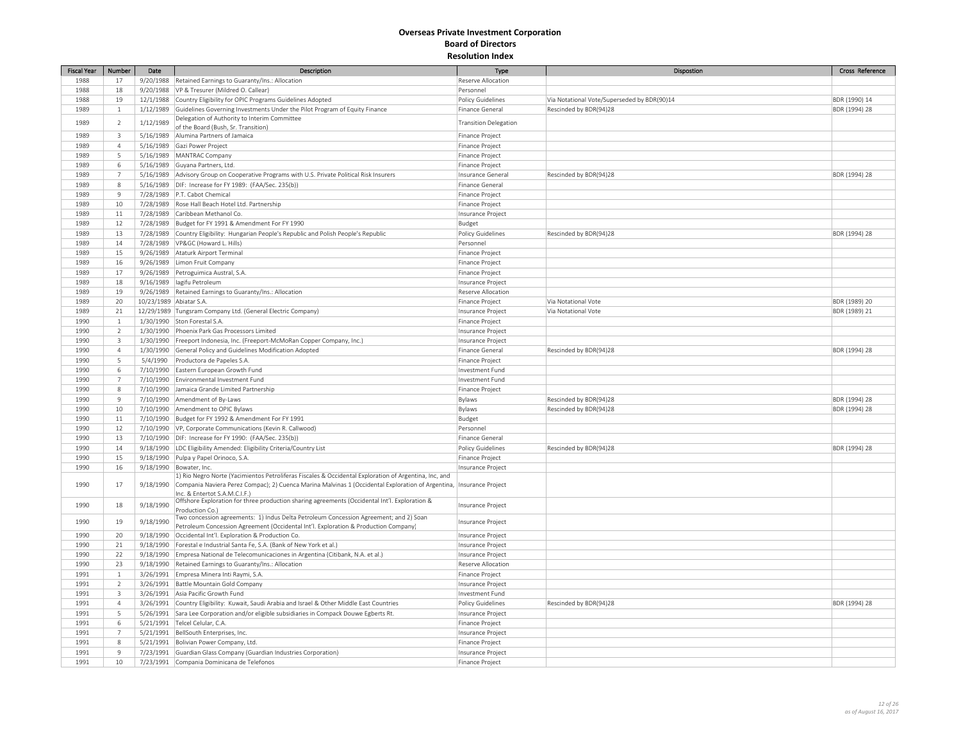| <b>Fiscal Year</b> | Number                  | Date                    | Description                                                                                           | Type                         | Dispostion                                  | Cross Reference |
|--------------------|-------------------------|-------------------------|-------------------------------------------------------------------------------------------------------|------------------------------|---------------------------------------------|-----------------|
| 1988               | 17                      |                         | 9/20/1988   Retained Earnings to Guaranty/Ins.: Allocation                                            | Reserve Allocation           |                                             |                 |
| 1988               | 18                      |                         | 9/20/1988   VP & Tresurer (Mildred O. Callear)                                                        | Personnel                    |                                             |                 |
| 1988               | 19                      |                         | 12/1/1988 Country Eligibility for OPIC Programs Guidelines Adopted                                    | Policy Guidelines            | Via Notational Vote/Superseded by BDR(90)14 | BDR (1990) 14   |
| 1989               | $\mathbf{1}$            |                         | 1/12/1989 Guidelines Governing Investments Under the Pilot Program of Equity Finance                  | Finance General              | Rescinded by BDR(94)28                      | BDR (1994) 28   |
|                    |                         |                         | Delegation of Authority to Interim Committee                                                          |                              |                                             |                 |
| 1989               | $\overline{2}$          | 1/12/1989               | of the Board (Bush, Sr. Transition)                                                                   | <b>Transition Delegation</b> |                                             |                 |
| 1989               | $\overline{3}$          |                         | 5/16/1989 Alumina Partners of Jamaica                                                                 | Finance Project              |                                             |                 |
| 1989               | $\overline{4}$          |                         | 5/16/1989 Gazi Power Project                                                                          | Finance Project              |                                             |                 |
| 1989               | 5                       |                         | 5/16/1989 MANTRAC Company                                                                             | Finance Project              |                                             |                 |
| 1989               | 6                       |                         | 5/16/1989 Guyana Partners, Ltd.                                                                       | Finance Project              |                                             |                 |
| 1989               | $\overline{7}$          |                         | 5/16/1989 Advisory Group on Cooperative Programs with U.S. Private Political Risk Insurers            | Insurance General            | Rescinded by BDR(94)28                      | BDR (1994) 28   |
| 1989               | $\,$ 8                  |                         | 5/16/1989   DIF: Increase for FY 1989: (FAA/Sec. 235(b))                                              | Finance General              |                                             |                 |
| 1989               | 9                       |                         | 7/28/1989   P.T. Cabot Chemical                                                                       | Finance Project              |                                             |                 |
| 1989               | 10                      |                         | 7/28/1989 Rose Hall Beach Hotel Ltd. Partnership                                                      | Finance Project              |                                             |                 |
| 1989               | 11                      |                         | 7/28/1989 Caribbean Methanol Co.                                                                      |                              |                                             |                 |
| 1989               | 12                      |                         | 7/28/1989 Budget for FY 1991 & Amendment For FY 1990                                                  | Insurance Project            |                                             |                 |
| 1989               | 13                      |                         | 7/28/1989 Country Eligibility: Hungarian People's Republic and Polish People's Republic               | Budget<br>Policy Guidelines  | Rescinded by BDR(94)28                      | BDR (1994) 28   |
|                    |                         |                         |                                                                                                       |                              |                                             |                 |
| 1989               | $14\,$                  |                         | 7/28/1989   VP&GC (Howard L. Hills)                                                                   | Personnel                    |                                             |                 |
| 1989               | 15                      |                         | 9/26/1989 Ataturk Airport Terminal                                                                    | Finance Project              |                                             |                 |
| 1989               | 16                      |                         | 9/26/1989 Limon Fruit Company                                                                         | Finance Project              |                                             |                 |
| 1989               | 17                      |                         | 9/26/1989 Petroguimica Austral, S.A.                                                                  | Finance Project              |                                             |                 |
| 1989               | 18                      |                         | 9/16/1989   lagifu Petroleum                                                                          | Insurance Project            |                                             |                 |
| 1989               | 19                      |                         | 9/26/1989 Retained Earnings to Guaranty/Ins.: Allocation                                              | Reserve Allocation           |                                             |                 |
| 1989               | 20                      | 10/23/1989 Abiatar S.A. |                                                                                                       | Finance Project              | Via Notational Vote                         | BDR (1989) 20   |
| 1989               | $21\,$                  |                         | 12/29/1989 Tungsram Company Ltd. (General Electric Company)                                           | Insurance Project            | Via Notational Vote                         | BDR (1989) 21   |
| 1990               | $\,1\,$                 |                         | 1/30/1990 Ston Forestal S.A.                                                                          | Finance Project              |                                             |                 |
| 1990               | $\overline{2}$          |                         | 1/30/1990 Phoenix Park Gas Processors Limited                                                         | Insurance Project            |                                             |                 |
| 1990               | $\overline{\mathbf{3}}$ |                         | 1/30/1990 Freeport Indonesia, Inc. (Freeport-McMoRan Copper Company, Inc.)                            | Insurance Project            |                                             |                 |
| 1990               | $\overline{4}$          |                         | 1/30/1990 General Policy and Guidelines Modification Adopted                                          | Finance General              | Rescinded by BDR(94)28                      | BDR (1994) 28   |
| 1990               | 5                       | 5/4/1990                | Productora de Papeles S.A.                                                                            | Finance Project              |                                             |                 |
| 1990               | 6                       |                         | 7/10/1990 Eastern European Growth Fund                                                                | Investment Fund              |                                             |                 |
| 1990               | $\overline{7}$          |                         | 7/10/1990 Environmental Investment Fund                                                               | Investment Fund              |                                             |                 |
| 1990               | 8                       |                         | 7/10/1990 Jamaica Grande Limited Partnership                                                          | Finance Project              |                                             |                 |
| 1990               | 9                       |                         | 7/10/1990 Amendment of By-Laws                                                                        | Bylaws                       | Rescinded by BDR(94)28                      | BDR (1994) 28   |
| 1990               | 10                      |                         | 7/10/1990 Amendment to OPIC Bylaws                                                                    | Bylaws                       | Rescinded by BDR(94)28                      | BDR (1994) 28   |
| 1990               | 11                      |                         | 7/10/1990 Budget for FY 1992 & Amendment For FY 1991                                                  | Budget                       |                                             |                 |
| 1990               | 12                      |                         | 7/10/1990   VP, Corporate Communications (Kevin R. Callwood)                                          | Personnel                    |                                             |                 |
| 1990               | 13                      |                         | 7/10/1990   DIF: Increase for FY 1990: (FAA/Sec. 235(b))                                              | Finance General              |                                             |                 |
| 1990               | 14                      |                         | 9/18/1990  LDC Eligibility Amended: Eligibility Criteria/Country List                                 | Policy Guidelines            | Rescinded by BDR(94)28                      | BDR (1994) 28   |
| 1990               | 15                      |                         | 9/18/1990 Pulpa y Papel Orinoco, S.A.                                                                 | Finance Project              |                                             |                 |
| 1990               | 16                      |                         | 9/18/1990   Bowater, Inc.                                                                             | Insurance Project            |                                             |                 |
|                    |                         |                         | 1) Rio Negro Norte (Yacimientos Petroliferas Fiscales & Occidental Exploration of Argentina, Inc, and |                              |                                             |                 |
| 1990               | 17                      | 9/18/1990               | Compania Naviera Perez Compac); 2) Cuenca Marina Malvinas 1 (Occidental Exploration of Argentina,     | Insurance Project            |                                             |                 |
|                    |                         |                         | Inc. & Entertot S.A.M.C.I.F.)                                                                         |                              |                                             |                 |
| 1990               | 18                      | 9/18/1990               | Offshore Exploration for three production sharing agreements (Occidental Int'l. Exploration &         | Insurance Project            |                                             |                 |
|                    |                         |                         | Production Co.)                                                                                       |                              |                                             |                 |
| 1990               | 19                      | 9/18/1990               | Two concession agreements: 1) Indus Delta Petroleum Concession Agreement; and 2) Soan                 | Insurance Project            |                                             |                 |
| 1990               | 20                      |                         | Petroleum Concession Agreement (Occidental Int'l. Exploration & Production Company)                   |                              |                                             |                 |
|                    |                         |                         | 9/18/1990 Occidental Int'l. Exploration & Production Co.                                              | Insurance Project            |                                             |                 |
| 1990               | $21\,$                  |                         | 9/18/1990 Forestal e Industrial Santa Fe, S.A. (Bank of New York et al.)                              | Insurance Project            |                                             |                 |
| 1990               | 22                      |                         | 9/18/1990 Empresa National de Telecomunicaciones in Argentina (Citibank, N.A. et al.)                 | Insurance Project            |                                             |                 |
| 1990               | 23                      |                         | 9/18/1990 Retained Earnings to Guaranty/Ins.: Allocation                                              | Reserve Allocation           |                                             |                 |
| 1991               | $\mathbf{1}$            |                         | 3/26/1991 Empresa Minera Inti Raymi, S.A.                                                             | Finance Project              |                                             |                 |
| 1991               | $\overline{2}$          |                         | 3/26/1991 Battle Mountain Gold Company                                                                | Insurance Project            |                                             |                 |
| 1991               | $\overline{3}$          |                         | 3/26/1991 Asia Pacific Growth Fund                                                                    | Investment Fund              |                                             |                 |
| 1991               | $\overline{4}$          |                         | 3/26/1991 Country Eligibility: Kuwait, Saudi Arabia and Israel & Other Middle East Countries          | <b>Policy Guidelines</b>     | Rescinded by BDR(94)28                      | BDR (1994) 28   |
| 1991               | 5                       |                         | 5/26/1991 Sara Lee Corporation and/or eligible subsidiaries in Compack Douwe Egberts Rt.              | Insurance Project            |                                             |                 |
| 1991               | 6                       |                         | 5/21/1991 Telcel Celular, C.A.                                                                        | Finance Project              |                                             |                 |
| 1991               | $\overline{7}$          |                         | 5/21/1991  BellSouth Enterprises, Inc.                                                                | Insurance Project            |                                             |                 |
| 1991               | $\,$ 8                  |                         | 5/21/1991   Bolivian Power Company, Ltd.                                                              | Finance Project              |                                             |                 |
| 1991               | $\overline{9}$          |                         | 7/23/1991 Guardian Glass Company (Guardian Industries Corporation)                                    | Insurance Project            |                                             |                 |
| 1991               | 10                      |                         | 7/23/1991 Compania Dominicana de Telefonos                                                            | Finance Project              |                                             |                 |
|                    |                         |                         |                                                                                                       |                              |                                             |                 |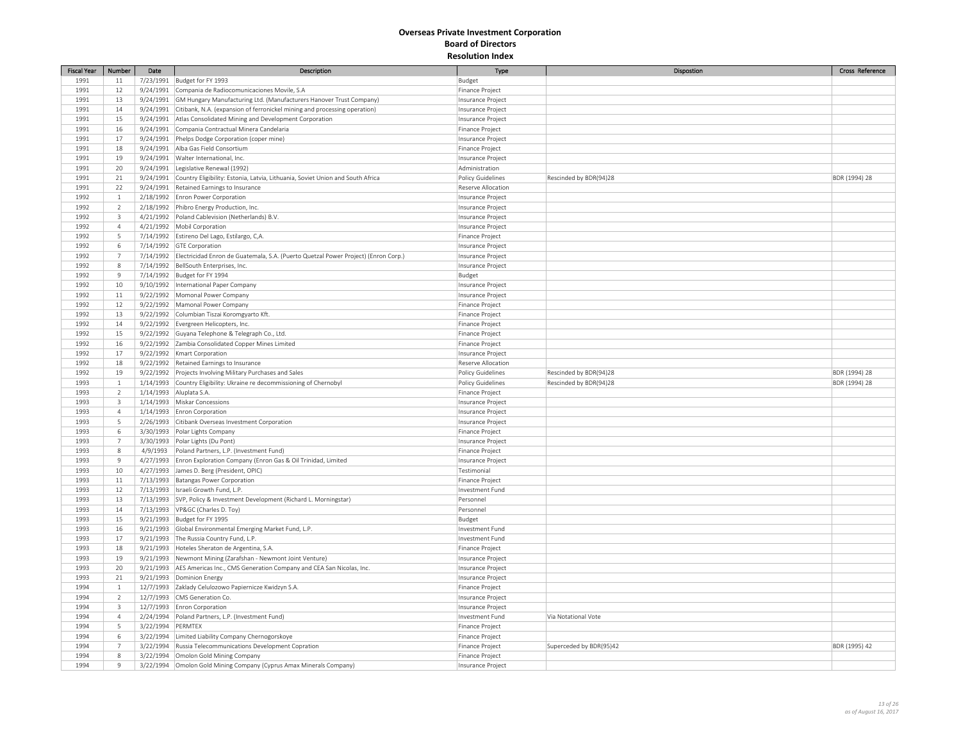| <b>Fiscal Year</b> | Number                  | Date              | Description                                                                                    | Type                     | Dispostion              | Cross Reference |
|--------------------|-------------------------|-------------------|------------------------------------------------------------------------------------------------|--------------------------|-------------------------|-----------------|
| 1991               | 11                      |                   | 7/23/1991 Budget for FY 1993                                                                   | Budget                   |                         |                 |
| 1991               | 12                      |                   | 9/24/1991 Compania de Radiocomunicaciones Movile, S.A                                          | Finance Project          |                         |                 |
| 1991               | 13                      |                   | 9/24/1991 GM Hungary Manufacturing Ltd. (Manufacturers Hanover Trust Company)                  | Insurance Project        |                         |                 |
| 1991               | 14                      |                   | 9/24/1991 Citibank, N.A. (expansion of ferronickel mining and processing operation)            | Insurance Project        |                         |                 |
| 1991               | 15                      |                   | 9/24/1991 Atlas Consolidated Mining and Development Corporation                                | Insurance Project        |                         |                 |
| 1991               | 16                      |                   | 9/24/1991 Compania Contractual Minera Candelaria                                               | Finance Project          |                         |                 |
| 1991               | 17                      |                   | 9/24/1991 Phelps Dodge Corporation (coper mine)                                                | Insurance Project        |                         |                 |
| 1991               | 18                      |                   | 9/24/1991 Alba Gas Field Consortium                                                            | Finance Project          |                         |                 |
| 1991               | 19                      |                   | 9/24/1991 Walter International, Inc.                                                           | Insurance Project        |                         |                 |
| 1991               | 20                      |                   | 9/24/1991 Legislative Renewal (1992)                                                           | Administration           |                         |                 |
| 1991               | 21                      |                   | 9/24/1991 Country Eligibility: Estonia, Latvia, Lithuania, Soviet Union and South Africa       | <b>Policy Guidelines</b> | Rescinded by BDR(94)28  | BDR (1994) 28   |
| 1991               | 22                      |                   | 9/24/1991 Retained Earnings to Insurance                                                       | Reserve Allocation       |                         |                 |
| 1992               | $1\,$                   |                   | 2/18/1992 Enron Power Corporation                                                              | Insurance Project        |                         |                 |
| 1992               | $\overline{2}$          |                   | 2/18/1992 Phibro Energy Production, Inc.                                                       | Insurance Project        |                         |                 |
| 1992               | $\overline{3}$          |                   | 4/21/1992 Poland Cablevision (Netherlands) B.V.                                                | Insurance Project        |                         |                 |
| 1992               | $\overline{4}$          |                   | 4/21/1992 Mobil Corporation                                                                    | Insurance Project        |                         |                 |
| 1992               | 5                       |                   | 7/14/1992 Estireno Del Lago, Estilargo, C,A.                                                   | Finance Project          |                         |                 |
| 1992               | 6                       |                   | 7/14/1992 GTE Corporation                                                                      | Insurance Project        |                         |                 |
| 1992               | $\overline{7}$          |                   | 7/14/1992   Electricidad Enron de Guatemala, S.A. (Puerto Quetzal Power Project) (Enron Corp.) | Insurance Project        |                         |                 |
| 1992               | $\,$ 8 $\,$             |                   | 7/14/1992 BellSouth Enterprises, Inc.                                                          | Insurance Project        |                         |                 |
| 1992               | $\overline{9}$          |                   | 7/14/1992 Budget for FY 1994                                                                   | Budget                   |                         |                 |
| 1992               | 10                      |                   | 9/10/1992  International Paper Company                                                         | Insurance Project        |                         |                 |
| 1992               | 11                      |                   | 9/22/1992   Momonal Power Company                                                              | Insurance Project        |                         |                 |
| 1992               | 12                      |                   | 9/22/1992 Mamonal Power Company                                                                | Finance Project          |                         |                 |
| 1992               | 13                      |                   | 9/22/1992 Columbian Tiszai Koromgyarto Kft.                                                    | Finance Project          |                         |                 |
| 1992               | 14                      |                   | 9/22/1992 Evergreen Helicopters, Inc.                                                          | Finance Project          |                         |                 |
| 1992               | 15                      |                   | 9/22/1992 Guyana Telephone & Telegraph Co., Ltd.                                               | Finance Project          |                         |                 |
| 1992               | 16                      |                   | 9/22/1992 Zambia Consolidated Copper Mines Limited                                             | Finance Project          |                         |                 |
| 1992               | 17                      |                   | 9/22/1992   Kmart Corporation                                                                  | Insurance Project        |                         |                 |
| 1992               | 18                      |                   | 9/22/1992 Retained Earnings to Insurance                                                       | Reserve Allocation       |                         |                 |
| 1992               | 19                      |                   | 9/22/1992 Projects Involving Military Purchases and Sales                                      | Policy Guidelines        | Rescinded by BDR(94)28  | BDR (1994) 28   |
| 1993               | $\mathbf{1}$            |                   | 1/14/1993 Country Eligibility: Ukraine re decommissioning of Chernobyl                         | <b>Policy Guidelines</b> | Rescinded by BDR(94)28  | BDR (1994) 28   |
| 1993               | $\overline{2}$          |                   | 1/14/1993 Aluplata S.A.                                                                        | Finance Project          |                         |                 |
| 1993               | $\overline{\mathbf{3}}$ |                   | 1/14/1993   Miskar Concessions                                                                 | Insurance Project        |                         |                 |
| 1993               | $\overline{4}$          |                   | 1/14/1993 Enron Corporation                                                                    | Insurance Project        |                         |                 |
| 1993               | 5                       |                   | 2/26/1993 Citibank Overseas Investment Corporation                                             | Insurance Project        |                         |                 |
| 1993               | $\,$ 6 $\,$             |                   | 3/30/1993 Polar Lights Company                                                                 | Finance Project          |                         |                 |
| 1993               | $\overline{7}$          |                   | 3/30/1993 Polar Lights (Du Pont)                                                               | Insurance Project        |                         |                 |
| 1993               | 8                       |                   | 4/9/1993   Poland Partners, L.P. (Investment Fund)                                             | Finance Project          |                         |                 |
| 1993               | $\overline{9}$          |                   | 4/27/1993 Enron Exploration Company (Enron Gas & Oil Trinidad, Limited                         | Insurance Project        |                         |                 |
| 1993               | 10                      |                   | 4/27/1993 James D. Berg (President, OPIC)                                                      | Testimonial              |                         |                 |
| 1993               | $11\,$                  |                   | 7/13/1993 Batangas Power Corporation                                                           | Finance Project          |                         |                 |
| 1993               | 12                      |                   | 7/13/1993   Israeli Growth Fund, L.P.                                                          | Investment Fund          |                         |                 |
| 1993               | 13                      |                   | 7/13/1993 SVP, Policy & Investment Development (Richard L. Morningstar)                        | Personnel                |                         |                 |
| 1993               | 14                      |                   | 7/13/1993   VP&GC (Charles D. Toy)                                                             | Personnel                |                         |                 |
| 1993               | 15                      |                   | 9/21/1993 Budget for FY 1995                                                                   | Budget                   |                         |                 |
| 1993               | 16                      |                   | 9/21/1993 Global Environmental Emerging Market Fund, L.P.                                      | Investment Fund          |                         |                 |
| 1993               | 17                      |                   | 9/21/1993 The Russia Country Fund, L.P.                                                        | Investment Fund          |                         |                 |
| 1993               | 18                      |                   | 9/21/1993 Hoteles Sheraton de Argentina, S.A.                                                  | Finance Project          |                         |                 |
| 1993               | 19                      |                   | 9/21/1993 Newmont Mining (Zarafshan - Newmont Joint Venture)                                   | Insurance Project        |                         |                 |
| 1993               | 20                      |                   | 9/21/1993 AES Americas Inc., CMS Generation Company and CEA San Nicolas, Inc.                  | Insurance Project        |                         |                 |
| 1993               | 21                      |                   | 9/21/1993 Dominion Energy                                                                      | Insurance Project        |                         |                 |
| 1994               | $1\,$                   |                   | 12/7/1993 Zaklady Celulozowo Papiernicze Kwidzyn S.A.                                          | Finance Project          |                         |                 |
| 1994               | $\overline{2}$          |                   | 12/7/1993 CMS Generation Co.                                                                   | Insurance Project        |                         |                 |
| 1994               | 3                       |                   | 12/7/1993 Enron Corporation                                                                    | Insurance Project        |                         |                 |
| 1994               | $\overline{4}$          |                   | 2/24/1994 Poland Partners, L.P. (Investment Fund)                                              | Investment Fund          | Via Notational Vote     |                 |
| 1994               | 5                       | 3/22/1994 PERMTEX |                                                                                                | Finance Project          |                         |                 |
| 1994               | 6                       |                   | 3/22/1994 Limited Liability Company Chernogorskoye                                             | Finance Project          |                         |                 |
| 1994               | $\overline{7}$          |                   | 3/22/1994 Russia Telecommunications Development Copration                                      | <b>Finance Project</b>   | Superceded by BDR(95)42 | BDR (1995) 42   |
| 1994               | 8                       |                   | 3/22/1994 Omolon Gold Mining Company                                                           | Finance Project          |                         |                 |
| 1994               | $\mathsf{9}$            |                   | 3/22/1994 Omolon Gold Mining Company (Cyprus Amax Minerals Company)                            | Insurance Project        |                         |                 |
|                    |                         |                   |                                                                                                |                          |                         |                 |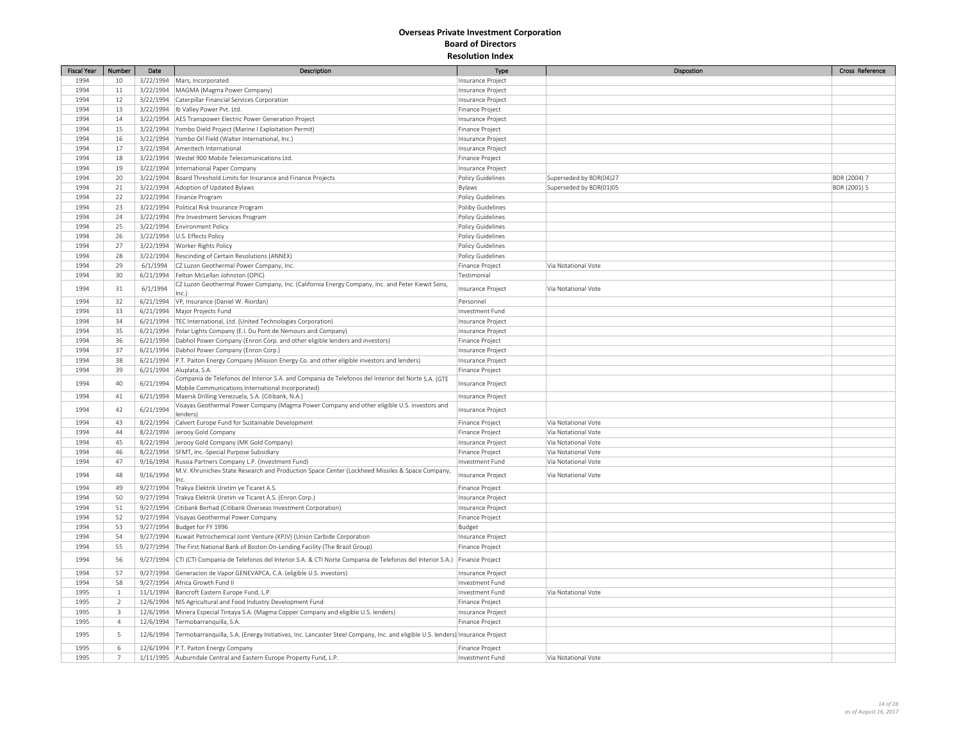| <b>Fiscal Year</b> | Number         | Date      | Description                                                                                                                  | Type                     | Dispostion              | Cross Reference |
|--------------------|----------------|-----------|------------------------------------------------------------------------------------------------------------------------------|--------------------------|-------------------------|-----------------|
| 1994               | 10             |           | 3/22/1994 Mars, Incorporated                                                                                                 | Insurance Project        |                         |                 |
| 1994               | 11             |           | 3/22/1994   MAGMA (Magma Power Company)                                                                                      | Insurance Project        |                         |                 |
| 1994               | 12             |           | 3/22/1994 Caterpillar Financial Services Corporation                                                                         | Insurance Project        |                         |                 |
| 1994               | 13             |           | 3/22/1994   Ib Valley Power Pvt. Ltd.                                                                                        | Finance Project          |                         |                 |
| 1994               | 14             |           | 3/22/1994   AES Transpower Electric Power Generation Project                                                                 | Insurance Project        |                         |                 |
| 1994               | 15             |           | 3/22/1994 Yombo Dield Project (Marine I Exploitation Permit)                                                                 | Finance Project          |                         |                 |
| 1994               | 16             |           | 3/22/1994 Yombo Oil Field (Walter International, Inc.)                                                                       | Insurance Project        |                         |                 |
| 1994               | 17             |           | 3/22/1994 Ameritech International                                                                                            | Insurance Project        |                         |                 |
| 1994               | 18             |           | 3/22/1994 Westel 900 Mobile Telecomunications Ltd.                                                                           | Finance Project          |                         |                 |
| 1994               | 19             |           | 3/22/1994   International Paper Company                                                                                      | Insurance Project        |                         |                 |
| 1994               | 20             |           | 3/22/1994 Board Threshold Limits for Insurance and Finance Projects                                                          | Policy Guidelines        | Superseded by BDR(04)27 | BDR (2004) 7    |
| 1994               | 21             |           | 3/22/1994 Adoption of Updated Bylaws                                                                                         | Bylaws                   | Superseded by BDR(01)05 | BDR (2001) 5    |
| 1994               | 22             |           | 3/22/1994 Finance Program                                                                                                    | Policy Guidelines        |                         |                 |
| 1994               | 23             |           | 3/22/1994 Political Risk Insurance Program                                                                                   | Poliby Guidelines        |                         |                 |
| 1994               | 24             |           | 3/22/1994 Pre Investment Services Program                                                                                    | Policy Guidelines        |                         |                 |
| 1994               | 25             |           | 3/22/1994 Environment Policy                                                                                                 | Policy Guidelines        |                         |                 |
| 1994               | 26             |           | 3/22/1994   U.S. Effects Policy                                                                                              | Policy Guidelines        |                         |                 |
| 1994               | 27             |           | 3/22/1994 Worker Rights Policy                                                                                               | Policy Guidelines        |                         |                 |
| 1994               | 28             |           | 3/22/1994 Rescinding of Certain Resolutions (ANNEX)                                                                          | Policy Guidelines        |                         |                 |
| 1994               | 29             | 6/1/1994  | CZ Luzon Geothermal Power Company, Inc.                                                                                      | Finance Project          | Via Notational Vote     |                 |
| 1994               | 30             | 6/21/1994 | Felton McLellan Johnston (OPIC)                                                                                              | Testimonial              |                         |                 |
|                    |                |           | CZ Luzon Geothermal Power Company, Inc. (California Energy Company, Inc. and Peter Kiewit Sons,                              |                          |                         |                 |
| 1994               | 31             | 6/1/1994  | Inc.)                                                                                                                        | Insurance Project        | Via Notational Vote     |                 |
| 1994               | 32             |           | 6/21/1994  VP, Insurance (Daniel W. Riordan)                                                                                 | Personnel                |                         |                 |
| 1994               | 33             |           | 6/21/1994   Major Projects Fund                                                                                              | Investment Fund          |                         |                 |
| 1994               | 34             |           | 6/21/1994   TEC International, Ltd. (United Technologies Corporation)                                                        | Insurance Project        |                         |                 |
| 1994               | 35             |           | 6/21/1994 Polar Lights Company (E.I. Du Pont de Nemours and Company)                                                         | Insurance Project        |                         |                 |
| 1994               | 36             |           | 6/21/1994 Dabhol Power Company (Enron Corp. and other eligible lenders and investors)                                        | Finance Project          |                         |                 |
| 1994               | 37             |           | 6/21/1994 Dabhol Power Company (Enron Corp.)                                                                                 | Insurance Project        |                         |                 |
| 1994               | 38             |           | 6/21/1994 P.T. Paiton Energy Company (Mission Energy Co. and other eligible investors and lenders)                           | Insurance Project        |                         |                 |
| 1994               | 39             |           | 6/21/1994 Aluplata, S.A.                                                                                                     | Finance Project          |                         |                 |
|                    |                |           | Compania de Telefonos del Interior S.A. and Compania de Telefonos del Interior del Norte S.A. (GTE                           |                          |                         |                 |
| 1994               | 40             | 6/21/1994 | Mobile Communications International Incorporated                                                                             | Insurance Project        |                         |                 |
| 1994               | 41             |           | 6/21/1994   Maersk Drilling Venezuela, S.A. (Citibank, N.A.)                                                                 | <b>Insurance Project</b> |                         |                 |
| 1994               | 42             | 6/21/1994 | Visayas Geothermal Power Company (Magma Power Company and other eligible U.S. investors and<br>lenders)                      | Insurance Project        |                         |                 |
| 1994               | 43             |           | 8/22/1994 Calvert Europe Fund for Sustainable Development                                                                    | Finance Project          | Via Notational Vote     |                 |
| 1994               | 44             |           | 8/22/1994 Jerooy Gold Company                                                                                                | Finance Project          | Via Notational Vote     |                 |
| 1994               | 45             |           | 8/22/1994 Jerooy Gold Company (MK Gold Company)                                                                              | Insurance Project        | Via Notational Vote     |                 |
| 1994               | 46             |           | 8/22/1994 SFMT, Inc.-Special Purpose Subsidiary                                                                              | Finance Project          | Via Notational Vote     |                 |
| 1994               | 47             |           | 9/16/1994 Russia Partners Company L.P. (Investment Fund)                                                                     | Investment Fund          | Via Notational Vote     |                 |
|                    |                |           | M.V. Khrunichev State Research and Production Space Center (Lockheed Missiles & Space Company,                               |                          |                         |                 |
| 1994               | 48             | 9/16/1994 | Inc.                                                                                                                         | Insurance Project        | Via Notational Vote     |                 |
| 1994               | 49             | 9/27/1994 | Trakya Elektrik Uretim ye Ticaret A.S.                                                                                       | Finance Project          |                         |                 |
| 1994               | 50             |           | 9/27/1994   Trakya Elektrik Uretim ve Ticaret A.S. (Enron Corp.)                                                             | Insurance Project        |                         |                 |
| 1994               | 51             | 9/27/1994 | Citibank Berhad (Citibank Overseas Investment Corporation)                                                                   | Insurance Project        |                         |                 |
| 1994               | 52             |           | 9/27/1994 Visayas Geothermal Power Company                                                                                   | Finance Project          |                         |                 |
| 1994               | 53             |           | 9/27/1994   Budget for FY 1996                                                                                               | Budget                   |                         |                 |
| 1994               | 54             |           | 9/27/1994 Kuwait Petrochemical Joint Venture (KPJV) (Union Carbide Corporation                                               | Insurance Project        |                         |                 |
| 1994               | 55             |           | 9/27/1994 The First National Bank of Boston On-Lending Facility (The Brazil Group)                                           | Finance Project          |                         |                 |
| 1994               | 56             | 9/27/1994 | CTI (CTI Compania de Telefonos del Interior S.A. & CTI Norte Compania de Telefonos del Interior S.A.)                        | Finance Project          |                         |                 |
| 1994               | 57             |           | 9/27/1994 Generacion de Vapor GENEVAPCA, C.A. (eligible U.S. investors)                                                      | Insurance Project        |                         |                 |
| 1994               | 58             |           | 9/27/1994 Africa Growth Fund II                                                                                              | Investment Fund          |                         |                 |
| 1995               | $\mathbf{1}$   |           | 11/1/1994 Bancroft Eastern Europe Fund, L.P.                                                                                 | Investment Fund          | Via Notational Vote     |                 |
| 1995               | $\overline{2}$ |           | 12/6/1994   NIS Agricultural and Food Industry Development Fund                                                              | Finance Project          |                         |                 |
| 1995               | $\overline{3}$ |           | 12/6/1994 Minera Especial Tintaya S.A. (Magma Copper Company and eligible U.S. lenders)                                      | Insurance Project        |                         |                 |
| 1995               | $\overline{4}$ |           | 12/6/1994 Termobarranquilla, S.A.                                                                                            | Finance Project          |                         |                 |
| 1995               | 5              | 12/6/1994 | Termobarranquilla, S.A. (Energy Initiatives, Inc. Lancaster Steel Company, Inc. and eligible U.S. lenders) Insurance Project |                          |                         |                 |
| 1995               | 6              |           | 12/6/1994 P.T. Paiton Energy Company                                                                                         | Finance Project          |                         |                 |
| 1995               | $\overline{7}$ |           | 1/11/1995 Auburndale Central and Eastern Europe Property Fund, L.P                                                           | Investment Fund          | Via Notational Vote     |                 |
|                    |                |           |                                                                                                                              |                          |                         |                 |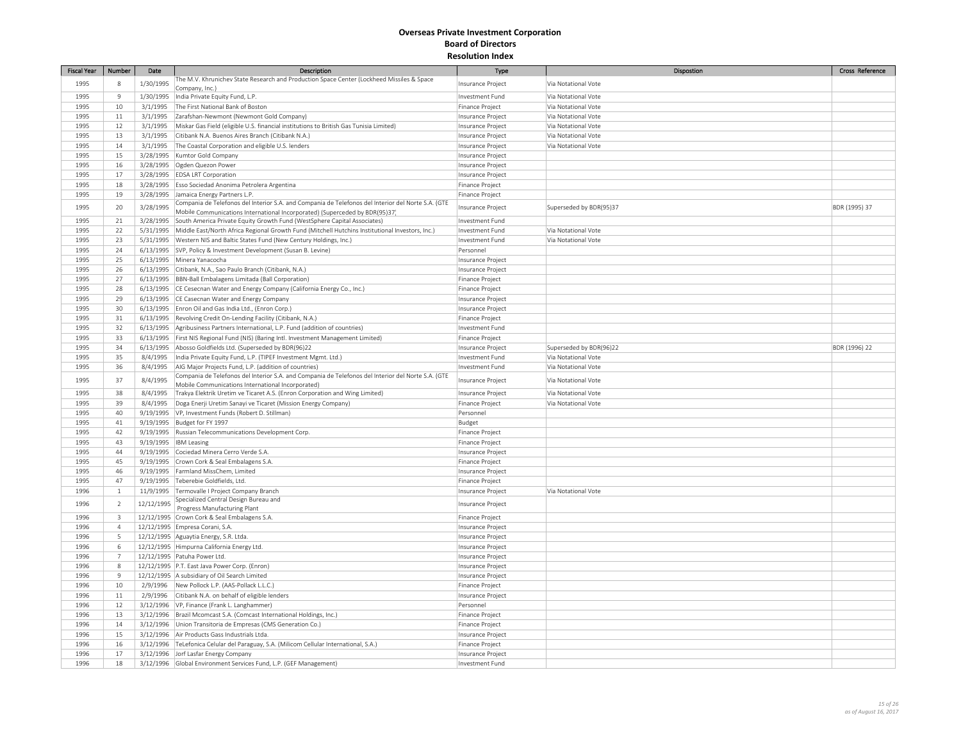| <b>Fiscal Year</b> | Number              | Date                   | Description                                                                                                                                             | Type                                 | Dispostion                                 | Cross Reference |
|--------------------|---------------------|------------------------|---------------------------------------------------------------------------------------------------------------------------------------------------------|--------------------------------------|--------------------------------------------|-----------------|
| 1995               | 8                   | 1/30/1995              | The M.V. Khrunichev State Research and Production Space Center (Lockheed Missiles & Space                                                               | Insurance Project                    | Via Notational Vote                        |                 |
| 1995               | $\,9$               |                        | Company, Inc.)                                                                                                                                          |                                      |                                            |                 |
|                    |                     | 1/30/1995              | India Private Equity Fund, L.P.<br>The First National Bank of Boston                                                                                    | Investment Fund                      | Via Notational Vote                        |                 |
| 1995<br>1995       | 10<br>11            | 3/1/1995<br>3/1/1995   | Zarafshan-Newmont (Newmont Gold Company)                                                                                                                | Finance Project<br>Insurance Project | Via Notational Vote<br>Via Notational Vote |                 |
| 1995               | 12                  | 3/1/1995               | Miskar Gas Field (eligible U.S. financial institutions to British Gas Tunisia Limited)                                                                  | Insurance Project                    | Via Notational Vote                        |                 |
| 1995               | 13                  | 3/1/1995               | Citibank N.A. Buenos Aires Branch (Citibank N.A.)                                                                                                       | Insurance Project                    | Via Notational Vote                        |                 |
| 1995               | 14                  | 3/1/1995               | The Coastal Corporation and eligible U.S. lenders                                                                                                       | Insurance Project                    | Via Notational Vote                        |                 |
| 1995               | 15                  | 3/28/1995              | Kumtor Gold Company                                                                                                                                     | Insurance Project                    |                                            |                 |
| 1995               | 16                  |                        | 3/28/1995 Ogden Quezon Power                                                                                                                            | Insurance Project                    |                                            |                 |
| 1995               | 17                  | 3/28/1995              | <b>EDSA LRT Corporation</b>                                                                                                                             | Insurance Project                    |                                            |                 |
| 1995               | 18                  |                        | 3/28/1995   Esso Sociedad Anonima Petrolera Argentina                                                                                                   | Finance Project                      |                                            |                 |
| 1995               | 19                  | 3/28/1995              | Jamaica Energy Partners L.P.                                                                                                                            | <b>Finance Project</b>               |                                            |                 |
| 1995               | 20                  | 3/28/1995              | Compania de Telefonos del Interior S.A. and Compania de Telefonos del Interior del Norte S.A. (GTE                                                      | Insurance Project                    | Superseded by BDR(95)37                    | BDR (1995) 37   |
|                    |                     |                        | Mobile Communications International Incorporated) (Superceded by BDR(95)37]                                                                             |                                      |                                            |                 |
| 1995               | 21                  | 3/28/1995              | South America Private Equity Growth Fund (WestSphere Capital Associates)                                                                                | Investment Fund                      |                                            |                 |
| 1995               | 22                  |                        | 5/31/1995   Middle East/North Africa Regional Growth Fund (Mitchell Hutchins Institutional Investors, Inc.)                                             | Investment Fund                      | Via Notational Vote                        |                 |
| 1995               | 23                  |                        | 5/31/1995   Western NIS and Baltic States Fund (New Century Holdings, Inc.)                                                                             | Investment Fund                      | Via Notational Vote                        |                 |
| 1995<br>1995       | 24<br>25            |                        | 6/13/1995 SVP, Policy & Investment Development (Susan B. Levine)                                                                                        | Personnel                            |                                            |                 |
|                    |                     |                        | 6/13/1995 Minera Yanacocha<br>6/13/1995 Citibank, N.A., Sao Paulo Branch (Citibank, N.A.)                                                               | Insurance Project                    |                                            |                 |
| 1995<br>1995       | 26<br>27            | 6/13/1995              | BBN-Ball Embalagens Limitada (Ball Corporation)                                                                                                         | Insurance Project<br>Finance Project |                                            |                 |
| 1995               | 28                  | 6/13/1995              | CE Cesecnan Water and Energy Company (California Energy Co., Inc.)                                                                                      | Finance Project                      |                                            |                 |
| 1995               | 29                  |                        | 6/13/1995 CE Casecnan Water and Energy Company                                                                                                          | Insurance Project                    |                                            |                 |
| 1995               | 30                  |                        | 6/13/1995 Enron Oil and Gas India Ltd., (Enron Corp.)                                                                                                   | Insurance Project                    |                                            |                 |
| 1995               | 31                  |                        | 6/13/1995 Revolving Credit On-Lending Facility (Citibank, N.A.)                                                                                         | Finance Project                      |                                            |                 |
| 1995               | 32                  |                        | 6/13/1995 Agribusiness Partners International, L.P. Fund (addition of countries)                                                                        | Investment Fund                      |                                            |                 |
| 1995               | 33                  | 6/13/1995              | First NIS Regional Fund (NIS) (Baring Intl. Investment Management Limited)                                                                              | Finance Project                      |                                            |                 |
| 1995               | 34                  |                        | 6/13/1995 Abosso Goldfields Ltd. (Superseded by BDR(96)22                                                                                               | Insurance Project                    | Superseded by BDR(96)22                    | BDR (1996) 22   |
| 1995               | 35                  | 8/4/1995               | India Private Equity Fund, L.P. (TIPEF Investment Mgmt. Ltd.)                                                                                           | Investment Fund                      | Via Notational Vote                        |                 |
| 1995               | 36                  | 8/4/1995               | AIG Major Projects Fund, L.P. (addition of countries)                                                                                                   | Investment Fund                      | Via Notational Vote                        |                 |
| 1995               | 37                  | 8/4/1995               | Compania de Telefonos del Interior S.A. and Compania de Telefonos del Interior del Norte S.A. (GTE<br>Mobile Communications International Incorporated) | Insurance Project                    | Via Notational Vote                        |                 |
| 1995               | 38                  | 8/4/1995               | Trakya Elektrik Uretim ve Ticaret A.S. (Enron Corporation and Wing Limited)                                                                             | Insurance Project                    | Via Notational Vote                        |                 |
| 1995               | 39                  | 8/4/1995               | Doga Enerji Uretim Sanayi ve Ticaret (Mission Energy Company)                                                                                           | Finance Project                      | Via Notational Vote                        |                 |
| 1995               | 40                  |                        | 9/19/1995   VP, Investment Funds (Robert D. Stillman)                                                                                                   | Personnel                            |                                            |                 |
| 1995               | $41\,$              | 9/19/1995              | Budget for FY 1997                                                                                                                                      | Budget                               |                                            |                 |
| 1995               | 42                  |                        | 9/19/1995 Russian Telecommunications Development Corp.                                                                                                  | Finance Project                      |                                            |                 |
| 1995               | 43                  | 9/19/1995  IBM Leasing |                                                                                                                                                         | Finance Project                      |                                            |                 |
| 1995               | 44                  |                        | 9/19/1995 Cociedad Minera Cerro Verde S.A.                                                                                                              | Insurance Project                    |                                            |                 |
| 1995               | 45                  |                        | 9/19/1995 Crown Cork & Seal Embalagens S.A.                                                                                                             | Finance Project                      |                                            |                 |
| 1995               | 46                  | 9/19/1995              | Farmland MissChem, Limited                                                                                                                              | Insurance Project                    |                                            |                 |
| 1995               | 47                  | 9/19/1995              | Teberebie Goldfields, Ltd.                                                                                                                              | Finance Project                      |                                            |                 |
| 1996               | $\,$ 1              |                        | 11/9/1995 Termovalle I Project Company Branch                                                                                                           | Insurance Project                    | Via Notational Vote                        |                 |
| 1996               | $\overline{2}$      | 12/12/1995             | Specialized Central Design Bureau and<br>Progress Manufacturing Plant                                                                                   | Insurance Project                    |                                            |                 |
| 1996               | $\overline{3}$      |                        | 12/12/1995 Crown Cork & Seal Embalagens S.A.                                                                                                            | Finance Project                      |                                            |                 |
| 1996               | $\overline{4}$      |                        | 12/12/1995 Empresa Corani, S.A.                                                                                                                         | Insurance Project                    |                                            |                 |
| 1996               | 5                   |                        | 12/12/1995 Aguaytia Energy, S.R. Ltda.                                                                                                                  | Insurance Project                    |                                            |                 |
| 1996<br>1996       | 6<br>$\overline{7}$ |                        | 12/12/1995 Himpurna California Energy Ltd.                                                                                                              | Insurance Project                    |                                            |                 |
| 1996               | 8                   |                        | 12/12/1995   Patuha Power Ltd.<br>12/12/1995 P.T. East Java Power Corp. (Enron)                                                                         | Insurance Project                    |                                            |                 |
| 1996               | $\overline{9}$      |                        | 12/12/1995 A subsidiary of Oil Search Limited                                                                                                           | Insurance Project                    |                                            |                 |
| 1996               | 10                  |                        | 2/9/1996 New Pollock L.P. (AAS-Pollack L.L.C.)                                                                                                          | Insurance Project<br>Finance Project |                                            |                 |
| 1996               | $11\,$              | 2/9/1996               | Citibank N.A. on behalf of eligible lenders                                                                                                             | Insurance Project                    |                                            |                 |
| 1996               | 12                  |                        | 3/12/1996   VP, Finance (Frank L. Langhammer)                                                                                                           | Personnel                            |                                            |                 |
| 1996               | 13                  |                        | 3/12/1996   Brazil Mcomcast S.A. (Comcast International Holdings, Inc.)                                                                                 | Finance Project                      |                                            |                 |
| 1996               | 14                  |                        | 3/12/1996 Union Transitoria de Empresas (CMS Generation Co.)                                                                                            | Finance Project                      |                                            |                 |
| 1996               | 15                  |                        | 3/12/1996   Air Products Gass Industrials Ltda.                                                                                                         | Insurance Project                    |                                            |                 |
| 1996               | 16                  |                        | 3/12/1996 TeLefonica Celular del Paraguay, S.A. (Milicom Cellular International, S.A.)                                                                  | Finance Project                      |                                            |                 |
| 1996               | 17                  |                        | 3/12/1996 Jorf Lasfar Energy Company                                                                                                                    | Insurance Project                    |                                            |                 |
| 1996               | 18                  |                        | 3/12/1996 Global Environment Services Fund, L.P. (GEF Management)                                                                                       | Investment Fund                      |                                            |                 |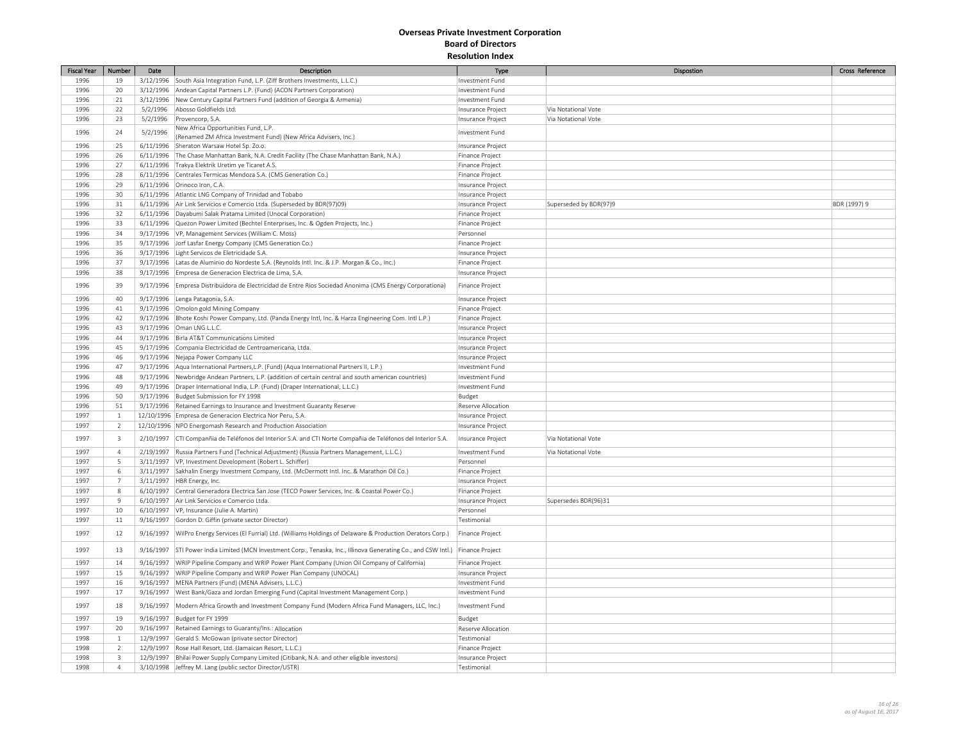| <b>Fiscal Year</b> | Number                  | Date      | Description                                                                                                     | Type               | Dispostion             | Cross Reference |
|--------------------|-------------------------|-----------|-----------------------------------------------------------------------------------------------------------------|--------------------|------------------------|-----------------|
| 1996               | 19                      |           | 3/12/1996 South Asia Integration Fund, L.P. (Ziff Brothers Investments, L.L.C.)                                 | Investment Fund    |                        |                 |
| 1996               | 20                      |           | 3/12/1996   Andean Capital Partners L.P. (Fund) (ACON Partners Corporation)                                     | Investment Fund    |                        |                 |
| 1996               | $21\,$                  |           | 3/12/1996 New Century Capital Partners Fund (addition of Georgia & Armenia)                                     | Investment Fund    |                        |                 |
| 1996               | 22                      |           | 5/2/1996 Abosso Goldfields Ltd.                                                                                 | Insurance Project  | Via Notational Vote    |                 |
| 1996               | 23                      | 5/2/1996  | Provencorp, S.A.                                                                                                | Insurance Project  | Via Notational Vote    |                 |
|                    |                         |           | New Africa Opportunities Fund, L.P.                                                                             |                    |                        |                 |
| 1996               | 24                      | 5/2/1996  | (Renamed ZM Africa Investment Fund) (New Africa Advisers, Inc.)                                                 | Investment Fund    |                        |                 |
| 1996               | 25                      |           | 6/11/1996 Sheraton Warsaw Hotel Sp. Zo.o.                                                                       | Insurance Project  |                        |                 |
| 1996               | 26                      |           | 6/11/1996 The Chase Manhattan Bank, N.A. Credit Facility (The Chase Manhattan Bank, N.A.)                       | Finance Project    |                        |                 |
| 1996               | 27                      |           | 6/11/1996 Trakya Elektrik Uretim ye Ticaret A.S.                                                                | Finance Project    |                        |                 |
| 1996               | 28                      |           | 6/11/1996 Centrales Termicas Mendoza S.A. (CMS Generation Co.)                                                  | Finance Project    |                        |                 |
| 1996               | 29                      |           | 6/11/1996 Orinoco Iron, C.A.                                                                                    | Insurance Project  |                        |                 |
| 1996               | 30                      |           | 6/11/1996 Atlantic LNG Company of Trinidad and Tobabo                                                           | Insurance Project  |                        |                 |
| 1996               | 31                      |           | 6/11/1996 Air Link Servicios e Comercio Ltda. (Superseded by BDR(97)09)                                         | Insurance Project  | Superseded by BDR(97)9 | BDR (1997) 9    |
| 1996               | 32                      |           | 6/11/1996   Dayabumi Salak Pratama Limited (Unocal Corporation)                                                 | Finance Project    |                        |                 |
| 1996               | 33                      |           | 6/11/1996 Quezon Power Limited (Bechtel Enterprises, Inc. & Ogden Projects, Inc.)                               | Finance Project    |                        |                 |
| 1996               | 34                      |           | 9/17/1996   VP, Management Services (William C. Moss)                                                           | Personnel          |                        |                 |
| 1996               | 35                      |           | 9/17/1996 Jorf Lasfar Energy Company (CMS Generation Co.)                                                       | Finance Project    |                        |                 |
| 1996               | 36                      |           | 9/17/1996 Light Servicos de Eletricidade S.A.                                                                   | Insurance Project  |                        |                 |
| 1996               | 37                      |           | 9/17/1996 Latas de Aluminio do Nordeste S.A. (Reynolds Intl. Inc. & J.P. Morgan & Co., Inc.)                    | Finance Project    |                        |                 |
| 1996               | 38                      |           | 9/17/1996 Empresa de Generacion Electrica de Lima, S.A.                                                         | Insurance Project  |                        |                 |
|                    |                         |           |                                                                                                                 |                    |                        |                 |
| 1996               | 39                      | 9/17/1996 | Empresa Distribuidora de Electricidad de Entre Rios Sociedad Anonima (CMS Energy Corporationa)                  | Finance Project    |                        |                 |
| 1996               | 40                      |           | 9/17/1996 Lenga Patagonia, S.A.                                                                                 | Insurance Project  |                        |                 |
| 1996               | 41                      |           | 9/17/1996 Omolon gold Mining Company                                                                            | Finance Project    |                        |                 |
| 1996               | 42                      |           | 9/17/1996 Bhote Koshi Power Company, Ltd. (Panda Energy Intl, Inc. & Harza Engineering Com. Intl L.P.)          | Finance Project    |                        |                 |
| 1996               | 43                      |           | 9/17/1996 Oman LNG L.L.C.                                                                                       | Insurance Project  |                        |                 |
| 1996               | 44                      |           | 9/17/1996 Birla AT&T Communications Limited                                                                     | Insurance Project  |                        |                 |
| 1996               | 45                      |           | 9/17/1996 Compania Electricidad de Centroamericana, Ltda.                                                       | Insurance Project  |                        |                 |
| 1996               | 46                      |           | 9/17/1996 Nejapa Power Company LLC                                                                              | Insurance Project  |                        |                 |
| 1996               | 47                      |           | 9/17/1996   Aqua International Partners, L.P. (Fund) (Aqua International Partners II, L.P.)                     | Investment Fund    |                        |                 |
| 1996               | 48                      |           | 9/17/1996 Newbridge Andean Partners, L.P. (addition of certain central and south american countries)            | Investment Fund    |                        |                 |
| 1996               | 49                      |           | 9/17/1996   Draper International India, L.P. (Fund) (Draper International, L.L.C.)                              | Investment Fund    |                        |                 |
| 1996               | 50                      |           | 9/17/1996 Budget Submission for FY 1998                                                                         | Budget             |                        |                 |
| 1996               | 51                      |           | 9/17/1996 Retained Earnings to Insurance and Investment Guaranty Reserve                                        | Reserve Allocation |                        |                 |
| 1997               | $\mathbf{1}$            |           | 12/10/1996 Empresa de Generacion Electrica Nor Peru, S.A.                                                       | Insurance Project  |                        |                 |
| 1997               | $\overline{2}$          |           | 12/10/1996 NPO Energomash Research and Production Association                                                   | Insurance Project  |                        |                 |
|                    |                         |           |                                                                                                                 |                    |                        |                 |
| 1997               | $\overline{\mathbf{3}}$ |           | 2/10/1997   CTI Companñia de Teléfonos del Interior S.A. and CTI Norte Compañia de Teléfonos del Interior S.A.  | Insurance Project  | Via Notational Vote    |                 |
| 1997               | $\overline{4}$          |           | 2/19/1997 Russia Partners Fund (Technical Adjustment) (Russia Partners Management, L.L.C.)                      | Investment Fund    | Via Notational Vote    |                 |
| 1997               | 5                       |           | 3/11/1997 VP, Investment Development (Robert L. Schiffer)                                                       | Personnel          |                        |                 |
| 1997               | 6                       |           | 3/11/1997 Sakhalin Energy Investment Company, Ltd. (McDermott Intl. Inc. & Marathon Oil Co.)                    | Finance Project    |                        |                 |
| 1997               | $\overline{7}$          |           | 3/11/1997   HBR Energy, Inc.                                                                                    | Insurance Project  |                        |                 |
| 1997               | $8\phantom{.0}$         |           | 6/10/1997 Central Generadora Electrica San Jose (TECO Power Services, Inc. & Coastal Power Co.)                 | Finance Project    |                        |                 |
| 1997               | $9$                     |           | 6/10/1997 Air Link Servicios e Comercio Ltda.                                                                   | Insurance Project  | Supersedes BDR(96)31   |                 |
| 1997               | 10                      |           | 6/10/1997   VP, Insurance (Julie A. Martin)                                                                     | Personnel          |                        |                 |
| 1997               | 11                      |           | 9/16/1997 Gordon D. Giffin (private sector Director)                                                            | Testimonial        |                        |                 |
| 1997               | 12                      | 9/16/1997 | WilPro Energy Services (El Furrial) Ltd. (Williams Holdings of Delaware & Production Oerators Corp.)            | Finance Project    |                        |                 |
| 1997               | 13                      |           | 9/16/1997 STI Power India Limited (MCN Investment Corp., Tenaska, Inc., Illinova Generating Co., and CSW Intl.) | Finance Project    |                        |                 |
| 1997               | 14                      |           | 9/16/1997   WRIP Pipeline Company and WRIP Power Plant Company (Union Oil Company of California)                | Finance Project    |                        |                 |
| 1997               | 15                      |           | 9/16/1997 WRIP Pipeline Company and WRIP Power Plan Company (UNOCAL)                                            | Insurance Project  |                        |                 |
| 1997               | 16                      |           | 9/16/1997   MENA Partners (Fund) (MENA Advisers, L.L.C.)                                                        | Investment Fund    |                        |                 |
| 1997               | 17                      |           | 9/16/1997   West Bank/Gaza and Jordan Emerging Fund (Capital Investment Management Corp.)                       | Investment Fund    |                        |                 |
| 1997               | 18                      | 9/16/1997 | Modern Africa Growth and Investment Company Fund (Modern Africa Fund Managers, LLC, Inc.)                       | Investment Fund    |                        |                 |
| 1997               |                         |           |                                                                                                                 |                    |                        |                 |
|                    | 19                      |           | 9/16/1997 Budget for FY 1999                                                                                    | Budget             |                        |                 |
| 1997               | 20                      |           | 9/16/1997 Retained Earnings to Guaranty/Ins.: Allocation                                                        | Reserve Allocation |                        |                 |
| 1998               | $\mathbf{1}$            |           | 12/9/1997 Gerald S. McGowan (private sector Director)                                                           | Testimonial        |                        |                 |
| 1998               | $\overline{2}$          |           | 12/9/1997 Rose Hall Resort, Ltd. (Jamaican Resort, L.L.C.)                                                      | Finance Project    |                        |                 |
| 1998               | $\overline{3}$          |           | 12/9/1997   Bhilai Power Supply Company Limited (Citibank, N.A. and other eligible investors)                   | Insurance Project  |                        |                 |
| 1998               | $\overline{4}$          |           | 3/10/1998 Jeffrey M. Lang (public sector Director/USTR)                                                         | Testimonial        |                        |                 |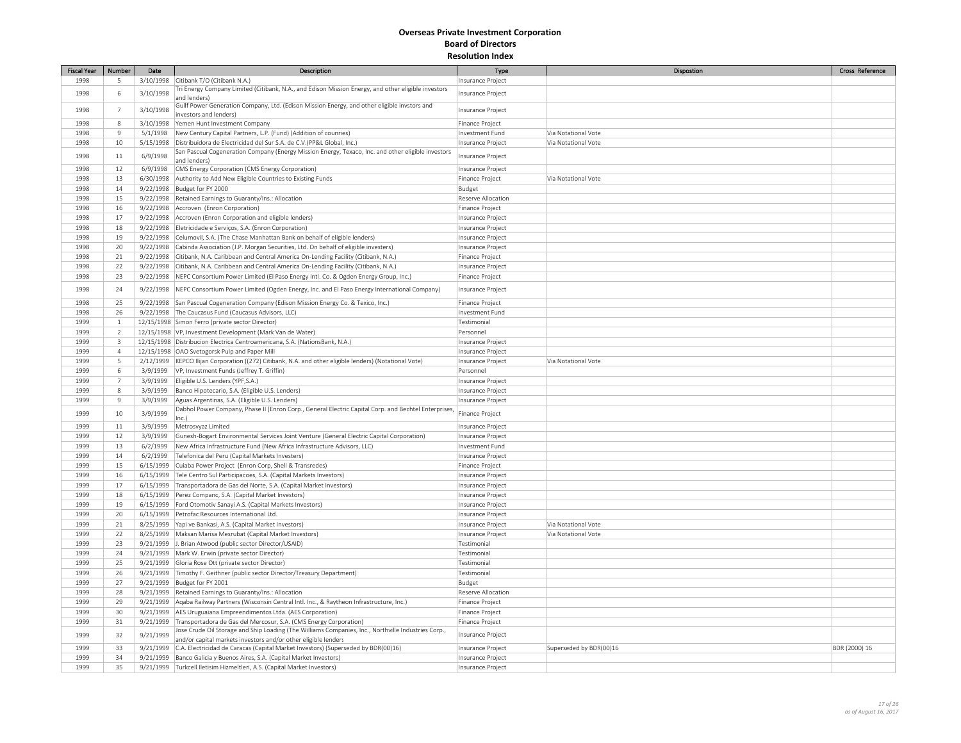| <b>Fiscal Year</b> | Number         | Date      | Description                                                                                          | Type                   | Dispostion              | Cross Reference |
|--------------------|----------------|-----------|------------------------------------------------------------------------------------------------------|------------------------|-------------------------|-----------------|
| 1998               | 5              |           | 3/10/1998 Citibank T/O (Citibank N.A.)                                                               | Insurance Project      |                         |                 |
|                    |                |           | Tri Energy Company Limited (Citibank, N.A., and Edison Mission Energy, and other eligible investors  |                        |                         |                 |
| 1998               | 6              | 3/10/1998 | and lenders)                                                                                         | nsurance Project       |                         |                 |
| 1998               | $\overline{7}$ | 3/10/1998 | Gullf Power Generation Company, Ltd. (Edison Mission Energy, and other eligible invstors and         | Insurance Project      |                         |                 |
|                    |                |           | investors and lenders)                                                                               |                        |                         |                 |
| 1998               | 8              | 3/10/1998 | Yemen Hunt Investment Company                                                                        | <b>Finance Project</b> |                         |                 |
| 1998               | $\overline{9}$ | 5/1/1998  | New Century Capital Partners, L.P. (Fund) (Addition of counries)                                     | Investment Fund        | Via Notational Vote     |                 |
| 1998               | 10             |           | 5/15/1998   Distribuidora de Electricidad del Sur S.A. de C.V. (PP&L Global, Inc.)                   | Insurance Project      | Via Notational Vote     |                 |
| 1998               | 11             | 6/9/1998  | San Pascual Cogeneration Company (Energy Mission Energy, Texaco, Inc. and other eligible investors   | Insurance Project      |                         |                 |
|                    |                |           | and lenders)                                                                                         |                        |                         |                 |
| 1998               | 12             | 6/9/1998  | CMS Energy Corporation (CMS Energy Corporation)                                                      | Insurance Project      |                         |                 |
| 1998               | 13             |           | 6/30/1998 Authority to Add New Eligible Countries to Existing Funds                                  | Finance Project        | Via Notational Vote     |                 |
| 1998               | 14             | 9/22/1998 | Budget for FY 2000                                                                                   | Budget                 |                         |                 |
| 1998               | 15             | 9/22/1998 | Retained Earnings to Guaranty/Ins.: Allocation                                                       | Reserve Allocation     |                         |                 |
| 1998               | 16             |           | 9/22/1998 Accroven (Enron Corporation)                                                               | Finance Project        |                         |                 |
| 1998               | 17             | 9/22/1998 | Accroven (Enron Corporation and eligible lenders)                                                    | Insurance Project      |                         |                 |
| 1998               | 18             |           | 9/22/1998 Eletricidade e Serviços, S.A. (Enron Corporation)                                          | Insurance Project      |                         |                 |
| 1998               | 19             |           | 9/22/1998 Celumovil, S.A. (The Chase Manhattan Bank on behalf of eligible lenders)                   | Insurance Project      |                         |                 |
| 1998               | 20             | 9/22/1998 | Cabinda Association (J.P. Morgan Securities, Ltd. On behalf of eligible investers)                   | Insurance Project      |                         |                 |
| 1998               | 21             | 9/22/1998 | Citibank, N.A. Caribbean and Central America On-Lending Facility (Citibank, N.A.)                    | <b>Finance Project</b> |                         |                 |
| 1998               | 22             | 9/22/1998 | Citibank, N.A. Caribbean and Central America On-Lending Facility (Citibank, N.A.)                    | Insurance Project      |                         |                 |
| 1998               | 23             |           | 9/22/1998 NEPC Consortium Power Limited (El Paso Energy Intl. Co. & Ogden Energy Group, Inc.)        | Finance Project        |                         |                 |
|                    |                |           |                                                                                                      |                        |                         |                 |
| 1998               | 24             | 9/22/1998 | NEPC Consortium Power Limited (Ogden Energy, Inc. and El Paso Energy International Company)          | Insurance Project      |                         |                 |
| 1998               | 25             | 9/22/1998 | San Pascual Cogeneration Company (Edison Mission Energy Co. & Texico, Inc.)                          | <b>Finance Project</b> |                         |                 |
| 1998               | 26             | 9/22/1998 | The Caucasus Fund (Caucasus Advisors, LLC)                                                           | Investment Fund        |                         |                 |
| 1999               | $\mathbf{1}$   |           | 12/15/1998 Simon Ferro (private sector Director)                                                     | Testimonial            |                         |                 |
|                    | 2              |           |                                                                                                      |                        |                         |                 |
| 1999<br>1999       |                |           | 12/15/1998   VP, Investment Development (Mark Van de Water)                                          | Personnel              |                         |                 |
|                    | 3              |           | 12/15/1998 Distribucion Electrica Centroamericana, S.A. (NationsBank, N.A.)                          | Insurance Project      |                         |                 |
| 1999               | $\overline{4}$ |           | 12/15/1998 OAO Svetogorsk Pulp and Paper Mill                                                        | Insurance Project      |                         |                 |
| 1999               | 5              | 2/12/1999 | KEPCO Ilijan Corporation ((272) Citibank, N.A. and other eligible lenders) (Notational Vote)         | Insurance Project      | Via Notational Vote     |                 |
| 1999               | 6              | 3/9/1999  | VP, Investment Funds (Jeffrey T. Griffin)                                                            | Personnel              |                         |                 |
| 1999               | $\overline{7}$ | 3/9/1999  | Eligible U.S. Lenders (YPF,S.A.)                                                                     | Insurance Project      |                         |                 |
| 1999               | 8              | 3/9/1999  | Banco Hipotecario, S.A. (Eligible U.S. Lenders)                                                      | Insurance Project      |                         |                 |
| 1999               | $\mathbf{q}$   | 3/9/1999  | Aguas Argentinas, S.A. (Eligible U.S. Lenders)                                                       | Insurance Project      |                         |                 |
| 1999               | 10             | 3/9/1999  | Dabhol Power Company, Phase II (Enron Corp., General Electric Capital Corp. and Bechtel Enterprises, | Finance Project        |                         |                 |
|                    |                |           | inc.                                                                                                 |                        |                         |                 |
| 1999               | 11             | 3/9/1999  | Metrosvyaz Limited                                                                                   | Insurance Project      |                         |                 |
| 1999               | 12             | 3/9/1999  | Gunesh-Bogart Environmental Services Joint Venture (General Electric Capital Corporation)            | Insurance Project      |                         |                 |
| 1999               | 13             | 6/2/1999  | New Africa Infrastructure Fund (New Africa Infrastructure Advisors, LLC)                             | Investment Fund        |                         |                 |
| 1999               | 14             | 6/2/1999  | Telefonica del Peru (Capital Markets Investers)                                                      | Insurance Project      |                         |                 |
| 1999               | 15             | 6/15/1999 | Cuiaba Power Project (Enron Corp, Shell & Transredes)                                                | Finance Project        |                         |                 |
| 1999               | 16             | 6/15/1999 | Tele Centro Sul Participacoes, S.A. (Capital Markets Investors)                                      | Insurance Project      |                         |                 |
| 1999               | 17             | 6/15/1999 | Transportadora de Gas del Norte, S.A. (Capital Market Investors)                                     | Insurance Project      |                         |                 |
| 1999               | 18             | 6/15/1999 | Perez Companc, S.A. (Capital Market Investors)                                                       | Insurance Project      |                         |                 |
| 1999               | 19             | 6/15/1999 | Ford Otomotiv Sanayi A.S. (Capital Markets Investors)                                                | Insurance Project      |                         |                 |
| 1999               | 20             | 6/15/1999 | Petrofac Resources International Ltd.                                                                | Insurance Project      |                         |                 |
| 1999               | 21             | 8/25/1999 | Yapi ve Bankasi, A.S. (Capital Market Investors)                                                     | Insurance Project      | Via Notational Vote     |                 |
| 1999               | 22             | 8/25/1999 | Maksan Marisa Mesrubat (Capital Market Investors)                                                    | Insurance Project      | Via Notational Vote     |                 |
| 1999               | 23             | 9/21/1999 | J. Brian Atwood (public sector Director/USAID)                                                       | Testimonial            |                         |                 |
| 1999               | 24             |           | 9/21/1999   Mark W. Erwin (private sector Director)                                                  | Testimonial            |                         |                 |
|                    |                |           | 9/21/1999 Gloria Rose Ott (private sector Director)                                                  |                        |                         |                 |
| 1999               | 25             |           |                                                                                                      | Testimonial            |                         |                 |
| 1999               | 26             | 9/21/1999 | Timothy F. Geithner (public sector Director/Treasury Department)                                     | Testimonial            |                         |                 |
| 1999               | 27             |           | 9/21/1999 Budget for FY 2001                                                                         | Budget                 |                         |                 |
| 1999               | 28             | 9/21/1999 | Retained Earnings to Guaranty/Ins.: Allocation                                                       | Reserve Allocation     |                         |                 |
| 1999               | 29             |           | 9/21/1999 Agaba Railway Partners (Wisconsin Central Intl. Inc., & Raytheon Infrastructure, Inc.)     | Finance Project        |                         |                 |
| 1999               | 30             |           | 9/21/1999   AES Uruguaiana Empreendimentos Ltda. (AES Corporation)                                   | <b>Finance Project</b> |                         |                 |
| 1999               | 31             | 9/21/1999 | Transportadora de Gas del Mercosur, S.A. (CMS Energy Corporation)                                    | Finance Project        |                         |                 |
| 1999               | 32             | 9/21/1999 | Jose Crude Oil Storage and Ship Loading (The Williams Companies, Inc., Northville Industries Corp.,  | Insurance Project      |                         |                 |
|                    |                |           | and/or capital markets investors and/or other eligible lenders                                       |                        |                         |                 |
| 1999               | 33             | 9/21/1999 | C.A. Electricidad de Caracas (Capital Market Investors) (Superseded by BDR(00)16)                    | Insurance Project      | Superseded by BDR(00)16 | BDR (2000) 16   |
| 1999               | 34             |           | 9/21/1999   Banco Galicia y Buenos Aires, S.A. (Capital Market Investors)                            | Insurance Project      |                         |                 |
| 1999               | 35             |           | 9/21/1999 Turkcell Iletisim Hizmeltleri, A.S. (Capital Market Investors)                             | Insurance Project      |                         |                 |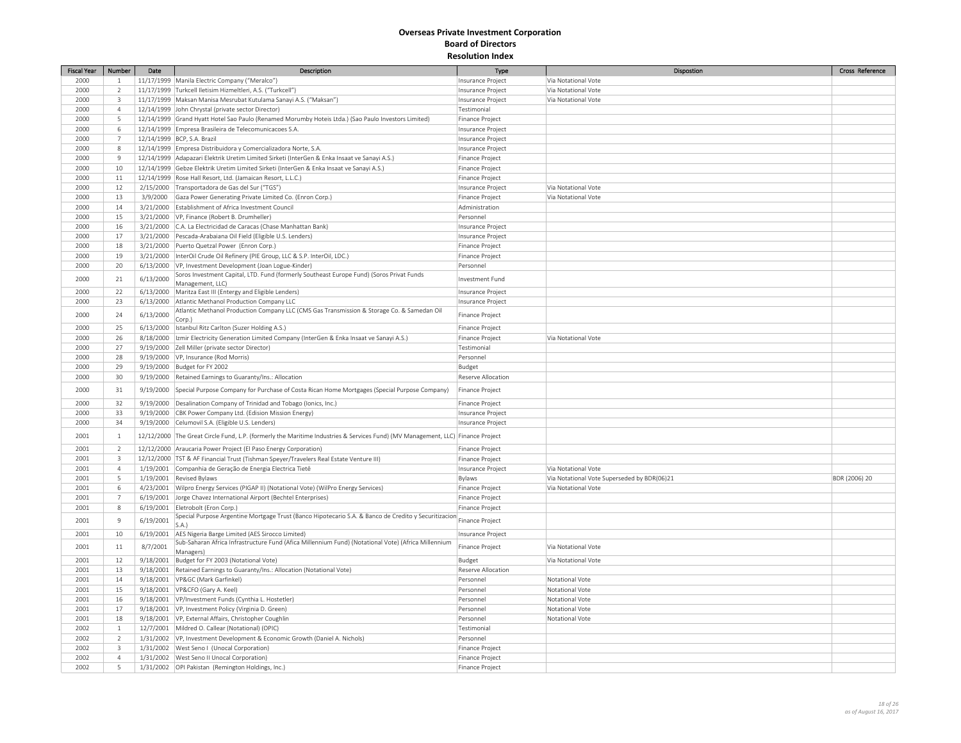| <b>Fiscal Year</b> | Number                   | Date      | Description                                                                                                                    | Type                                 | Dispostion                                  | Cross Reference |
|--------------------|--------------------------|-----------|--------------------------------------------------------------------------------------------------------------------------------|--------------------------------------|---------------------------------------------|-----------------|
| 2000               | $\mathbf{1}$             |           | 11/17/1999 Manila Electric Company ("Meralco")                                                                                 | Insurance Project                    | Via Notational Vote                         |                 |
| 2000               | $\overline{2}$           |           | 11/17/1999 Turkcell Iletisim Hizmeltleri, A.S. ("Turkcell")                                                                    | Insurance Project                    | Via Notational Vote                         |                 |
| 2000               | $\overline{\mathbf{3}}$  |           | 11/17/1999   Maksan Manisa Mesrubat Kutulama Sanayi A.S. ("Maksan")                                                            | Insurance Project                    | Via Notational Vote                         |                 |
| 2000               | $\overline{4}$           |           | 12/14/1999 John Chrystal (private sector Director)                                                                             | Testimonial                          |                                             |                 |
| 2000               | 5                        |           | 12/14/1999 Grand Hyatt Hotel Sao Paulo (Renamed Morumby Hoteis Ltda.) (Sao Paulo Investors Limited)                            | Finance Project                      |                                             |                 |
| 2000               | 6                        |           | 12/14/1999 Empresa Brasileira de Telecomunicacoes S.A.                                                                         | Insurance Project                    |                                             |                 |
| 2000               | $\overline{7}$           |           | 12/14/1999 BCP, S.A. Brazil                                                                                                    | Insurance Project                    |                                             |                 |
| 2000               | 8                        |           | 12/14/1999 Empresa Distribuidora y Comercializadora Norte, S.A.                                                                | Insurance Project                    |                                             |                 |
| 2000               | $\overline{9}$           |           | 12/14/1999 Adapazari Elektrik Uretim Limited Sirketi (InterGen & Enka Insaat ve Sanayi A.S.)                                   | Finance Project                      |                                             |                 |
| 2000               | 10                       |           | 12/14/1999 Gebze Elektrik Uretim Limited Sirketi (InterGen & Enka Insaat ve Sanayi A.S.)                                       | Finance Project                      |                                             |                 |
| 2000               | 11                       |           | 12/14/1999 Rose Hall Resort, Ltd. (Jamaican Resort, L.L.C.)                                                                    | Finance Project                      |                                             |                 |
| 2000               |                          |           | 2/15/2000 Transportadora de Gas del Sur ("TGS")                                                                                |                                      | Via Notational Vote                         |                 |
| 2000               | $12\,$<br>13             | 3/9/2000  | Gaza Power Generating Private Limited Co. (Enron Corp.)                                                                        | Insurance Project<br>Finance Project | Via Notational Vote                         |                 |
| 2000               | 14                       | 3/21/2000 | Establishment of Africa Investment Council                                                                                     | Administration                       |                                             |                 |
|                    |                          |           |                                                                                                                                |                                      |                                             |                 |
| 2000               | 15                       |           | 3/21/2000   VP, Finance (Robert B. Drumheller)                                                                                 | Personnel                            |                                             |                 |
| 2000               | 16                       |           | 3/21/2000 C.A. La Electricidad de Caracas (Chase Manhattan Bank)                                                               | Insurance Project                    |                                             |                 |
| 2000               | 17                       |           | 3/21/2000 Pescada-Arabaiana Oil Field (Eligible U.S. Lenders)                                                                  | Insurance Project                    |                                             |                 |
| 2000               | 18                       |           | 3/21/2000 Puerto Quetzal Power (Enron Corp.)                                                                                   | Finance Project                      |                                             |                 |
| 2000               | 19                       | 3/21/2000 | InterOil Crude Oil Refinery (PIE Group, LLC & S.P. InterOil, LDC.)                                                             | Finance Project                      |                                             |                 |
| 2000               | 20                       |           | 6/13/2000   VP, Investment Development (Joan Logue-Kinder)                                                                     | Personnel                            |                                             |                 |
| 2000               | 21                       | 6/13/2000 | Soros Investment Capital, LTD. Fund (formerly Southeast Europe Fund) (Soros Privat Funds                                       | Investment Fund                      |                                             |                 |
| 2000               | 22                       | 6/13/2000 | Management, LLC)<br>Maritza East III (Entergy and Eligible Lenders)                                                            | Insurance Project                    |                                             |                 |
| 2000               | 23                       |           | 6/13/2000   Atlantic Methanol Production Company LLC                                                                           | Insurance Project                    |                                             |                 |
|                    |                          |           | Atlantic Methanol Production Company LLC (CMS Gas Transmission & Storage Co. & Samedan Oil                                     |                                      |                                             |                 |
| 2000               | 24                       | 6/13/2000 | Corp.)                                                                                                                         | Finance Project                      |                                             |                 |
| 2000               | 25                       |           | 6/13/2000   Istanbul Ritz Carlton (Suzer Holding A.S.)                                                                         | Finance Project                      |                                             |                 |
| 2000               | 26                       |           | 8/18/2000   Izmir Electricity Generation Limited Company (InterGen & Enka Insaat ve Sanayi A.S.)                               | Finance Project                      | Via Notational Vote                         |                 |
| 2000               | 27                       |           | 9/19/2000 Zell Miller (private sector Director)                                                                                | Testimonial                          |                                             |                 |
| 2000               | 28                       |           | 9/19/2000 VP, Insurance (Rod Morris)                                                                                           | Personnel                            |                                             |                 |
| 2000               | 29                       |           | 9/19/2000 Budget for FY 2002                                                                                                   | Budget                               |                                             |                 |
| 2000               | 30                       |           | 9/19/2000 Retained Earnings to Guaranty/Ins.: Allocation                                                                       | Reserve Allocation                   |                                             |                 |
| 2000               | 31                       | 9/19/2000 | Special Purpose Company for Purchase of Costa Rican Home Mortgages (Special Purpose Company)                                   | Finance Project                      |                                             |                 |
| 2000               | 32                       |           | 9/19/2000 Desalination Company of Trinidad and Tobago (Ionics, Inc.)                                                           | Finance Project                      |                                             |                 |
| 2000               | 33                       | 9/19/2000 | CBK Power Company Ltd. (Edision Mission Energy)                                                                                | Insurance Project                    |                                             |                 |
| 2000               | 34                       |           | 9/19/2000 Celumovil S.A. (Eligible U.S. Lenders)                                                                               | Insurance Project                    |                                             |                 |
| 2001               | $\mathbf{1}$             |           | 12/12/2000 The Great Circle Fund, L.P. (formerly the Maritime Industries & Services Fund) (MV Management, LLC) Finance Project |                                      |                                             |                 |
| 2001               | $\overline{2}$           |           | 12/12/2000 Araucaria Power Project (El Paso Energy Corporation)                                                                | <b>Finance Project</b>               |                                             |                 |
| 2001               | $\overline{\mathbf{3}}$  |           | 12/12/2000 TST & AF Financial Trust (Tishman Speyer/Travelers Real Estate Venture III)                                         | Finance Project                      |                                             |                 |
| 2001               | $\overline{4}$           |           | 1/19/2001 Companhia de Geração de Energia Electrica Tietê                                                                      | Insurance Project                    | Via Notational Vote                         |                 |
| 2001               | 5                        |           | 1/19/2001 Revised Bylaws                                                                                                       | Bylaws                               | Via Notational Vote Superseded by BDR(06)21 | BDR (2006) 20   |
| 2001               | 6                        |           | 4/23/2001   Wilpro Energy Services (PIGAP II) (Notational Vote) (WilPro Energy Services)                                       | Finance Project                      | Via Notational Vote                         |                 |
| 2001               | $\overline{7}$           |           | 6/19/2001 Jorge Chavez International Airport (Bechtel Enterprises)                                                             | Finance Project                      |                                             |                 |
| 2001               | 8                        |           | 6/19/2001 Eletrobolt (Eron Corp.)                                                                                              | Finance Project                      |                                             |                 |
| 2001               | $9$                      | 6/19/2001 | Special Purpose Argentine Mortgage Trust (Banco Hipotecario S.A. & Banco de Credito y Securitizacion<br>S.A.                   | Finance Project                      |                                             |                 |
| 2001               | 10                       |           | 6/19/2001 AES Nigeria Barge Limited (AES Sirocco Limited)                                                                      | Insurance Project                    |                                             |                 |
| 2001               | 11                       | 8/7/2001  | Sub-Saharan Africa Infrastructure Fund (Afica Millennium Fund) (Notational Vote) (Africa Millennium<br>Managers)               | Finance Project                      | Via Notational Vote                         |                 |
| 2001               | 12                       | 9/18/2001 | Budget for FY 2003 (Notational Vote)                                                                                           | Budget                               | Via Notational Vote                         |                 |
| 2001               | 13                       |           | 9/18/2001 Retained Earnings to Guaranty/Ins.: Allocation (Notational Vote)                                                     | Reserve Allocation                   |                                             |                 |
| 2001               | 14                       |           | 9/18/2001 VP&GC (Mark Garfinkel)                                                                                               | Personnel                            | Notational Vote                             |                 |
| 2001               | 15                       |           | 9/18/2001 VP&CFO (Gary A. Keel)                                                                                                | Personnel                            | Notational Vote                             |                 |
| 2001               | 16                       |           | 9/18/2001   VP/Investment Funds (Cynthia L. Hostetler)                                                                         | Personnel                            | Notational Vote                             |                 |
| 2001               | 17                       |           | 9/18/2001   VP, Investment Policy (Virginia D. Green)                                                                          | Personnel                            | Notational Vote                             |                 |
| 2001               | 18                       |           | 9/18/2001 VP, External Affairs, Christopher Coughlin                                                                           | Personnel                            | Notational Vote                             |                 |
| 2002               | $\mathbf{1}$             |           | 12/7/2001 Mildred O. Callear (Notational) (OPIC)                                                                               | Testimonial                          |                                             |                 |
| 2002               | $\overline{2}$           |           | 1/31/2002 VP, Investment Development & Economic Growth (Daniel A. Nichols)                                                     | Personnel                            |                                             |                 |
| 2002               | $\overline{3}$           |           | 1/31/2002   West Seno I (Unocal Corporation)                                                                                   | Finance Project                      |                                             |                 |
| 2002               | $\overline{4}$           |           | 1/31/2002   West Seno II Unocal Corporation)                                                                                   | Finance Project                      |                                             |                 |
| 2002               | $\overline{\phantom{a}}$ |           | 1/31/2002 OPI Pakistan (Remington Holdings, Inc.)                                                                              | Finance Project                      |                                             |                 |
|                    |                          |           |                                                                                                                                |                                      |                                             |                 |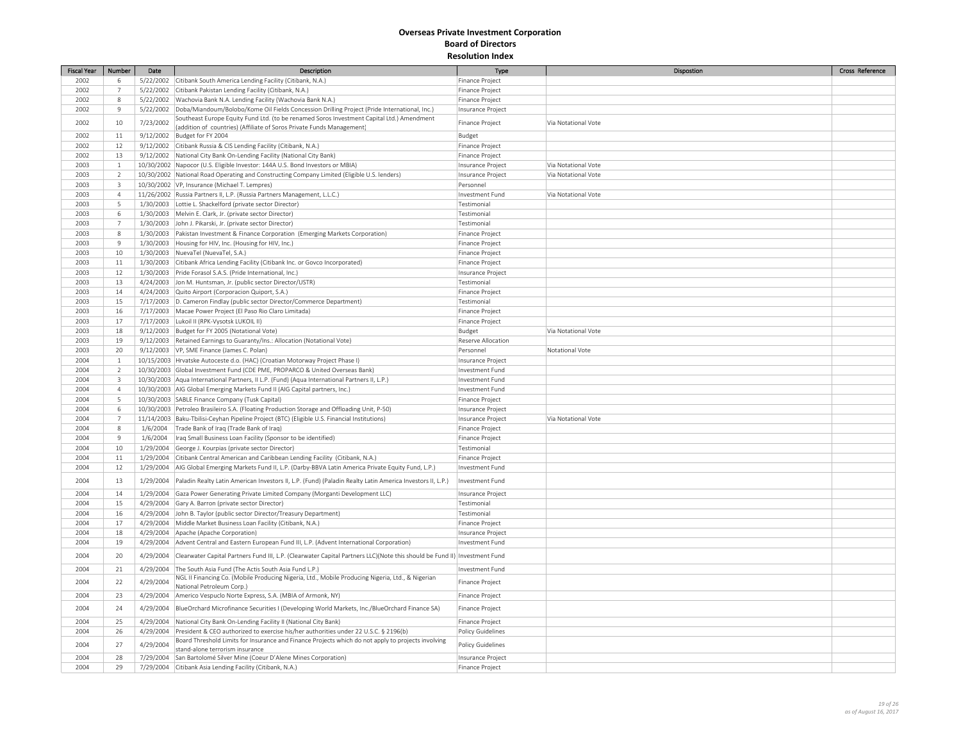| <b>Fiscal Year</b> | Number                  | Date      | Description                                                                                                                           | Type                     | Dispostion          | Cross Reference |
|--------------------|-------------------------|-----------|---------------------------------------------------------------------------------------------------------------------------------------|--------------------------|---------------------|-----------------|
| 2002               | 6                       |           | 5/22/2002 Citibank South America Lending Facility (Citibank, N.A.)                                                                    | Finance Project          |                     |                 |
| 2002               | $\overline{7}$          |           | 5/22/2002 Citibank Pakistan Lending Facility (Citibank, N.A.)                                                                         | Finance Project          |                     |                 |
| 2002               | 8                       |           | 5/22/2002 Wachovia Bank N.A. Lending Facility (Wachovia Bank N.A.)                                                                    | <b>Finance Project</b>   |                     |                 |
| 2002               | $\overline{9}$          |           | 5/22/2002 Doba/Miandoum/Bolobo/Kome Oil Fields Concession Drilling Project (Pride International, Inc.)                                | Insurance Project        |                     |                 |
| 2002               | 10                      | 7/23/2002 | Southeast Europe Equity Fund Ltd. (to be renamed Soros Investment Capital Ltd.) Amendment                                             | Finance Project          | Via Notational Vote |                 |
|                    |                         |           | (addition of countries) (Affiliate of Soros Private Funds Management)                                                                 |                          |                     |                 |
| 2002               | 11                      |           | 9/12/2002 Budget for FY 2004                                                                                                          | Budget                   |                     |                 |
| 2002               | 12                      |           | 9/12/2002 Citibank Russia & CIS Lending Facility (Citibank, N.A.)                                                                     | Finance Project          |                     |                 |
| 2002               | 13                      |           | 9/12/2002 National City Bank On-Lending Facility (National City Bank)                                                                 | <b>Finance Project</b>   |                     |                 |
| 2003               | $\overline{1}$          |           | 10/30/2002 Napocor (U.S. Eligible Investor: 144A U.S. Bond Investors or MBIA)                                                         | Insurance Project        | Via Notational Vote |                 |
| 2003               | $\overline{2}$          |           | 10/30/2002 National Road Operating and Constructing Company Limited (Eligible U.S. lenders)                                           | Insurance Project        | Via Notational Vote |                 |
| 2003               | $\overline{\mathbf{3}}$ |           | 10/30/2002 VP, Insurance (Michael T. Lempres)                                                                                         | Personnel                |                     |                 |
| 2003               | $\overline{4}$          |           | 11/26/2002 Russia Partners II, L.P. (Russia Partners Management, L.L.C.)                                                              | Investment Fund          | Via Notational Vote |                 |
| 2003               | 5                       |           | 1/30/2003 Lottie L. Shackelford (private sector Director)                                                                             | Testimonial              |                     |                 |
| 2003               | 6                       |           | 1/30/2003 Melvin E. Clark, Jr. (private sector Director)                                                                              | Testimonial              |                     |                 |
| 2003               | $\overline{7}$          |           | 1/30/2003 John J. Pikarski, Jr. (private sector Director)                                                                             | Testimonial              |                     |                 |
| 2003               | 8                       |           | 1/30/2003 Pakistan Investment & Finance Corporation (Emerging Markets Corporation)                                                    | Finance Project          |                     |                 |
| 2003               | 9                       |           | 1/30/2003 Housing for HIV, Inc. (Housing for HIV, Inc.)                                                                               | Finance Project          |                     |                 |
| 2003               | 10                      |           | 1/30/2003 NuevaTel (NuevaTel, S.A.)                                                                                                   | Finance Project          |                     |                 |
| 2003               | 11                      |           | 1/30/2003 Citibank Africa Lending Facility (Citibank Inc. or Govco Incorporated)                                                      | Finance Project          |                     |                 |
| 2003               | 12                      |           | 1/30/2003 Pride Forasol S.A.S. (Pride International, Inc.)                                                                            | Insurance Project        |                     |                 |
| 2003               | 13                      |           | 4/24/2003 Jon M. Huntsman, Jr. (public sector Director/USTR)                                                                          | Testimonial              |                     |                 |
| 2003               | 14                      |           | 4/24/2003 Quito Airport (Corporacion Quiport, S.A.)                                                                                   | Finance Project          |                     |                 |
| 2003               | 15                      |           | 7/17/2003 D. Cameron Findlay (public sector Director/Commerce Department)                                                             | Testimonial              |                     |                 |
| 2003               | 16                      |           | 7/17/2003   Macae Power Project (El Paso Rio Claro Limitada)                                                                          | Finance Project          |                     |                 |
| 2003               | 17                      |           | 7/17/2003   Lukoil II (RPK-Vysotsk LUKOIL II)                                                                                         | Finance Project          |                     |                 |
| 2003               | 18                      |           | 9/12/2003 Budget for FY 2005 (Notational Vote)                                                                                        | Budget                   | Via Notational Vote |                 |
| 2003               | 19                      |           | 9/12/2003 Retained Earnings to Guaranty/Ins.: Allocation (Notational Vote)                                                            | Reserve Allocation       |                     |                 |
| 2003               | 20                      |           | 9/12/2003   VP, SME Finance (James C. Polan)                                                                                          | Personnel                | Notational Vote     |                 |
| 2004               | $\mathbf{1}$            |           | 10/15/2003   Hrvatske Autoceste d.o. (HAC) (Croatian Motorway Project Phase I)                                                        | Insurance Project        |                     |                 |
| 2004               | $\overline{2}$          |           | 10/30/2003 Global Investment Fund (CDE PME, PROPARCO & United Overseas Bank)                                                          | Investment Fund          |                     |                 |
| 2004               | $\overline{\mathbf{3}}$ |           | 10/30/2003 Aqua International Partners, II L.P. (Fund) (Aqua International Partners II, L.P.)                                         | Investment Fund          |                     |                 |
| 2004               | $\Delta$                |           | 10/30/2003 AIG Global Emerging Markets Fund II (AIG Capital partners, Inc.)                                                           | Investment Fund          |                     |                 |
| 2004               | 5                       |           | 10/30/2003 SABLE Finance Company (Tusk Capital)                                                                                       | Finance Project          |                     |                 |
| 2004               | -6                      |           | 10/30/2003 Petroleo Brasileiro S.A. (Floating Production Storage and Offloading Unit, P-50)                                           | Insurance Project        |                     |                 |
| 2004               | $\overline{7}$          |           | 11/14/2003 Baku-Tbilisi-Ceyhan Pipeline Project (BTC) (Eligible U.S. Financial Institutions)                                          | Insurance Project        | Via Notational Vote |                 |
| 2004               | 8                       |           | 1/6/2004   Trade Bank of Iraq (Trade Bank of Iraq)                                                                                    | Finance Project          |                     |                 |
| 2004               | 9                       |           | 1/6/2004   Iraq Small Business Loan Facility (Sponsor to be identified)                                                               | Finance Project          |                     |                 |
| 2004               | 10                      |           | 1/29/2004 George J. Kourpias (private sector Director)                                                                                | Testimonial              |                     |                 |
| 2004               | $11\,$                  | 1/29/2004 | Citibank Central American and Caribbean Lending Facility (Citibank, N.A.)                                                             | Finance Project          |                     |                 |
| 2004               | 12                      |           | 1/29/2004   AIG Global Emerging Markets Fund II, L.P. (Darby-BBVA Latin America Private Equity Fund, L.P.)                            | Investment Fund          |                     |                 |
|                    |                         |           |                                                                                                                                       |                          |                     |                 |
| 2004               | 13                      | 1/29/2004 | Paladin Realty Latin American Investors II, L.P. (Fund) (Paladin Realty Latin America Investors II, L.P.)                             | Investment Fund          |                     |                 |
| 2004               | 14                      |           | 1/29/2004 Gaza Power Generating Private Limited Company (Morganti Development LLC)                                                    | Insurance Project        |                     |                 |
| 2004               | 15                      |           | 4/29/2004 Gary A. Barron (private sector Director)                                                                                    | Testimonial              |                     |                 |
| 2004               | 16                      |           | 4/29/2004 John B. Taylor (public sector Director/Treasury Department)                                                                 | Testimonial              |                     |                 |
| 2004               | 17                      |           | 4/29/2004   Middle Market Business Loan Facility (Citibank, N.A.)                                                                     | Finance Project          |                     |                 |
| 2004               | 18                      |           | 4/29/2004 Apache (Apache Corporation)                                                                                                 | Insurance Project        |                     |                 |
| 2004               | 19                      |           | 4/29/2004 Advent Central and Eastern European Fund III, L.P. (Advent International Corporation)                                       | Investment Fund          |                     |                 |
| 2004               | 20                      | 4/29/2004 | Clearwater Capital Partners Fund III, L.P. (Clearwater Capital Partners LLC)(Note this should be Fund II)   Investment Fund           |                          |                     |                 |
| 2004               | 21                      | 4/29/2004 | The South Asia Fund (The Actis South Asia Fund L.P.)                                                                                  | Investment Fund          |                     |                 |
| 2004               | 22                      | 4/29/2004 | NGL II Financing Co. (Mobile Producing Nigeria, Ltd., Mobile Producing Nigeria, Ltd., & Nigerian<br>National Petroleum Corp.)         | Finance Project          |                     |                 |
| 2004               | 23                      |           | 4/29/2004 Americo Vespuclo Norte Express, S.A. (MBIA of Armonk, NY)                                                                   | Finance Project          |                     |                 |
| 2004               | 24                      | 4/29/2004 | BlueOrchard Microfinance Securities I (Developing World Markets, Inc./BlueOrchard Finance SA)                                         | Finance Project          |                     |                 |
| 2004               | 25                      | 4/29/2004 | National City Bank On-Lending Facility II (National City Bank)                                                                        | Finance Project          |                     |                 |
| 2004               | 26                      |           | 4/29/2004 President & CEO authorized to exercise his/her authorities under 22 U.S.C. § 2196(b)                                        | <b>Policy Guidelines</b> |                     |                 |
| 2004               | 27                      | 4/29/2004 | Board Threshold Limits for Insurance and Finance Projects which do not apply to projects involving<br>stand-alone terrorism insurance | Policy Guidelines        |                     |                 |
| 2004               | 28                      |           | 7/29/2004 San Bartolomé Silver Mine (Coeur D'Alene Mines Corporation)                                                                 | Insurance Project        |                     |                 |
| 2004               | 29                      |           | 7/29/2004 Citibank Asia Lending Facility (Citibank, N.A.)                                                                             | Finance Project          |                     |                 |
|                    |                         |           |                                                                                                                                       |                          |                     |                 |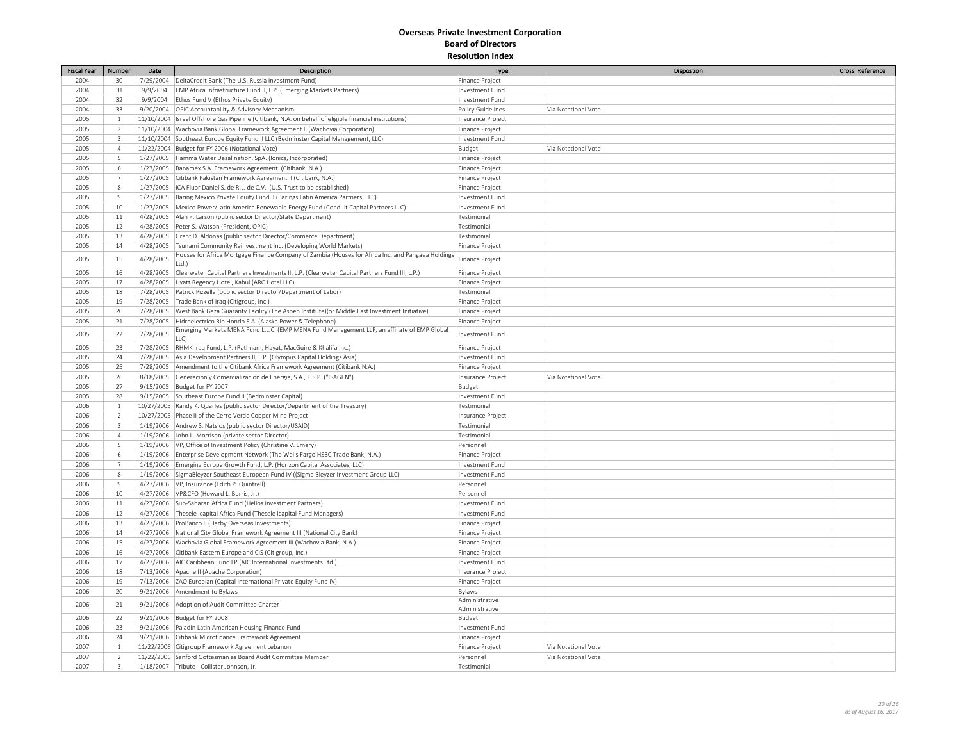| Fiscal Year | Number         | Date      | <b>Description</b>                                                                                        | Type                   | Dispostion          | Cross Reference |
|-------------|----------------|-----------|-----------------------------------------------------------------------------------------------------------|------------------------|---------------------|-----------------|
| 2004        | 30             |           | 7/29/2004   DeltaCredit Bank (The U.S. Russia Investment Fund)                                            | Finance Project        |                     |                 |
| 2004        | 31             |           | 9/9/2004 EMP Africa Infrastructure Fund II, L.P. (Emerging Markets Partners)                              | Investment Fund        |                     |                 |
| 2004        | 32             | 9/9/2004  | Ethos Fund V (Ethos Private Equity)                                                                       | Investment Fund        |                     |                 |
| 2004        | 33             |           | 9/20/2004 OPIC Accountability & Advisory Mechanism                                                        | Policy Guidelines      | Via Notational Vote |                 |
| 2005        | $\mathbf{1}$   |           | 11/10/2004  Israel Offshore Gas Pipeline (Citibank, N.A. on behalf of eligible financial institutions)    | Insurance Project      |                     |                 |
| 2005        | $\overline{2}$ |           | 11/10/2004   Wachovia Bank Global Framework Agreement II (Wachovia Corporation)                           | Finance Project        |                     |                 |
| 2005        | $\overline{3}$ |           | 11/10/2004 Southeast Europe Equity Fund II LLC (Bedminster Capital Management, LLC)                       | Investment Fund        |                     |                 |
| 2005        | $\overline{4}$ |           | 11/22/2004 Budget for FY 2006 (Notational Vote)                                                           | Budget                 | Via Notational Vote |                 |
| 2005        | 5              |           | 1/27/2005 Hamma Water Desalination, SpA. (Ionics, Incorporated)                                           | Finance Project        |                     |                 |
| 2005        | 6              |           | 1/27/2005   Banamex S.A. Framework Agreement (Citibank, N.A.)                                             | Finance Project        |                     |                 |
| 2005        | $\overline{7}$ |           | 1/27/2005 Citibank Pakistan Framework Agreement II (Citibank, N.A.)                                       | Finance Project        |                     |                 |
| 2005        | $\,$ 8         |           | 1/27/2005  ICA Fluor Daniel S. de R.L. de C.V. (U.S. Trust to be established)                             | Finance Project        |                     |                 |
| 2005        | $\overline{9}$ |           | 1/27/2005 Baring Mexico Private Equity Fund II (Barings Latin America Partners, LLC)                      | Investment Fund        |                     |                 |
| 2005        | 10             |           | 1/27/2005   Mexico Power/Latin America Renewable Energy Fund (Conduit Capital Partners LLC)               | Investment Fund        |                     |                 |
| 2005        | 11             |           | 4/28/2005 Alan P. Larson (public sector Director/State Department)                                        | Testimonial            |                     |                 |
| 2005        | 12             |           | 4/28/2005 Peter S. Watson (President, OPIC)                                                               | Testimonial            |                     |                 |
| 2005        | 13             |           | 4/28/2005 Grant D. Aldonas (public sector Director/Commerce Department)                                   | Testimonial            |                     |                 |
| 2005        | 14             |           | 4/28/2005 Tsunami Community Reinvestment Inc. (Developing World Markets)                                  | Finance Project        |                     |                 |
|             |                |           | Houses for Africa Mortgage Finance Company of Zambia (Houses for Africa Inc. and Pangaea Holdings         |                        |                     |                 |
| 2005        | 15             | 4/28/2005 | Ltd.)                                                                                                     | Finance Project        |                     |                 |
| 2005        | 16             |           | 4/28/2005 Clearwater Capital Partners Investments II, L.P. (Clearwater Capital Partners Fund III, L.P.)   | Finance Project        |                     |                 |
| 2005        | 17             |           | 4/28/2005   Hyatt Regency Hotel, Kabul (ARC Hotel LLC)                                                    | <b>Finance Project</b> |                     |                 |
| 2005        | 18             |           | 7/28/2005 Patrick Pizzella (public sector Director/Department of Labor)                                   | Testimonial            |                     |                 |
| 2005        | 19             |           | 7/28/2005   Trade Bank of Iraq (Citigroup, Inc.)                                                          | Finance Project        |                     |                 |
| 2005        | 20             |           | 7/28/2005   West Bank Gaza Guaranty Facility (The Aspen Institute) (or Middle East Investment Initiative) | Finance Project        |                     |                 |
| 2005        | 21             |           | 7/28/2005 Hidroelectrico Rio Hondo S.A. (Alaska Power & Telephone)                                        | Finance Project        |                     |                 |
|             | 22             |           | Emerging Markets MENA Fund L.L.C. (EMP MENA Fund Management LLP, an affiliate of EMP Global               |                        |                     |                 |
| 2005        |                | 7/28/2005 | LLC)                                                                                                      | Investment Fund        |                     |                 |
| 2005        | 23             |           | 7/28/2005 RHMK Iraq Fund, L.P. (Rathnam, Hayat, MacGuire & Khalifa Inc.)                                  | Finance Project        |                     |                 |
| 2005        | 24             |           | 7/28/2005 Asia Development Partners II, L.P. (Olympus Capital Holdings Asia)                              | Investment Fund        |                     |                 |
| 2005        | 25             |           | 7/28/2005 Amendment to the Citibank Africa Framework Agreement (Citibank N.A.)                            | Finance Project        |                     |                 |
| 2005        | 26             |           | 8/18/2005 Generacion y Comercializacion de Energia, S.A., E.S.P. ("ISAGEN")                               | Insurance Project      | Via Notational Vote |                 |
| 2005        | 27             |           | 9/15/2005 Budget for FY 2007                                                                              | Budget                 |                     |                 |
| 2005        | 28             |           | 9/15/2005 Southeast Europe Fund II (Bedminster Capital)                                                   | Investment Fund        |                     |                 |
| 2006        | $\mathbf{1}$   |           | 10/27/2005   Randy K. Quarles (public sector Director/Department of the Treasury)                         | Testimonial            |                     |                 |
| 2006        | $\overline{2}$ |           | 10/27/2005 Phase II of the Cerro Verde Copper Mine Project                                                | Insurance Project      |                     |                 |
| 2006        | $\overline{3}$ |           | 1/19/2006 Andrew S. Natsios (public sector Director/USAID)                                                | Testimonial            |                     |                 |
| 2006        | $\overline{4}$ |           | 1/19/2006 John L. Morrison (private sector Director)                                                      | Testimonial            |                     |                 |
| 2006        | 5              |           | 1/19/2006 VP, Office of Investment Policy (Christine V. Emery)                                            | Personnel              |                     |                 |
| 2006        | 6              |           | 1/19/2006   Enterprise Development Network (The Wells Fargo HSBC Trade Bank, N.A.)                        | Finance Project        |                     |                 |
| 2006        | $\overline{7}$ |           | 1/19/2006 Emerging Europe Growth Fund, L.P. (Horizon Capital Associates, LLC)                             | Investment Fund        |                     |                 |
| 2006        | 8              |           | 1/19/2006 SigmaBleyzer Southeast European Fund IV ((Sigma Bleyzer Investment Group LLC)                   | Investment Fund        |                     |                 |
| 2006        | 9              |           | 4/27/2006   VP, Insurance (Edith P. Quintrell)                                                            | Personnel              |                     |                 |
| 2006        | 10             |           | 4/27/2006 VP&CFO (Howard L. Burris, Jr.)                                                                  | Personnel              |                     |                 |
| 2006        | $11\,$         |           | 4/27/2006 Sub-Saharan Africa Fund (Helios Investment Partners)                                            | Investment Fund        |                     |                 |
| 2006        | 12             |           | 4/27/2006 Thesele icapital Africa Fund (Thesele icapital Fund Managers)                                   | Investment Fund        |                     |                 |
| 2006        | 13             |           | 4/27/2006 ProBanco II (Darby Overseas Investments)                                                        | Finance Project        |                     |                 |
| 2006        | 14             |           | 4/27/2006 National City Global Framework Agreement III (National City Bank)                               | Finance Project        |                     |                 |
| 2006        | 15             |           | 4/27/2006   Wachovia Global Framework Agreement III (Wachovia Bank, N.A.)                                 | Finance Project        |                     |                 |
| 2006        | 16             |           | 4/27/2006 Citibank Eastern Europe and CIS (Citigroup, Inc.)                                               | Finance Project        |                     |                 |
| 2006        | 17             |           | 4/27/2006   AIC Caribbean Fund LP (AIC International Investments Ltd.)                                    | Investment Fund        |                     |                 |
| 2006        | 18             |           | 7/13/2006 Apache II (Apache Corporation)                                                                  | Insurance Project      |                     |                 |
| 2006        | 19             |           | 7/13/2006 ZAO Europlan (Capital International Private Equity Fund IV)                                     | Finance Project        |                     |                 |
| 2006        | 20             |           | 9/21/2006 Amendment to Bylaws                                                                             | Bylaws                 |                     |                 |
|             |                |           |                                                                                                           | Administrative         |                     |                 |
| 2006        | 21             |           | 9/21/2006 Adoption of Audit Committee Charter                                                             | Administrative         |                     |                 |
| 2006        | 22             |           | 9/21/2006 Budget for FY 2008                                                                              | Budget                 |                     |                 |
| 2006        | 23             |           | 9/21/2006 Paladin Latin American Housing Finance Fund                                                     | Investment Fund        |                     |                 |
| 2006        | 24             |           | 9/21/2006 Citibank Microfinance Framework Agreement                                                       | Finance Project        |                     |                 |
| 2007        | $1\,$          |           | 11/22/2006 Citigroup Framework Agreement Lebanon                                                          | Finance Project        | Via Notational Vote |                 |
| 2007        | $\overline{2}$ |           | 11/22/2006 Sanford Gottesman as Board Audit Committee Member                                              | Personnel              | Via Notational Vote |                 |
| 2007        | $\overline{3}$ |           | 1/18/2007 Tribute - Collister Johnson, Jr.                                                                | Testimonial            |                     |                 |
|             |                |           |                                                                                                           |                        |                     |                 |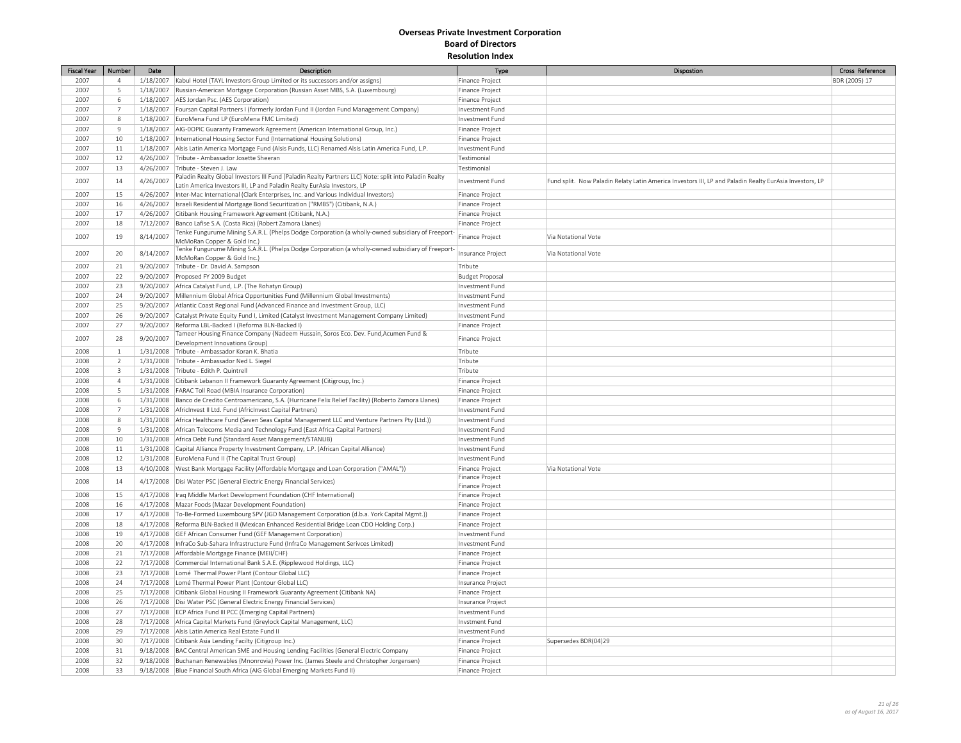| <b>Fiscal Year</b> | Number         | Date      | Description                                                                                                | Type                   | Dispostion                                                                                              | Cross Reference |
|--------------------|----------------|-----------|------------------------------------------------------------------------------------------------------------|------------------------|---------------------------------------------------------------------------------------------------------|-----------------|
| 2007               | $\overline{4}$ | 1/18/2007 | Kabul Hotel (TAYL Investors Group Limited or its successors and/or assigns)                                | Finance Project        |                                                                                                         | BDR (2005) 17   |
| 2007               | 5              |           | 1/18/2007 Russian-American Mortgage Corporation (Russian Asset MBS, S.A. (Luxembourg)                      | Finance Project        |                                                                                                         |                 |
| 2007               | 6              |           | 1/18/2007   AES Jordan Psc. (AES Corporation)                                                              | Finance Project        |                                                                                                         |                 |
| 2007               | $\overline{7}$ |           | 1/18/2007   Foursan Capital Partners I (formerly Jordan Fund II (Jordan Fund Management Company)           | Investment Fund        |                                                                                                         |                 |
| 2007               | 8              |           | 1/18/2007 EuroMena Fund LP (EuroMena FMC Limited)                                                          | Investment Fund        |                                                                                                         |                 |
| 2007               | $\overline{9}$ | 1/18/2007 | AIG-00PIC Guaranty Framework Agreement (American International Group, Inc.)                                | Finance Project        |                                                                                                         |                 |
| 2007               | 10             |           | 1/18/2007  International Housing Sector Fund (International Housing Solutions)                             | Finance Project        |                                                                                                         |                 |
| 2007               | 11             | 1/18/2007 | Alsis Latin America Mortgage Fund (Alsis Funds, LLC) Renamed Alsis Latin America Fund, L.P.                | Investment Fund        |                                                                                                         |                 |
| 2007               | 12             | 4/26/2007 | Tribute - Ambassador Josette Sheeran                                                                       | Testimonial            |                                                                                                         |                 |
| 2007               | 13             | 4/26/2007 | Tribute - Steven J. Law                                                                                    | Testimonial            |                                                                                                         |                 |
|                    |                |           | Paladin Realty Global Investors III Fund (Paladin Realty Partners LLC) Note: split into Paladin Realty     |                        |                                                                                                         |                 |
| 2007               | 14             | 4/26/2007 | Latin America Investors III, LP and Paladin Realty EurAsia Investors, LP                                   | Investment Fund        | Fund split. Now Paladin Relaty Latin America Investors III, LP and Paladin Realty EurAsia Investors, LP |                 |
| 2007               | 15             | 4/26/2007 | Inter-Mac International (Clark Enterprises, Inc. and Various Individual Investors)                         | Finance Project        |                                                                                                         |                 |
| 2007               | 16             |           | 4/26/2007   Israeli Residential Mortgage Bond Securitization ("RMBS") (Citibank, N.A.)                     | Finance Project        |                                                                                                         |                 |
| 2007               | 17             | 4/26/2007 | Citibank Housing Framework Agreement (Citibank, N.A.)                                                      | Finance Project        |                                                                                                         |                 |
| 2007               | 18             | 7/12/2007 | Banco Lafise S.A. (Costa Rica) (Robert Zamora Llanes)                                                      | Finance Project        |                                                                                                         |                 |
|                    |                |           | Tenke Fungurume Mining S.A.R.L. (Phelps Dodge Corporation (a wholly-owned subsidiary of Freeport-          |                        |                                                                                                         |                 |
| 2007               | 19             | 8/14/2007 | McMoRan Copper & Gold Inc.)                                                                                | Finance Project        | Via Notational Vote                                                                                     |                 |
| 2007               | 20             | 8/14/2007 | Tenke Fungurume Mining S.A.R.L. (Phelps Dodge Corporation (a wholly-owned subsidiary of Freeport-          | Insurance Project      | Via Notational Vote                                                                                     |                 |
|                    |                |           | McMoRan Copper & Gold Inc.)                                                                                |                        |                                                                                                         |                 |
| 2007               | 21             | 9/20/2007 | Tribute - Dr. David A. Sampson                                                                             | Tribute                |                                                                                                         |                 |
| 2007               | 22             |           | 9/20/2007 Proposed FY 2009 Budget                                                                          | <b>Budget Proposal</b> |                                                                                                         |                 |
| 2007               | 23             |           | 9/20/2007 Africa Catalyst Fund, L.P. (The Rohatyn Group)                                                   | Investment Fund        |                                                                                                         |                 |
| 2007               | 24             |           | 9/20/2007 Millennium Global Africa Opportunities Fund (Millennium Global Investments)                      | Investment Fund        |                                                                                                         |                 |
| 2007               | 25             | 9/20/2007 | Atlantic Coast Regional Fund (Advanced Finance and Investment Group, LLC)                                  | Investment Fund        |                                                                                                         |                 |
| 2007               | 26             |           | 9/20/2007 Catalyst Private Equity Fund I, Limited (Catalyst Investment Management Company Limited)         | Investment Fund        |                                                                                                         |                 |
| 2007               | 27             | 9/20/2007 | Reforma LBL-Backed I (Reforma BLN-Backed I)                                                                | Finance Project        |                                                                                                         |                 |
| 2007               | 28             | 9/20/2007 | Tameer Housing Finance Company (Nadeem Hussain, Soros Eco. Dev. Fund, Acumen Fund &                        | Finance Project        |                                                                                                         |                 |
|                    |                |           | Development Innovations Group)                                                                             |                        |                                                                                                         |                 |
| 2008               | $1\,$          |           | 1/31/2008 Tribute - Ambassador Koran K. Bhatia                                                             | Tribute                |                                                                                                         |                 |
| 2008               | $\overline{2}$ | 1/31/2008 | Tribute - Ambassador Ned L. Siegel                                                                         | Tribute                |                                                                                                         |                 |
| 2008               | $\overline{3}$ |           | 1/31/2008 Tribute - Edith P. Quintrell                                                                     | Tribute                |                                                                                                         |                 |
| 2008               | $\overline{4}$ | 1/31/2008 | Citibank Lebanon II Framework Guaranty Agreement (Citigroup, Inc.)                                         | Finance Project        |                                                                                                         |                 |
| 2008               | 5              |           | 1/31/2008   FARAC Toll Road (MBIA Insurance Corporation)                                                   | Finance Project        |                                                                                                         |                 |
| 2008               | 6              |           | 1/31/2008 Banco de Credito Centroamericano, S.A. (Hurricane Felix Relief Facility) (Roberto Zamora Llanes) | Finance Project        |                                                                                                         |                 |
| 2008               | $\overline{7}$ |           | 1/31/2008   AfricInvest II Ltd. Fund (AfricInvest Capital Partners)                                        | Investment Fund        |                                                                                                         |                 |
| 2008               | 8              |           | 1/31/2008   Africa Healthcare Fund (Seven Seas Capital Management LLC and Venture Partners Pty (Ltd.))     | Investment Fund        |                                                                                                         |                 |
| 2008               | $\overline{9}$ |           | 1/31/2008   African Telecoms Media and Technology Fund (East Africa Capital Partners)                      | Investment Fund        |                                                                                                         |                 |
| 2008               | $10\,$         |           | 1/31/2008 Africa Debt Fund (Standard Asset Management/STANLIB)                                             | Investment Fund        |                                                                                                         |                 |
| 2008               | 11             |           | 1/31/2008 Capital Alliance Property Investment Company, L.P. (African Capital Alliance)                    | Investment Fund        |                                                                                                         |                 |
| 2008               | 12             | 1/31/2008 | EuroMena Fund II (The Capital Trust Group)                                                                 | Investment Fund        |                                                                                                         |                 |
| 2008               | 13             |           | 4/10/2008   West Bank Mortgage Facility (Affordable Mortgage and Loan Corporation ("AMAL"))                | Finance Project        | Via Notational Vote                                                                                     |                 |
| 2008               | 14             | 4/17/2008 | Disi Water PSC (General Electric Energy Financial Services)                                                | Finance Project        |                                                                                                         |                 |
|                    |                |           |                                                                                                            | Finance Project        |                                                                                                         |                 |
| 2008               | 15             |           | 4/17/2008   Iraq Middle Market Development Foundation (CHF International)                                  | Finance Project        |                                                                                                         |                 |
| 2008               | 16             |           | 4/17/2008   Mazar Foods (Mazar Development Foundation)                                                     | Finance Project        |                                                                                                         |                 |
| 2008               | 17             |           | 4/17/2008   To-Be-Formed Luxembourg SPV (JGD Management Corporation (d.b.a. York Capital Mgmt.))           | Finance Project        |                                                                                                         |                 |
| 2008               | 18             |           | 4/17/2008 Reforma BLN-Backed II (Mexican Enhanced Residential Bridge Loan CDO Holding Corp.)               | Finance Project        |                                                                                                         |                 |
| 2008               | 19             | 4/17/2008 | GEF African Consumer Fund (GEF Management Corporation)                                                     | Investment Fund        |                                                                                                         |                 |
| 2008               | 20             |           | 4/17/2008   InfraCo Sub-Sahara Infrastructure Fund (InfraCo Management Serivces Limited)                   | Investment Fund        |                                                                                                         |                 |
| 2008               | 21             |           | 7/17/2008 Affordable Mortgage Finance (MEII/CHF)                                                           | Finance Project        |                                                                                                         |                 |
| 2008               | 22             |           | 7/17/2008 Commercial International Bank S.A.E. (Ripplewood Holdings, LLC)                                  | Finance Project        |                                                                                                         |                 |
| 2008               | 23             |           | 7/17/2008 Lomé Thermal Power Plant (Contour Global LLC)                                                    | Finance Project        |                                                                                                         |                 |
| 2008               | 24             |           | 7/17/2008 Lomé Thermal Power Plant (Contour Global LLC)                                                    | Insurance Project      |                                                                                                         |                 |
| 2008               | 25             |           | 7/17/2008 Citibank Global Housing II Framework Guaranty Agreement (Citibank NA)                            | Finance Project        |                                                                                                         |                 |
| 2008               | 26             |           | 7/17/2008 Disi Water PSC (General Electric Energy Financial Services)                                      | Insurance Project      |                                                                                                         |                 |
| 2008               | 27             |           | 7/17/2008   ECP Africa Fund III PCC (Emerging Capital Partners)                                            | Investment Fund        |                                                                                                         |                 |
| 2008               | 28             |           | 7/17/2008 Africa Capital Markets Fund (Greylock Capital Management, LLC)                                   | Invstment Fund         |                                                                                                         |                 |
| 2008               | 29             |           | 7/17/2008 Alsis Latin America Real Estate Fund II                                                          | Investment Fund        |                                                                                                         |                 |
| 2008               | 30             |           | 7/17/2008 Citibank Asia Lending Facilty (Citigroup Inc.)                                                   | Finance Project        | Supersedes BDR(04)29                                                                                    |                 |
| 2008               | 31             |           | 9/18/2008   BAC Central American SME and Housing Lending Facilities (General Electric Company              | Finance Project        |                                                                                                         |                 |
| 2008               | 32             |           | 9/18/2008   Buchanan Renewables (Mnonrovia) Power Inc. (James Steele and Christopher Jorgensen)            | Finance Project        |                                                                                                         |                 |
| 2008               | 33             |           | 9/18/2008 Blue Financial South Africa (AIG Global Emerging Markets Fund II)                                | Finance Project        |                                                                                                         |                 |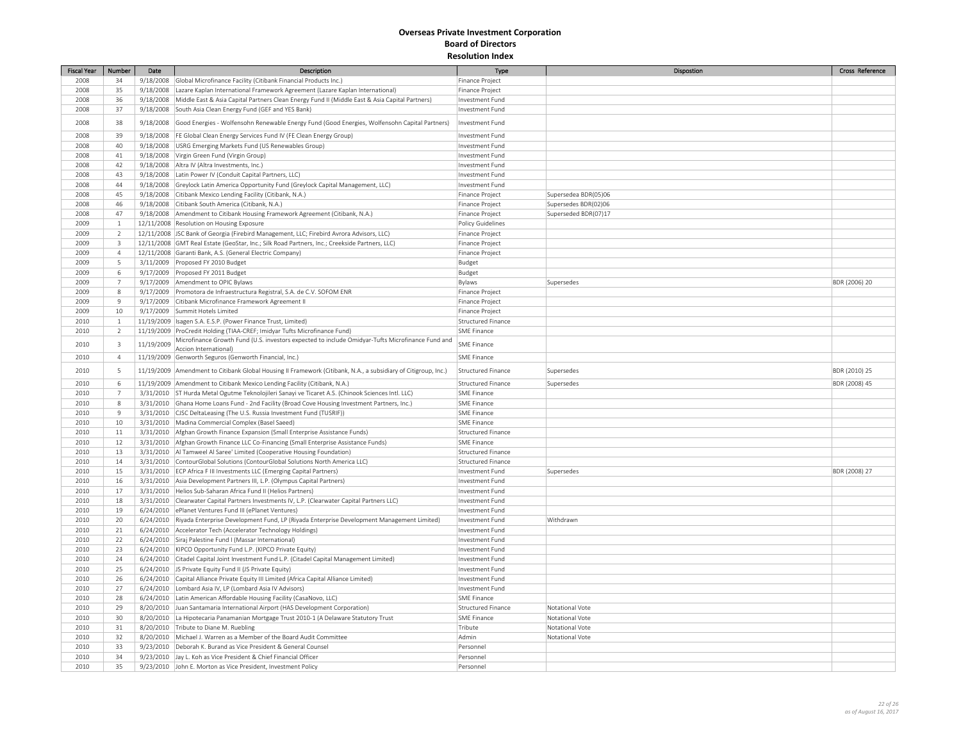| <b>Fiscal Year</b> | Number                  | Date       | Description                                                                                                      | Type                                                   | Dispostion           | Cross Reference |
|--------------------|-------------------------|------------|------------------------------------------------------------------------------------------------------------------|--------------------------------------------------------|----------------------|-----------------|
| 2008               | 34                      |            | 9/18/2008 Global Microfinance Facility (Citibank Financial Products Inc.)                                        | Finance Project                                        |                      |                 |
| 2008               | 35                      |            | 9/18/2008 Lazare Kaplan International Framework Agreement (Lazare Kaplan International)                          | Finance Project                                        |                      |                 |
| 2008               | 36                      | 9/18/2008  | Middle East & Asia Capital Partners Clean Energy Fund II (Middle East & Asia Capital Partners)                   | Investment Fund                                        |                      |                 |
| 2008               | 37                      |            | 9/18/2008 South Asia Clean Energy Fund (GEF and YES Bank)                                                        | Investment Fund                                        |                      |                 |
| 2008               | 38                      | 9/18/2008  | Good Energies - Wolfensohn Renewable Energy Fund (Good Energies, Wolfensohn Capital Partners)                    | Investment Fund                                        |                      |                 |
| 2008               | 39                      | 9/18/2008  | FE Global Clean Energy Services Fund IV (FE Clean Energy Group)                                                  | Investment Fund                                        |                      |                 |
| 2008               | 40                      |            | 9/18/2008 USRG Emerging Markets Fund (US Renewables Group)                                                       | Investment Fund                                        |                      |                 |
| 2008               | 41                      | 9/18/2008  | Virgin Green Fund (Virgin Group)                                                                                 | Investment Fund                                        |                      |                 |
| 2008               | 42                      |            | 9/18/2008   Altra IV (Altra Investments, Inc.)                                                                   | Investment Fund                                        |                      |                 |
| 2008               | 43                      |            | 9/18/2008 Latin Power IV (Conduit Capital Partners, LLC)                                                         | Investment Fund                                        |                      |                 |
| 2008               | 44                      |            | 9/18/2008 Greylock Latin America Opportunity Fund (Greylock Capital Management, LLC)                             | Investment Fund                                        |                      |                 |
| 2008               | 45                      |            | 9/18/2008 Citibank Mexico Lending Facility (Citibank, N.A.)                                                      | Finance Project                                        | Supersedea BDR(05)06 |                 |
| 2008               | 46                      |            | 9/18/2008 Citibank South America (Citibank, N.A.)                                                                | Finance Project                                        | Supersedes BDR(02)06 |                 |
| 2008               | 47                      |            | 9/18/2008 Amendment to Citibank Housing Framework Agreement (Citibank, N.A.)                                     | Finance Project                                        | Superseded BDR(07)17 |                 |
| 2009               | $\mathbf{1}$            |            | 12/11/2008 Resolution on Housing Exposure                                                                        | Policy Guidelines                                      |                      |                 |
| 2009               | $\overline{2}$          |            | 12/11/2008 JSC Bank of Georgia (Firebird Management, LLC; Firebird Avrora Advisors, LLC)                         | Finance Project                                        |                      |                 |
| 2009               | $\overline{3}$          |            | 12/11/2008 GMT Real Estate (GeoStar, Inc.; Silk Road Partners, Inc.; Creekside Partners, LLC)                    | Finance Project                                        |                      |                 |
| 2009               | $\overline{4}$          |            | 12/11/2008 Garanti Bank, A.S. (General Electric Company)                                                         | Finance Project                                        |                      |                 |
|                    | 5                       |            |                                                                                                                  |                                                        |                      |                 |
| 2009               | 6                       |            | 3/11/2009 Proposed FY 2010 Budget                                                                                | Budget                                                 |                      |                 |
| 2009               |                         |            | 9/17/2009 Proposed FY 2011 Budget                                                                                | Budget                                                 |                      |                 |
| 2009               | $\overline{7}$          |            | 9/17/2009 Amendment to OPIC Bylaws                                                                               | Bylaws                                                 | Supersedes           | BDR (2006) 20   |
| 2009               | 8                       |            | 9/17/2009   Promotora de Infraestructura Registral, S.A. de C.V. SOFOM ENR                                       | Finance Project                                        |                      |                 |
| 2009               | 9                       |            | 9/17/2009 Citibank Microfinance Framework Agreement II                                                           | Finance Project                                        |                      |                 |
| 2009               | 10                      |            | 9/17/2009 Summit Hotels Limited                                                                                  | Finance Project                                        |                      |                 |
| 2010               | $\mathbf{1}$            |            | 11/19/2009   Isagen S.A. E.S.P. (Power Finance Trust, Limited)                                                   | Structured Finance                                     |                      |                 |
| 2010               | <sup>2</sup>            |            | 11/19/2009 ProCredit Holding (TIAA-CREF; Imidyar Tufts Microfinance Fund)                                        | <b>SME Finance</b>                                     |                      |                 |
| 2010               | $\overline{\mathbf{3}}$ | 11/19/2009 | Microfinance Growth Fund (U.S. investors expected to include Omidyar-Tufts Microfinance Fund and                 | <b>SME Finance</b>                                     |                      |                 |
|                    |                         |            | Accion International)                                                                                            |                                                        |                      |                 |
| 2010               | $\overline{4}$          |            | 11/19/2009 Genworth Seguros (Genworth Financial, Inc.)                                                           | <b>SME Finance</b>                                     |                      |                 |
| 2010               | $5\phantom{.0}$         |            | 11/19/2009   Amendment to Citibank Global Housing II Framework (Citibank, N.A., a subsidiary of Citigroup, Inc.) | <b>Structured Finance</b>                              | Supersedes           | BDR (2010) 25   |
| 2010               | 6                       |            | 11/19/2009 Amendment to Citibank Mexico Lending Facility (Citibank, N.A.)                                        | <b>Structured Finance</b>                              | Supersedes           | BDR (2008) 45   |
| 2010               | $\overline{7}$          |            | 3/31/2010   ST Hurda Metal Ogutme Teknolojileri Sanayi ve Ticaret A.S. (Chinook Sciences Intl. LLC)              | <b>SME Finance</b>                                     |                      |                 |
| 2010               | 8                       |            | 3/31/2010 Ghana Home Loans Fund - 2nd Facility (Broad Cove Housing Investment Partners, Inc.)                    | <b>SME Finance</b>                                     |                      |                 |
| 2010               | $\overline{9}$          |            | 3/31/2010 CJSC DeltaLeasing (The U.S. Russia Investment Fund (TUSRIF))                                           | <b>SME Finance</b>                                     |                      |                 |
| 2010               | 10                      |            | 3/31/2010   Madina Commercial Complex (Basel Saeed)                                                              | <b>SME Finance</b>                                     |                      |                 |
| 2010               | 11                      |            | 3/31/2010   Afghan Growth Finance Expansion (Small Enterprise Assistance Funds)                                  | <b>Structured Finance</b>                              |                      |                 |
| 2010               | 12                      |            | 3/31/2010   Afghan Growth Finance LLC Co-Financing (Small Enterprise Assistance Funds)                           | <b>SME Finance</b>                                     |                      |                 |
| 2010               | 13                      |            |                                                                                                                  |                                                        |                      |                 |
|                    | 14                      |            | 3/31/2010   Al Tamweel Al Saree' Limited (Cooperative Housing Foundation)                                        | <b>Structured Finance</b><br><b>Structured Finance</b> |                      |                 |
| 2010               |                         |            | 3/31/2010 ContourGlobal Solutions (ContourGlobal Solutions North America LLC)                                    |                                                        |                      |                 |
| 2010               | 15                      |            | 3/31/2010 ECP Africa F III Investments LLC (Emerging Capital Partners)                                           | Investment Fund                                        | Supersedes           | BDR (2008) 27   |
| 2010               | 16                      |            | 3/31/2010 Asia Development Partners III, L.P. (Olympus Capital Partners)                                         | Investment Fund                                        |                      |                 |
| 2010               | 17                      |            | 3/31/2010   Helios Sub-Saharan Africa Fund II (Helios Partners)                                                  | Investment Fund                                        |                      |                 |
| 2010               | 18                      |            | 3/31/2010 Clearwater Capital Partners Investments IV, L.P. (Clearwater Capital Partners LLC)                     | Investment Fund                                        |                      |                 |
| 2010               | 19                      |            | 6/24/2010 ePlanet Ventures Fund III (ePlanet Ventures)                                                           | Investment Fund                                        |                      |                 |
| 2010               | 20                      |            | 6/24/2010   Riyada Enterprise Development Fund, LP (Riyada Enterprise Development Management Limited)            | Investment Fund                                        | Withdrawn            |                 |
| 2010               | 21                      |            | 6/24/2010   Accelerator Tech (Accelerator Technology Holdings)                                                   | Investment Fund                                        |                      |                 |
| 2010               | 22                      |            | 6/24/2010 Siraj Palestine Fund I (Massar International)                                                          | Investment Fund                                        |                      |                 |
| 2010               | 23                      |            | 6/24/2010   KIPCO Opportunity Fund L.P. (KIPCO Private Equity)                                                   | Investment Fund                                        |                      |                 |
| 2010               | 24                      |            | 6/24/2010 Citadel Capital Joint Investment Fund L.P. (Citadel Capital Management Limited)                        | Investment Fund                                        |                      |                 |
| 2010               | 25                      |            | 6/24/2010   JS Private Equity Fund II (JS Private Equity)                                                        | Investment Fund                                        |                      |                 |
| 2010               | 26                      |            | 6/24/2010 Capital Alliance Private Equity III Limited (Africa Capital Alliance Limited)                          | Investment Fund                                        |                      |                 |
| 2010               | 27                      | 6/24/2010  | Lombard Asia IV, LP (Lombard Asia IV Advisors)                                                                   | Investment Fund                                        |                      |                 |
| 2010               | 28                      |            | 6/24/2010 Latin American Affordable Housing Facility (CasaNovo, LLC)                                             | <b>SME Finance</b>                                     |                      |                 |
| 2010               | 29                      | 8/20/2010  | Juan Santamaria International Airport (HAS Development Corporation)                                              | <b>Structured Finance</b>                              | Notational Vote      |                 |
| 2010               | 30                      |            | 8/20/2010 La Hipotecaria Panamanian Mortgage Trust 2010-1 (A Delaware Statutory Trust                            | <b>SME Finance</b>                                     | Notational Vote      |                 |
| 2010               | 31                      |            | 8/20/2010 Tribute to Diane M. Ruebling                                                                           | Tribute                                                | Notational Vote      |                 |
| 2010               | 32                      | 8/20/2010  | Michael J. Warren as a Member of the Board Audit Committee                                                       | Admin                                                  | Notational Vote      |                 |
| 2010               | 33                      |            | 9/23/2010   Deborah K. Burand as Vice President & General Counsel                                                | Personnel                                              |                      |                 |
| 2010               | 34                      |            | 9/23/2010 Jay L. Koh as Vice President & Chief Financial Officer                                                 | Personnel                                              |                      |                 |
| 2010               | 35                      |            | 9/23/2010 John E. Morton as Vice President, Investment Policy                                                    | Personnel                                              |                      |                 |
|                    |                         |            |                                                                                                                  |                                                        |                      |                 |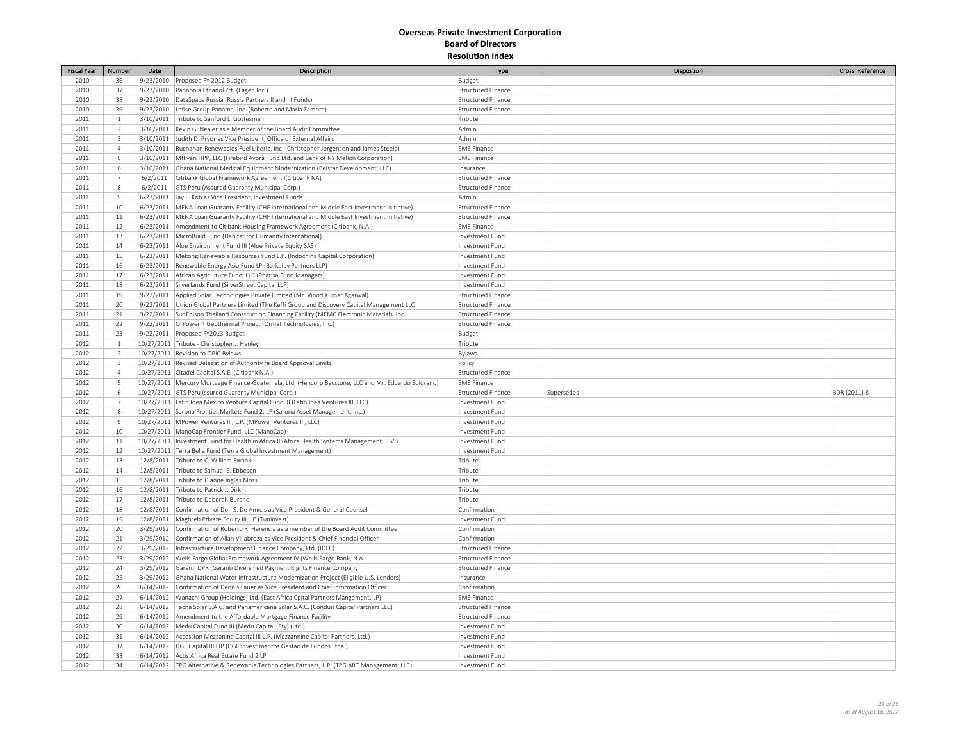| <b>Fiscal Year</b> | Number                  | Date | Description                                                                                            | Type                      | Dispostion | Cross Reference |
|--------------------|-------------------------|------|--------------------------------------------------------------------------------------------------------|---------------------------|------------|-----------------|
| 2010               | 36                      |      | 9/23/2010 Proposed FY 2012 Budget                                                                      | Budget                    |            |                 |
| 2010               | 37                      |      | 9/23/2010 Pannonia Ethanol Zrt. (Fagen Inc.)                                                           | Structured Finance        |            |                 |
| 2010               | 38                      |      | 9/23/2010   DataSpace Russia (Russia Partners II and III Funds)                                        | Structured Finance        |            |                 |
| 2010               | 39                      |      | 9/23/2010 Lafise Group Panama, Inc. (Roberto and Maria Zamora)                                         | Structured Finance        |            |                 |
| 2011               | $\mathbf{1}$            |      | 3/10/2011 Tribute to Sanford L. Gottesman                                                              | Tribute                   |            |                 |
| 2011               | $\overline{2}$          |      | 3/10/2011   Kevin G. Nealer as a Member of the Board Audit Committee                                   | Admin                     |            |                 |
| 2011               | $\overline{\mathbf{3}}$ |      | 3/10/2011 Judith D. Pryor as Vice President, Office of External Affairs                                | Admin                     |            |                 |
| 2011               | $\overline{4}$          |      | 3/10/2011  Buchanan Renewables Fuel Liberia, Inc. (Christopher Jorgensen and James Steele)             | <b>SME Finance</b>        |            |                 |
| 2011               | 5                       |      | 3/10/2011   Mtkvari HPP, LLC (Firebird Avora Fund Ltd. and Bank of NY Mellon Corporation)              | <b>SME Finance</b>        |            |                 |
| 2011               | 6                       |      | 3/10/2011 Ghana National Medical Equipment Modernization (Belstar Development, LLC)                    | Insurance                 |            |                 |
| 2011               | $\overline{7}$          |      | 6/2/2011 Citibank Global Framework Agreement I(Citibank NA)                                            | <b>Structured Finance</b> |            |                 |
| 2011               | 8                       |      | 6/2/2011 GTS Peru (Assured Guaranty Municipal Corp.)                                                   | Structured Finance        |            |                 |
| 2011               | $\overline{9}$          |      | 6/23/2011 Jay L. Koh as Vice President, Investment Funds                                               | Admin                     |            |                 |
| 2011               | 10                      |      | 6/23/2011   MENA Loan Guaranty Facility (CHF International and Middle East Investment Initiative)      | Structured Finance        |            |                 |
| 2011               | 11                      |      | 6/23/2011   MENA Loan Guaranty Facility (CHF International and Middle East Investment Initiative)      | <b>Structured Finance</b> |            |                 |
| 2011               | 12                      |      | 6/23/2011   Amendment to Citibank Housing Framework Agreement (Citibank, N.A.)                         | <b>SME Finance</b>        |            |                 |
| 2011               | 13                      |      | 6/23/2011   MicroBuild Fund (Habitat for Humanity International)                                       | Investment Fund           |            |                 |
| 2011               | 14                      |      | 6/23/2011 Aloe Environment Fund III (Aloe Private Equity SAS)                                          | Investment Fund           |            |                 |
| 2011               | 15                      |      | 6/23/2011   Mekong Renewable Resources Fund L.P. (Indochina Capital Corporation)                       | Investment Fund           |            |                 |
| 2011               | 16                      |      | 6/23/2011 Renewable Energy Asia Fund LP (Berkeley Partners LLP)                                        | Investment Fund           |            |                 |
| 2011               | 17                      |      | 6/23/2011   African Agriculture Fund, LLC (Phatisa Fund Managers)                                      | Investment Fund           |            |                 |
| 2011               | 18                      |      | 6/23/2011 Silverlands Fund (SilverStreet Capital LLP)                                                  | Investment Fund           |            |                 |
|                    |                         |      |                                                                                                        |                           |            |                 |
| 2011               | 19                      |      | 9/22/2011   Applied Solar Technologies Private Limited (Mr. Vinod Kumar Agarwal)                       | Structured Finance        |            |                 |
| 2011               | 20                      |      | 9/22/2011 Union Global Partners Limited (The Keffi Group and Discovery Capital Management LLC          | Structured Finance        |            |                 |
| 2011               | 21                      |      | 9/22/2011 SunEdison Thailand Construction Financing Facility (MEMC Electronic Materials, Inc.          | Structured Finance        |            |                 |
| 2011               | 22                      |      | 9/22/2011 OrPower 4 Geothermal Project (Ormat Technologies, Inc.)                                      | Structured Finance        |            |                 |
| 2011               | 23                      |      | 9/22/2011 Proposed FY2013 Budget                                                                       | Budget                    |            |                 |
| 2012               | $1\,$                   |      | 10/27/2011 Tribute - Christopher J. Hanley                                                             | Tribute                   |            |                 |
| 2012               | $\overline{2}$          |      | 10/27/2011 Revision to OPIC Bylaws                                                                     | Bylaws                    |            |                 |
| 2012               | $\overline{\mathbf{3}}$ |      | 10/27/2011 Revised Delegation of Authority re Board Approval Limits                                    | Policy                    |            |                 |
| 2012               | $\overline{4}$          |      | 10/27/2011 Citadel Capital S.A.E. (Citibank N.A.)                                                      | Structured Finance        |            |                 |
| 2012               | 5                       |      | 10/27/2011   Mercury Mortgage Finance-Guatemala, Ltd. (Hencorp Becstone, LLC and Mr. Eduardo Solorano) | <b>SME Finance</b>        |            |                 |
| 2012               | 6                       |      | 10/27/2011 GTS Peru (ssured Guaranty Municipal Corp.)                                                  | <b>Structured Finance</b> | Supersedes | BDR (2011) 8    |
| 2012               | $\overline{7}$          |      | 10/27/2011 Latin Idea Mexico Venture Capital Fund III (Latin Idea Ventures III, LLC)                   | Investment Fund           |            |                 |
| 2012               | $\,$ 8                  |      | 10/27/2011 Sarona Frontier Markets Fund 2, LP (Sarona Asset Management, Inc.)                          | Investment Fund           |            |                 |
| 2012               | 9                       |      | 10/27/2011 MPower Ventures III, L.P. (MPower Ventures III, LLC)                                        | Investment Fund           |            |                 |
| 2012               | 10                      |      | 10/27/2011   ManoCap Frontier Fund, LLC (ManoCap)                                                      | Investment Fund           |            |                 |
| 2012               | 11                      |      | 10/27/2011   Investment Fund for Health in Africa II (Africa Health Systems Management, B.V.)          | Investment Fund           |            |                 |
| 2012               | 12                      |      | 10/27/2011 Terra Bella Fund (Terra Global Investment Management)                                       | Investment Fund           |            |                 |
| 2012               | 13                      |      | 12/8/2011 Tribute to C. William Swank                                                                  | Tribute                   |            |                 |
| 2012               | 14                      |      | 12/8/2011 Tribute to Samuel E. Ebbesen                                                                 | Tribute                   |            |                 |
| 2012               | 15                      |      | 12/8/2011 Tribute to Dianne Ingles Moss                                                                | Tribute                   |            |                 |
| 2012               | 16                      |      | 12/8/2011 Tribute to Patrick J. Dirkin                                                                 | Tribute                   |            |                 |
| 2012               | 17                      |      | 12/8/2011 Tribute to Deborah Burand                                                                    | Tribute                   |            |                 |
| 2012               | 18                      |      | 12/8/2011 Confirmation of Don S. De Amicis as Vice President & General Counsel                         | Confirmation              |            |                 |
| 2012               | 19                      |      | 12/8/2011   Maghreb Private Equity III, LP (TunInvest)                                                 | Investment Fund           |            |                 |
| 2012               | 20                      |      | 3/29/2012 Confirmation of Roberto R. Herencia as a member of the Board Audit Committee                 | Confirmation              |            |                 |
| 2012               | 21                      |      | 3/29/2012 Confirmation of Allan Villabroza as Vice President & Chief Financial Officer                 | Confirmation              |            |                 |
| 2012               | 22                      |      | 3/29/2012   Infrastructure Development Finance Company, Ltd. (IDFC)                                    | <b>Structured Finance</b> |            |                 |
| 2012               | 23                      |      | 3/29/2012   Wells Fargo Global Framework Agreement IV (Wells Fargo Bank, N.A.                          | <b>Structured Finance</b> |            |                 |
| 2012               | 24                      |      | 3/29/2012 Garanti DPR (Garanti Diversified Payment Rights Finance Company)                             | Structured Finance        |            |                 |
| 2012               | 25                      |      | 3/29/2012 Ghana National Water Infrastructure Modernization Project (Eligible U.S. Lenders)            | Insurance                 |            |                 |
| 2012               | 26                      |      | 6/14/2012 Confirmation of Dennis Lauer as Vice President and Chief Information Officer                 | Confirmation              |            |                 |
| 2012               | 27                      |      | 6/14/2012 Wanachi Group (Holdings) Ltd. (East Africa Cpital Partners Mangement, LP)                    | <b>SME Finance</b>        |            |                 |
| 2012               | 28                      |      | 6/14/2012   Tacna Solar S.A.C. and Panamericana Solar S.A.C. (Conduit Capital Partners LLC)            | <b>Structured Finance</b> |            |                 |
| 2012               | 29                      |      | 6/14/2012 Amendment to the Affordable Mortgage Finance Facility                                        | <b>Structured Finance</b> |            |                 |
| 2012               | 30                      |      | 6/14/2012   Medu Capital Fund III (Medu Capital (Pty) (Ltd.)                                           | Investment Fund           |            |                 |
| 2012               | 31                      |      | 6/14/2012 Accession Mezzanine Capital III L.P. (Mezzannine Capital Partners, Ltd.)                     | Investment Fund           |            |                 |
| 2012               | 32                      |      | 6/14/2012   DGF Capital III FIP (DGF Investimentos Gestao de Fundos Ltda.)                             | Investment Fund           |            |                 |
| 2012               | 33                      |      | 6/14/2012 Actis Africa Real Estate Fund 2 LP                                                           | Investment Fund           |            |                 |
| 2012               | 34                      |      | 6/14/2012   TPG Alternative & Renewable Technologies Partners, L.P. (TPG ART Management, LLC)          | Investment Fund           |            |                 |
|                    |                         |      |                                                                                                        |                           |            |                 |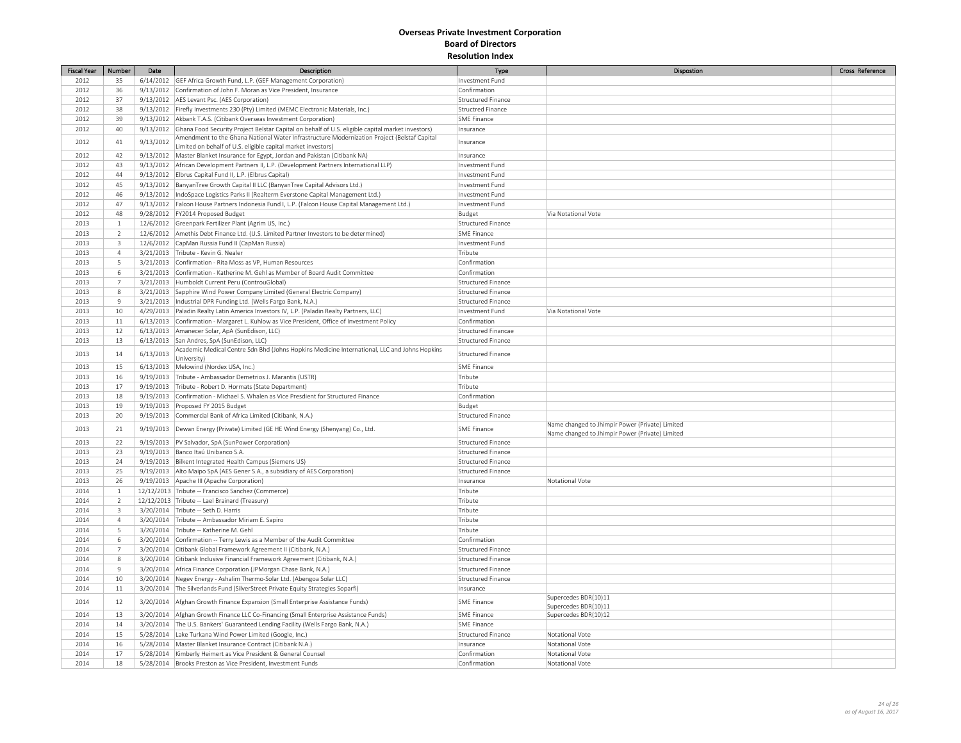| <b>Fiscal Year</b> | Number         | Date      | Description                                                                                                | Type                      | Dispostion                                      | Cross Reference |
|--------------------|----------------|-----------|------------------------------------------------------------------------------------------------------------|---------------------------|-------------------------------------------------|-----------------|
| 2012               | 35             |           | 6/14/2012 GEF Africa Growth Fund, L.P. (GEF Management Corporation)                                        | Investment Fund           |                                                 |                 |
| 2012               | 36             |           | 9/13/2012 Confirmation of John F. Moran as Vice President, Insurance                                       | Confirmation              |                                                 |                 |
| 2012               | 37             |           | 9/13/2012   AES Levant Psc. (AES Corporation)                                                              | Structured Finance        |                                                 |                 |
| 2012               | 38             |           | 9/13/2012 Firefly Investments 230 (Pty) Limited (MEMC Electronic Materials, Inc.)                          | Structred Finance         |                                                 |                 |
| 2012               | 39             |           | 9/13/2012 Akbank T.A.S. (Citibank Overseas Investment Corporation)                                         | SME Finance               |                                                 |                 |
| 2012               | 40             |           | 9/13/2012 Ghana Food Security Project Belstar Capital on behalf of U.S. eligible capital market investors) | Insurance                 |                                                 |                 |
|                    |                |           | Amendment to the Ghana National Water Infrastructure Modernization Project (Belstaf Capital                |                           |                                                 |                 |
| 2012               | 41             | 9/13/2012 | Limited on behalf of U.S. eligible capital market investors)                                               | Insurance                 |                                                 |                 |
| 2012               | 42             |           | 9/13/2012   Master Blanket Insurance for Egypt, Jordan and Pakistan (Citibank NA)                          | Insurance                 |                                                 |                 |
| 2012               | 43             |           | 9/13/2012   African Development Partners II, L.P. (Development Partners International LLP)                 | Investment Fund           |                                                 |                 |
| 2012               | 44             |           | 9/13/2012   Elbrus Capital Fund II, L.P. (Elbrus Capital)                                                  | Investment Fund           |                                                 |                 |
| 2012               | 45             |           | 9/13/2012 BanyanTree Growth Capital II LLC (BanyanTree Capital Advisors Ltd.)                              | Investment Fund           |                                                 |                 |
| 2012               | 46             |           | 9/13/2012   IndoSpace Logistics Parks II (Realterm Everstone Capital Management Ltd.)                      | Investment Fund           |                                                 |                 |
| 2012               | 47             |           | 9/13/2012 Falcon House Partners Indonesia Fund I, L.P. (Falcon House Capital Management Ltd.)              | Investment Fund           |                                                 |                 |
| 2012               | 48             |           | 9/28/2012   FY2014 Proposed Budget                                                                         | Budget                    | Via Notational Vote                             |                 |
| 2013               | $\mathbf{1}$   |           | 12/6/2012 Greenpark Fertilizer Plant (Agrim US, Inc.)                                                      | Structured Finance        |                                                 |                 |
| 2013               | $\overline{2}$ |           | 12/6/2012   Amethis Debt Finance Ltd. (U.S. Limited Partner Investors to be determined)                    | SME Finance               |                                                 |                 |
| 2013               | $\overline{3}$ |           | 12/6/2012 CapMan Russia Fund II (CapMan Russia)                                                            | Investment Fund           |                                                 |                 |
| 2013               | $\overline{4}$ |           | 3/21/2013 Tribute - Kevin G. Nealer                                                                        | Tribute                   |                                                 |                 |
| 2013               | 5              |           | 3/21/2013 Confirmation - Rita Moss as VP, Human Resources                                                  | Confirmation              |                                                 |                 |
| 2013               | 6              |           | 3/21/2013 Confirmation - Katherine M. Gehl as Member of Board Audit Committee                              | Confirmation              |                                                 |                 |
| 2013               | $\overline{7}$ |           | 3/21/2013 Humboldt Current Peru (ControuGlobal)                                                            | Structured Finance        |                                                 |                 |
| 2013               | 8              |           | 3/21/2013 Sapphire Wind Power Company Limited (General Electric Company)                                   | Structured Finance        |                                                 |                 |
| 2013               | $\overline{9}$ |           | 3/21/2013  Industrial DPR Funding Ltd. (Wells Fargo Bank, N.A.)                                            | Structured Finance        |                                                 |                 |
| 2013               | 10             |           | 4/29/2013   Paladin Realty Latin America Investors IV, L.P. (Paladin Realty Partners, LLC)                 | Investment Fund           | Via Notational Vote                             |                 |
| 2013               | 11             |           | 6/13/2013 Confirmation - Margaret L. Kuhlow as Vice President, Office of Investment Policy                 | Confirmation              |                                                 |                 |
| 2013               | 12             |           | 6/13/2013 Amanecer Solar, ApA (SunEdison, LLC)                                                             | Structured Financae       |                                                 |                 |
| 2013               | 13             |           | 6/13/2013 San Andres, SpA (SunEdison, LLC)                                                                 | Structured Finance        |                                                 |                 |
|                    |                |           | Academic Medical Centre Sdn Bhd (Johns Hopkins Medicine International, LLC and Johns Hopkins               |                           |                                                 |                 |
| 2013               | 14             | 6/13/2013 | University)                                                                                                | <b>Structured Finance</b> |                                                 |                 |
| 2013               | 15             |           | 6/13/2013   Melowind (Nordex USA, Inc.)                                                                    | <b>SME Finance</b>        |                                                 |                 |
| 2013               | 16             |           | 9/19/2013 Tribute - Ambassador Demetrios J. Marantis (USTR)                                                | Tribute                   |                                                 |                 |
| 2013               | 17             |           | 9/19/2013 Tribute - Robert D. Hormats (State Department)                                                   | Tribute                   |                                                 |                 |
| 2013               | 18             |           | 9/19/2013 Confirmation - Michael S. Whalen as Vice Presdient for Structured Finance                        | Confirmation              |                                                 |                 |
| 2013               | 19             |           | 9/19/2013 Proposed FY 2015 Budget                                                                          | Budget                    |                                                 |                 |
| 2013               | 20             |           | 9/19/2013 Commercial Bank of Africa Limited (Citibank, N.A.)                                               | Structured Finance        |                                                 |                 |
|                    |                |           |                                                                                                            |                           | Name changed to Jhimpir Power (Private) Limited |                 |
| 2013               | 21             |           | 9/19/2013 Dewan Energy (Private) Limited (GE HE Wind Energy (Shenyang) Co., Ltd.                           | <b>SME Finance</b>        | Name changed to Jhimpir Power (Private) Limited |                 |
| 2013               | 22             |           | 9/19/2013  PV Salvador, SpA (SunPower Corporation)                                                         | Structured Finance        |                                                 |                 |
| 2013               | 23             |           | 9/19/2013 Banco Itaú Unibanco S.A.                                                                         | Structured Finance        |                                                 |                 |
| 2013               | 24             |           | 9/19/2013   Bilkent Integrated Health Campus (Siemens US)                                                  | Structured Finance        |                                                 |                 |
| 2013               | 25             |           | 9/19/2013 Alto Maipo SpA (AES Gener S.A., a subsidiary of AES Corporation)                                 | Structured Finance        |                                                 |                 |
| 2013               | 26             |           | 9/19/2013 Apache III (Apache Corporation)                                                                  | Insurance                 | Notational Vote                                 |                 |
| 2014               | $\mathbf{1}$   |           | 12/12/2013 Tribute -- Francisco Sanchez (Commerce)                                                         | Tribute                   |                                                 |                 |
| 2014               | $\overline{2}$ |           | 12/12/2013 Tribute -- Lael Brainard (Treasury)                                                             | Tribute                   |                                                 |                 |
| 2014               | $\overline{3}$ |           | 3/20/2014 Tribute -- Seth D. Harris                                                                        | Tribute                   |                                                 |                 |
| 2014               | $\overline{4}$ |           | 3/20/2014 Tribute -- Ambassador Miriam E. Sapiro                                                           | Tribute                   |                                                 |                 |
| 2014               | 5              |           | 3/20/2014 Tribute -- Katherine M. Gehl                                                                     | Tribute                   |                                                 |                 |
| 2014               | 6              |           | 3/20/2014 Confirmation -- Terry Lewis as a Member of the Audit Committee                                   | Confirmation              |                                                 |                 |
| 2014               | $\overline{7}$ |           | 3/20/2014 Citibank Global Framework Agreement II (Citibank, N.A.)                                          | Structured Finance        |                                                 |                 |
| 2014               | 8              |           | 3/20/2014 Citibank Inclusive Financial Framework Agreement (Citibank, N.A.)                                | Structured Finance        |                                                 |                 |
| 2014               | $\overline{9}$ |           | 3/20/2014 Africa Finance Corporation (JPMorgan Chase Bank, N.A.)                                           | Structured Finance        |                                                 |                 |
| 2014               | $10\,$         |           | 3/20/2014 Negev Energy - Ashalim Thermo-Solar Ltd. (Abengoa Solar LLC)                                     | Structured Finance        |                                                 |                 |
| 2014               | 11             |           | 3/20/2014 The Silverlands Fund (SilverStreet Private Equity Strategies Soparfi)                            | Insurance                 |                                                 |                 |
|                    |                |           |                                                                                                            |                           | Supercedes BDR(10)11                            |                 |
| 2014               | 12             |           | 3/20/2014   Afghan Growth Finance Expansion (Small Enterprise Assistance Funds)                            | <b>SME Finance</b>        | Supercedes BDR(10)11                            |                 |
| 2014               | 13             |           | 3/20/2014   Afghan Growth Finance LLC Co-Financing (Small Enterprise Assistance Funds)                     | <b>SME Finance</b>        | Supercedes BDR(10)12                            |                 |
| 2014               | 14             |           | 3/20/2014 The U.S. Bankers' Guaranteed Lending Facility (Wells Fargo Bank, N.A.)                           | <b>SME Finance</b>        |                                                 |                 |
| 2014               | 15             |           | 5/28/2014 Lake Turkana Wind Power Limited (Google, Inc.)                                                   | <b>Structured Finance</b> | Notational Vote                                 |                 |
| 2014               | 16             |           | 5/28/2014   Master Blanket Insurance Contract (Citibank N.A.)                                              | Insurance                 | Notational Vote                                 |                 |
| 2014               | 17             |           | 5/28/2014   Kimberly Heimert as Vice President & General Counsel                                           | Confirmation              | Notational Vote                                 |                 |
| 2014               | 18             |           | 5/28/2014 Brooks Preston as Vice President, Investment Funds                                               | Confirmation              | Notational Vote                                 |                 |
|                    |                |           |                                                                                                            |                           |                                                 |                 |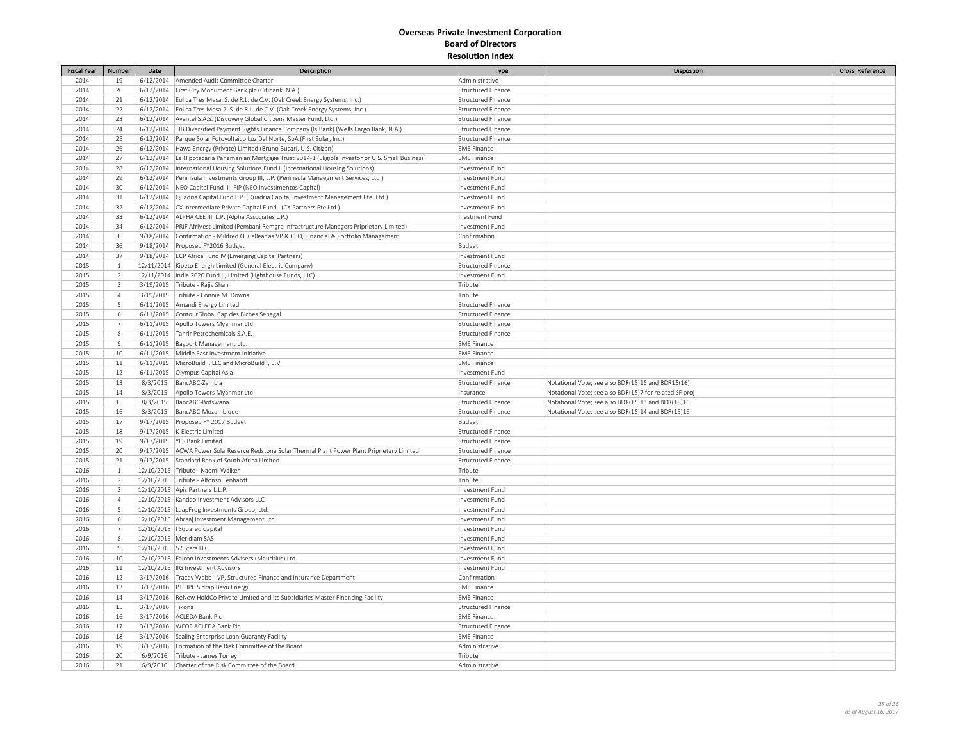| Fiscal Year  | Number         | Date                    | Description                                                                                          | <b>Type</b>                           | Dispostion                                             | Cross Reference |
|--------------|----------------|-------------------------|------------------------------------------------------------------------------------------------------|---------------------------------------|--------------------------------------------------------|-----------------|
| 2014         | 19             |                         | 6/12/2014   Amended Audit Committee Charter                                                          | Administrative                        |                                                        |                 |
| 2014         | 20             |                         | 6/12/2014 First City Monument Bank plc (Citibank, N.A.)                                              | Structured Finance                    |                                                        |                 |
| 2014         | 21             |                         | 6/12/2014   Eolica Tres Mesa, S. de R.L. de C.V. (Oak Creek Energy Systems, Inc.)                    | Structured Finance                    |                                                        |                 |
| 2014         | 22             |                         | 6/12/2014 Eolica Tres Mesa 2, S. de R.L. de C.V. (Oak Creek Energy Systems, Inc.)                    | <b>Structured Finance</b>             |                                                        |                 |
| 2014         | 23             |                         | 6/12/2014 Avantel S.A.S. (Discovery Global Citizens Master Fund, Ltd.)                               | <b>Structured Finance</b>             |                                                        |                 |
| 2014         | 24             |                         | 6/12/2014   TIB Diversified Payment Rights Finance Company (Is Bank) (Wells Fargo Bank, N.A.)        | <b>Structured Finance</b>             |                                                        |                 |
| 2014         | 25             |                         | 6/12/2014 Parque Solar Fotovoltaico Luz Del Norte, SpA (First Solar, Inc.)                           | Structured Finance                    |                                                        |                 |
| 2014         | 26             |                         | 6/12/2014 Hawa Energy (Private) Limited (Bruno Bucari, U.S. Citizan)                                 | SME Finance                           |                                                        |                 |
| 2014         | 27             |                         | 6/12/2014 La Hipotecaria Panamanian Mortgage Trust 2014-1 (Eligible Investor or U.S. Small Business) | <b>SME Finance</b>                    |                                                        |                 |
| 2014         | 28             |                         | 6/12/2014  International Housing Solutions Fund II (International Housing Solutions)                 | Investment Fund                       |                                                        |                 |
| 2014         | 29             |                         | 6/12/2014 Peninsula Investments Group III, L.P. (Peninsula Manaegment Services, Ltd.)                | Investment Fund                       |                                                        |                 |
| 2014         | 30             |                         | 6/12/2014 NEO Capital Fund III, FIP (NEO Investimentos Capital)                                      | Investment Fund                       |                                                        |                 |
| 2014         | 31             |                         | 6/12/2014 Quadria Capital Fund L.P. (Quadria Capital Investment Management Pte. Ltd.)                | Investment Fund                       |                                                        |                 |
| 2014         | 32             |                         | 6/12/2014 CX Intermediate Private Capital Fund I (CX Partners Pte Ltd.)                              | Investment Fund                       |                                                        |                 |
| 2014         | 33             |                         | 6/12/2014   ALPHA CEE III, L.P. (Alpha Associates L.P.)                                              | Inestment Fund                        |                                                        |                 |
| 2014         | 34             |                         | 6/12/2014   PRIF AfriVest Limited (Pembani Remgro Infrastructure Managers Priprietary Limited)       | Investment Fund                       |                                                        |                 |
| 2014         | 35             |                         | 9/18/2014 Confirmation - Mildred O. Callear as VP & CEO, Financial & Portfolio Management            | Confirmation                          |                                                        |                 |
| 2014         | 36             |                         | 9/18/2014 Proposed FY2016 Budget                                                                     | Budget                                |                                                        |                 |
|              | 37             |                         |                                                                                                      |                                       |                                                        |                 |
| 2014<br>2015 | $\mathbf{1}$   |                         | 9/18/2014 ECP Africa Fund IV (Emerging Capital Partners)                                             | Investment Fund<br>Structured Finance |                                                        |                 |
|              |                |                         | 12/11/2014 Kipeto Energh Limited (General Electric Company)                                          |                                       |                                                        |                 |
| 2015         | $\overline{2}$ |                         | 12/11/2014  India 2020 Fund II, Limited (Lighthouse Funds, LLC)                                      | Investment Fund                       |                                                        |                 |
| 2015         | 3              |                         | 3/19/2015 Tribute - Rajiv Shah                                                                       | Tribute                               |                                                        |                 |
| 2015         | $\overline{4}$ |                         | 3/19/2015 Tribute - Connie M. Downs                                                                  | Tribute                               |                                                        |                 |
| 2015         | 5              |                         | 6/11/2015 Amandi Energy Limited                                                                      | Structured Finance                    |                                                        |                 |
| 2015         | 6              |                         | 6/11/2015 ContourGlobal Cap des Biches Senegal                                                       | Structured Finance                    |                                                        |                 |
| 2015         | $\overline{7}$ |                         | 6/11/2015 Apollo Towers Myanmar Ltd.                                                                 | <b>Structured Finance</b>             |                                                        |                 |
| 2015         | $\,$ 8         |                         | 6/11/2015 Tahrir Petrochemicals S.A.E.                                                               | <b>Structured Finance</b>             |                                                        |                 |
| 2015         | $9$            |                         | 6/11/2015 Bayport Management Ltd.                                                                    | <b>SME Finance</b>                    |                                                        |                 |
| 2015         | 10             |                         | 6/11/2015   Middle East Investment Initiative                                                        | SME Finance                           |                                                        |                 |
| 2015         | 11             |                         | 6/11/2015 MicroBuild I, LLC and MicroBuild I, B.V.                                                   | SME Finance                           |                                                        |                 |
| 2015         | 12             |                         | 6/11/2015 Olympus Capital Asia                                                                       | Investment Fund                       |                                                        |                 |
| 2015         | 13             |                         | 8/3/2015 BancABC-Zambia                                                                              | <b>Structured Finance</b>             | Notational Vote; see also BDR(15)15 and BDR15(16)      |                 |
| 2015         | 14             |                         | 8/3/2015 Apollo Towers Myanmar Ltd.                                                                  | Insurance                             | Notational Vote; see also BDR(15)7 for related SF proj |                 |
| 2015         | 15             | 8/3/2015                | BancABC-Botswana                                                                                     | Structured Finance                    | Notational Vote; see also BDR(15)13 and BDR(15)16      |                 |
| 2015         | 16             |                         | 8/3/2015 BancABC-Mozambique                                                                          | Structured Finance                    | Notational Vote; see also BDR(15)14 and BDR(15)16      |                 |
| 2015         | 17             |                         | 9/17/2015 Proposed FY 2017 Budget                                                                    | Budget                                |                                                        |                 |
| 2015         | 18             |                         | 9/17/2015  K-Electric Limited                                                                        | Structured Finance                    |                                                        |                 |
| 2015         | 19             |                         | 9/17/2015   YES Bank Limited                                                                         | <b>Structured Finance</b>             |                                                        |                 |
| 2015         | 20             |                         | 9/17/2015 ACWA Power SolarReserve Redstone Solar Thermal Plant Power Plant Priprietary Limited       | Structured Finance                    |                                                        |                 |
| 2015         | 21             |                         | 9/17/2015 Standard Bank of South Africa Limited                                                      | <b>Structured Finance</b>             |                                                        |                 |
| 2016         | $\mathbf{1}$   |                         | 12/10/2015 Tribute - Naomi Walker                                                                    | Tribute                               |                                                        |                 |
| 2016         | $\overline{2}$ |                         | 12/10/2015 Tribute - Alfonso Lenhardt                                                                | Tribute                               |                                                        |                 |
| 2016         | $\overline{3}$ |                         | 12/10/2015 Apis Partners L.L.P.                                                                      | Investment Fund                       |                                                        |                 |
| 2016         | $\overline{4}$ |                         | 12/10/2015 Kandeo Investment Advisors LLC                                                            | Investment Fund                       |                                                        |                 |
| 2016         | 5              |                         | 12/10/2015 LeapFrog Investments Group, Ltd.                                                          | Investment Fund                       |                                                        |                 |
| 2016         | 6              |                         | 12/10/2015 Abraaj Investment Management Ltd                                                          | Investment Fund                       |                                                        |                 |
| 2016         | $\overline{7}$ |                         | 12/10/2015   Squared Capital                                                                         | Investment Fund                       |                                                        |                 |
| 2016         | 8              |                         | 12/10/2015 Meridiam SAS                                                                              | Investment Fund                       |                                                        |                 |
| 2016         | $9$            | 12/10/2015 57 Stars LLC |                                                                                                      | Investment Fund                       |                                                        |                 |
| 2016         | 10             |                         | 12/10/2015   Falcon Investments Advisers (Mauritius) Ltd                                             | Investment Fund                       |                                                        |                 |
| 2016         | 11             |                         | 12/10/2015  IIG Investment Advisors                                                                  | Investment Fund                       |                                                        |                 |
| 2016         | 12             |                         | 3/17/2016 Tracey Webb - VP, Structured Finance and Insurance Department                              | Confirmation                          |                                                        |                 |
| 2016         | 13             |                         | 3/17/2016   PT UPC Sidrap Bayu Energi                                                                | SME Finance                           |                                                        |                 |
| 2016         | 14             |                         | 3/17/2016 ReNew HoldCo Private Limited and its Subsidiaries Master Financing Facility                | <b>SME Finance</b>                    |                                                        |                 |
|              |                | 3/17/2016 Tikona        |                                                                                                      | <b>Structured Finance</b>             |                                                        |                 |
| 2016         | 15             |                         |                                                                                                      | <b>SME Finance</b>                    |                                                        |                 |
| 2016<br>2016 | 16<br>17       |                         | 3/17/2016 ACLEDA Bank Plc                                                                            |                                       |                                                        |                 |
|              |                |                         | 3/17/2016 WEOF ACLEDA Bank Plc                                                                       | Structured Finance                    |                                                        |                 |
| 2016         | 18             |                         | 3/17/2016 Scaling Enterprise Loan Guaranty Facility                                                  | <b>SME Finance</b>                    |                                                        |                 |
| 2016         | 19             |                         | 3/17/2016 Formation of the Risk Committee of the Board                                               | Administrative                        |                                                        |                 |
| 2016         | 20             |                         | 6/9/2016 Tribute - James Torrey                                                                      | Tribute                               |                                                        |                 |
| 2016         | 21             |                         | 6/9/2016 Charter of the Risk Committee of the Board                                                  | Administrative                        |                                                        |                 |